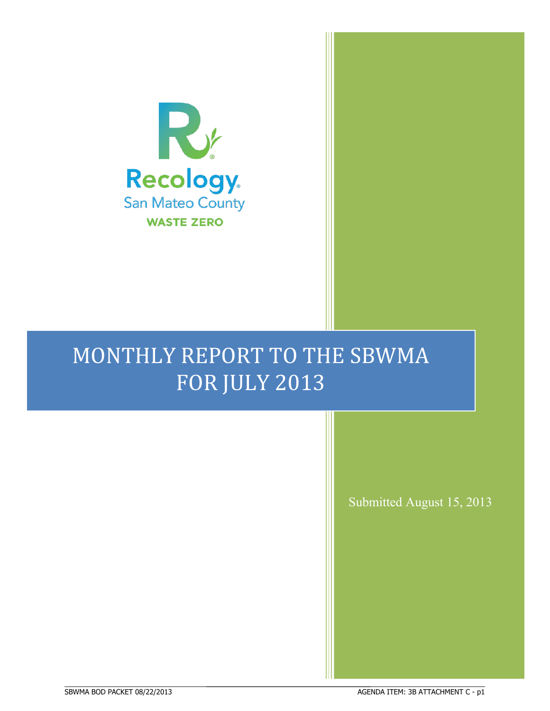

## MONTHLY REPORT TO THE SBWMA FOR JULY 2013

BBBBBBBBBBBBBBBBBBBBBBBBBBBBBBBBBBBBBBBBBBBBBBBBBBBBBBBBBBBBBBBBBBBBBBBBBBBBBB

ł

Submitted August 15, 2013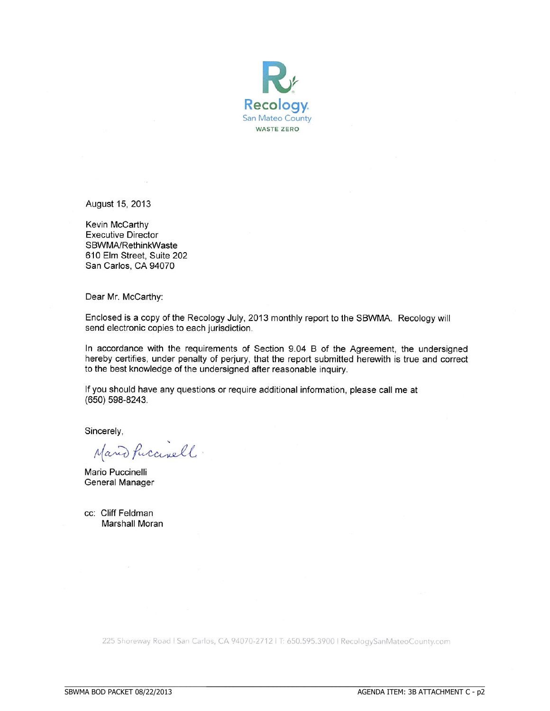

August 15, 2013

Kevin McCarthy **Executive Director** SBWMA/RethinkWaste 610 Elm Street, Suite 202 San Carlos, CA 94070

Dear Mr. McCarthy:

Enclosed is a copy of the Recology July, 2013 monthly report to the SBWMA. Recology will send electronic copies to each jurisdiction.

In accordance with the requirements of Section 9.04 B of the Agreement, the undersigned hereby certifies, under penalty of perjury, that the report submitted herewith is true and correct to the best knowledge of the undersigned after reasonable inquiry.

If you should have any questions or require additional information, please call me at (650) 598-8243.

Sincerely,

Mario Puccinell.

Mario Puccinelli **General Manager** 

cc: Cliff Feldman Marshall Moran

225 Shoreway Road | San Carlos, CA 94070-2712 | T: 650.595.3900 | RecologySanMateoCounty.com

BBBBBBBBBBBBBBBBBBBBBBBBBBBBBBBBBBBBBBBBBBBBBBBBBBBBBBBBBBBBBBBBBBBBBBBBBBBBBB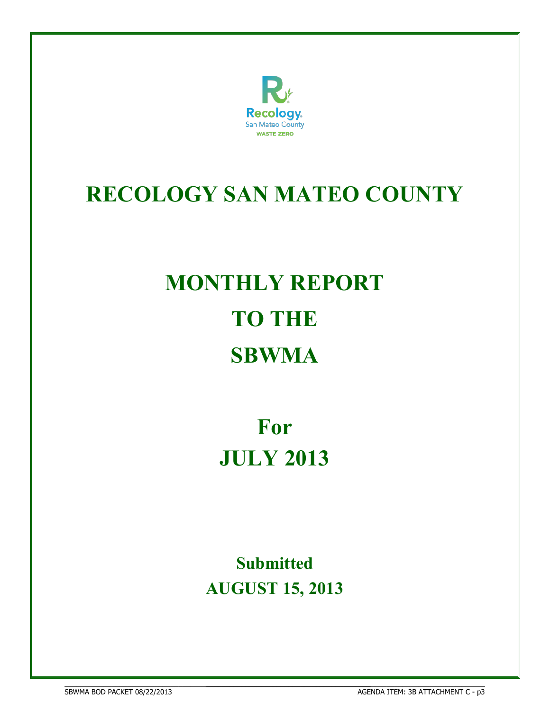

# **RECOLOGY SAN MATEO COUNTY**

# **MONTHLY REPORT TO THE SBWMA**

**For JULY 2013**

**Submitted AUGUST 15, 2013**

BBBBBBBBBBBBBBBBBBBBBBBBBBBBBBBBBBBBBBBBBBBBBBBBBBBBBBBBBBBBBBBBBBBBBBBBBBBBBB **68WMA BOD PACKET 08/22/2013** 

BBBBBBBBBBBBBBBBBBBBBBBBBBBBBBBBBBBBBBBBBBBBBBBBBBBBBBBBBBBBBBBBBBBBBBB AGENDA ITEM: 3B ATTACHMENT C - p3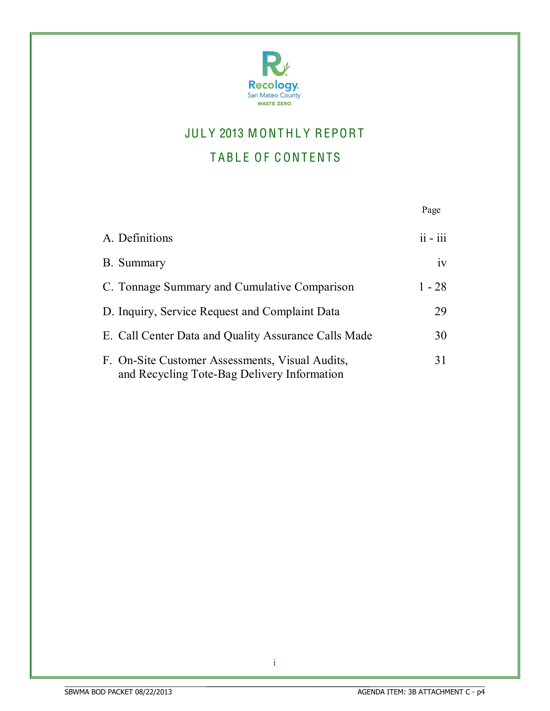

## JULY 2013 MONTHLY REPORT

## TABLE OF CONTENTS

|                                                                                                | Page       |
|------------------------------------------------------------------------------------------------|------------|
| A. Definitions                                                                                 | $ii - iii$ |
| B. Summary                                                                                     | iv         |
| C. Tonnage Summary and Cumulative Comparison                                                   | $1 - 28$   |
| D. Inquiry, Service Request and Complaint Data                                                 | 29         |
| E. Call Center Data and Quality Assurance Calls Made                                           | 30         |
| F. On-Site Customer Assessments, Visual Audits,<br>and Recycling Tote-Bag Delivery Information | 31         |

i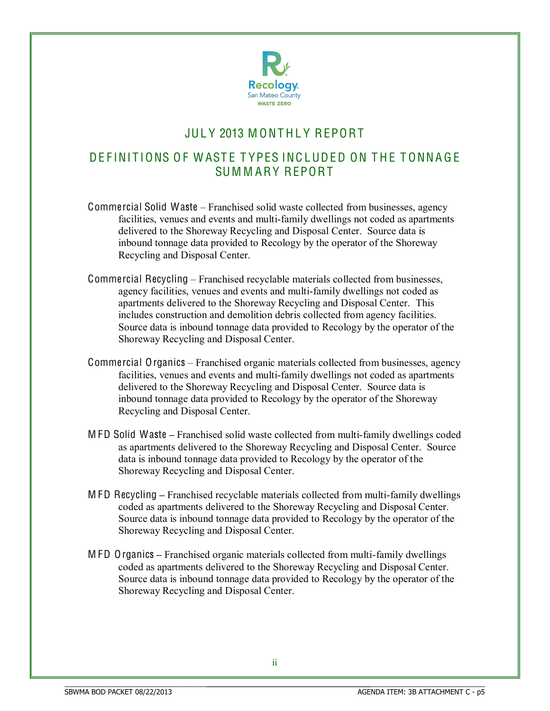

## JULY 2013 MONTHI Y REPORT

### DE FINITIONS OF WASTE TYPES INCLUDED ON THE TONNAGE SUM M ARY REPORT

- Commercial Solid Waste  $-$  Franchised solid waste collected from businesses, agency facilities, venues and events and multi-family dwellings not coded as apartments delivered to the Shoreway Recycling and Disposal Center. Source data is inbound tonnage data provided to Recology by the operator of the Shoreway Recycling and Disposal Center.
- Commercial Recycling Franchised recyclable materials collected from businesses, agency facilities, venues and events and multi-family dwellings not coded as apartments delivered to the Shoreway Recycling and Disposal Center. This includes construction and demolition debris collected from agency facilities. Source data is inbound tonnage data provided to Recology by the operator of the Shoreway Recycling and Disposal Center.
- Commercial Organics Franchised organic materials collected from businesses, agency facilities, venues and events and multi-family dwellings not coded as apartments delivered to the Shoreway Recycling and Disposal Center. Source data is inbound tonnage data provided to Recology by the operator of the Shoreway Recycling and Disposal Center.
- M FD Solid Waste **±** Franchised solid waste collected from multi-family dwellings coded as apartments delivered to the Shoreway Recycling and Disposal Center. Source data is inbound tonnage data provided to Recology by the operator of the Shoreway Recycling and Disposal Center.
- M FD Recycling **±** Franchised recyclable materials collected from multi-family dwellings coded as apartments delivered to the Shoreway Recycling and Disposal Center. Source data is inbound tonnage data provided to Recology by the operator of the Shoreway Recycling and Disposal Center.
- M FD Organics **±** Franchised organic materials collected from multi-family dwellings coded as apartments delivered to the Shoreway Recycling and Disposal Center. Source data is inbound tonnage data provided to Recology by the operator of the Shoreway Recycling and Disposal Center.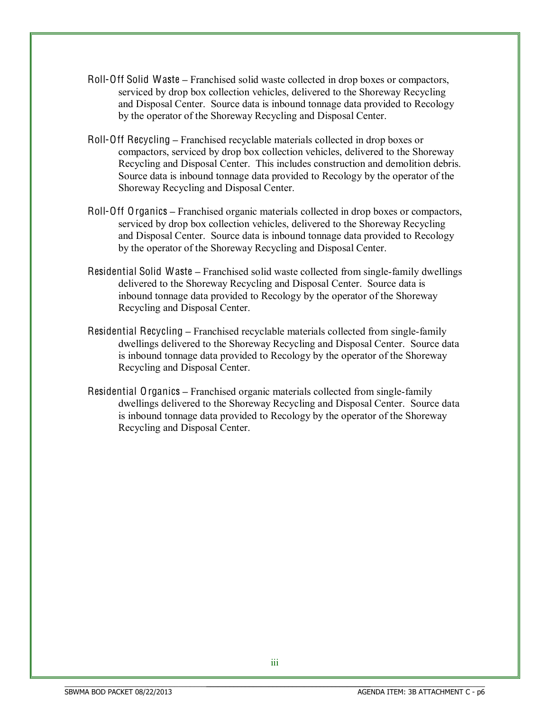- Roll-Off Solid Waste **±** Franchised solid waste collected in drop boxes or compactors, serviced by drop box collection vehicles, delivered to the Shoreway Recycling and Disposal Center. Source data is inbound tonnage data provided to Recology by the operator of the Shoreway Recycling and Disposal Center.
- Roll-Off Recycling Franchised recyclable materials collected in drop boxes or compactors, serviced by drop box collection vehicles, delivered to the Shoreway Recycling and Disposal Center. This includes construction and demolition debris. Source data is inbound tonnage data provided to Recology by the operator of the Shoreway Recycling and Disposal Center.
- Roll-Off Organics Franchised organic materials collected in drop boxes or compactors, serviced by drop box collection vehicles, delivered to the Shoreway Recycling and Disposal Center. Source data is inbound tonnage data provided to Recology by the operator of the Shoreway Recycling and Disposal Center.
- Residential Solid Waste Franchised solid waste collected from single-family dwellings delivered to the Shoreway Recycling and Disposal Center. Source data is inbound tonnage data provided to Recology by the operator of the Shoreway Recycling and Disposal Center.
- Residential Recycling **±** Franchised recyclable materials collected from single-family dwellings delivered to the Shoreway Recycling and Disposal Center. Source data is inbound tonnage data provided to Recology by the operator of the Shoreway Recycling and Disposal Center.
- Residential Organics **±** Franchised organic materials collected from single-family dwellings delivered to the Shoreway Recycling and Disposal Center. Source data is inbound tonnage data provided to Recology by the operator of the Shoreway Recycling and Disposal Center.

BBBBBBBBBBBBBBBBBBBBBBBBBBBBBBBBBBBBBBBBBBBBBBBBBBBBBBBBBBBBBBBBBBBBBBB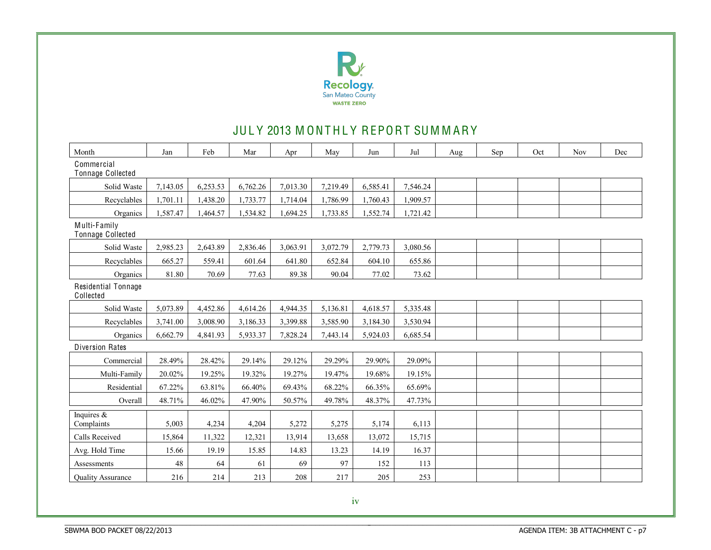

## JULY 2013 MONTHLY REPORT SUMMARY

| Month                             | Jan      | Feb      | Mar      | Apr      | May      | Jun      | Jul      | Aug | Sep | Oct | <b>Nov</b> | Dec |
|-----------------------------------|----------|----------|----------|----------|----------|----------|----------|-----|-----|-----|------------|-----|
| Commercial<br>Tonnage Collected   |          |          |          |          |          |          |          |     |     |     |            |     |
| Solid Waste                       | 7,143.05 | 6,253.53 | 6,762.26 | 7,013.30 | 7,219.49 | 6,585.41 | 7,546.24 |     |     |     |            |     |
| Recyclables                       | 1,701.11 | 1,438.20 | 1,733.77 | 1,714.04 | 1,786.99 | 1,760.43 | 1,909.57 |     |     |     |            |     |
| Organics                          | 1,587.47 | 1,464.57 | 1,534.82 | 1,694.25 | 1,733.85 | 1,552.74 | 1,721.42 |     |     |     |            |     |
| Multi-Family<br>Tonnage Collected |          |          |          |          |          |          |          |     |     |     |            |     |
| Solid Waste                       | 2,985.23 | 2,643.89 | 2,836.46 | 3,063.91 | 3,072.79 | 2,779.73 | 3,080.56 |     |     |     |            |     |
| Recyclables                       | 665.27   | 559.41   | 601.64   | 641.80   | 652.84   | 604.10   | 655.86   |     |     |     |            |     |
| Organics                          | 81.80    | 70.69    | 77.63    | 89.38    | 90.04    | 77.02    | 73.62    |     |     |     |            |     |
| Residential Tonnage<br>Collected  |          |          |          |          |          |          |          |     |     |     |            |     |
| Solid Waste                       | 5,073.89 | 4,452.86 | 4,614.26 | 4,944.35 | 5,136.81 | 4,618.57 | 5,335.48 |     |     |     |            |     |
| Recyclables                       | 3,741.00 | 3,008.90 | 3,186.33 | 3,399.88 | 3,585.90 | 3,184.30 | 3,530.94 |     |     |     |            |     |
| Organics                          | 6,662.79 | 4,841.93 | 5,933.37 | 7,828.24 | 7,443.14 | 5,924.03 | 6,685.54 |     |     |     |            |     |
| <b>Diversion Rates</b>            |          |          |          |          |          |          |          |     |     |     |            |     |
| Commercial                        | 28.49%   | 28.42%   | 29.14%   | 29.12%   | 29.29%   | 29.90%   | 29.09%   |     |     |     |            |     |
| Multi-Family                      | 20.02%   | 19.25%   | 19.32%   | 19.27%   | 19.47%   | 19.68%   | 19.15%   |     |     |     |            |     |
| Residential                       | 67.22%   | 63.81%   | 66.40%   | 69.43%   | 68.22%   | 66.35%   | 65.69%   |     |     |     |            |     |
| Overall                           | 48.71%   | 46.02%   | 47.90%   | 50.57%   | 49.78%   | 48.37%   | 47.73%   |     |     |     |            |     |
| Inquires $\&$<br>Complaints       | 5,003    | 4,234    | 4,204    | 5,272    | 5,275    | 5,174    | 6,113    |     |     |     |            |     |
| Calls Received                    | 15,864   | 11,322   | 12,321   | 13,914   | 13,658   | 13,072   | 15,715   |     |     |     |            |     |
| Avg. Hold Time                    | 15.66    | 19.19    | 15.85    | 14.83    | 13.23    | 14.19    | 16.37    |     |     |     |            |     |
| Assessments                       | $48\,$   | 64       | 61       | 69       | 97       | 152      | 113      |     |     |     |            |     |
| <b>Quality Assurance</b>          | 216      | 214      | 213      | 208      | 217      | 205      | 253      |     |     |     |            |     |

BBBBBBBBBBBBBBBBBBBBBBBBBBBBBBBBBBBBBBBBBBBBBBBBBBBBBBBBBBBBBBBBBBBBBBBBBBBBBB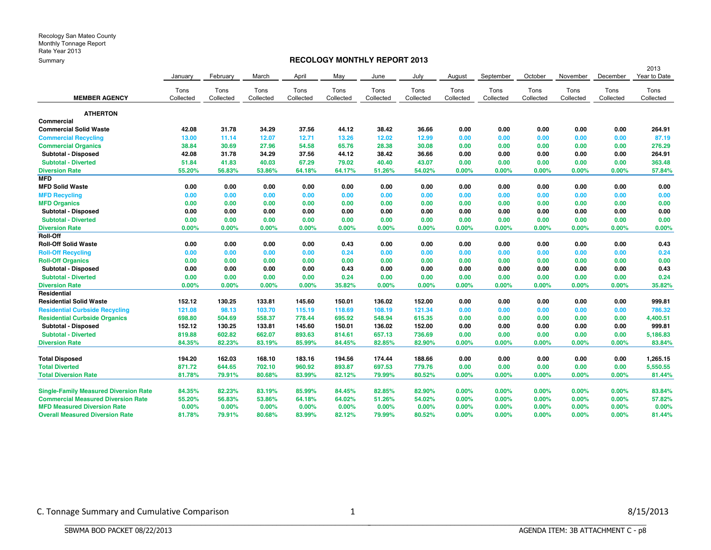#### **RECOLOGY MONTHLY REPORT 2013**

|                                              |           |           |           |           |           |           |           |           |           |           |           |           | 2013         |
|----------------------------------------------|-----------|-----------|-----------|-----------|-----------|-----------|-----------|-----------|-----------|-----------|-----------|-----------|--------------|
|                                              | January   | February  | March     | April     | May       | June      | July      | August    | September | October   | November  | December  | Year to Date |
|                                              | Tons      | Tons      | Tons      | Tons      | Tons      | Tons      | Tons      | Tons      | Tons      | Tons      | Tons      | Tons      | Tons         |
| <b>MEMBER AGENCY</b>                         | Collected | Collected | Collected | Collected | Collected | Collected | Collected | Collected | Collected | Collected | Collected | Collected | Collected    |
| <b>ATHERTON</b>                              |           |           |           |           |           |           |           |           |           |           |           |           |              |
| Commercial                                   |           |           |           |           |           |           |           |           |           |           |           |           |              |
| <b>Commercial Solid Waste</b>                | 42.08     | 31.78     | 34.29     | 37.56     | 44.12     | 38.42     | 36.66     | 0.00      | 0.00      | 0.00      | 0.00      | 0.00      | 264.91       |
| <b>Commercial Recycling</b>                  | 13.00     | 11.14     | 12.07     | 12.71     | 13.26     | 12.02     | 12.99     | 0.00      | 0.00      | 0.00      | 0.00      | 0.00      | 87.19        |
| <b>Commercial Organics</b>                   | 38.84     | 30.69     | 27.96     | 54.58     | 65.76     | 28.38     | 30.08     | 0.00      | 0.00      | 0.00      | 0.00      | 0.00      | 276.29       |
| Subtotal - Disposed                          | 42.08     | 31.78     | 34.29     | 37.56     | 44.12     | 38.42     | 36.66     | 0.00      | 0.00      | 0.00      | 0.00      | 0.00      | 264.91       |
| <b>Subtotal - Diverted</b>                   | 51.84     | 41.83     | 40.03     | 67.29     | 79.02     | 40.40     | 43.07     | 0.00      | 0.00      | 0.00      | 0.00      | 0.00      | 363.48       |
| <b>Diversion Rate</b>                        | 55.20%    | 56.83%    | 53.86%    | 64.18%    | 64.17%    | 51.26%    | 54.02%    | 0.00%     | 0.00%     | 0.00%     | 0.00%     | 0.00%     | 57.84%       |
| <b>MFD</b>                                   |           |           |           |           |           |           |           |           |           |           |           |           |              |
| <b>MFD Solid Waste</b>                       | 0.00      | 0.00      | 0.00      | 0.00      | 0.00      | 0.00      | 0.00      | 0.00      | 0.00      | 0.00      | 0.00      | 0.00      | 0.00         |
| <b>MFD Recycling</b>                         | 0.00      | 0.00      | 0.00      | 0.00      | 0.00      | 0.00      | 0.00      | 0.00      | 0.00      | 0.00      | 0.00      | 0.00      | 0.00         |
| <b>MFD Organics</b>                          | 0.00      | 0.00      | 0.00      | 0.00      | 0.00      | 0.00      | 0.00      | 0.00      | 0.00      | 0.00      | 0.00      | 0.00      | 0.00         |
| Subtotal - Disposed                          | 0.00      | 0.00      | 0.00      | 0.00      | 0.00      | 0.00      | 0.00      | 0.00      | 0.00      | 0.00      | 0.00      | 0.00      | 0.00         |
| <b>Subtotal - Diverted</b>                   | 0.00      | 0.00      | 0.00      | 0.00      | 0.00      | 0.00      | 0.00      | 0.00      | 0.00      | 0.00      | 0.00      | 0.00      | 0.00         |
| <b>Diversion Rate</b>                        | 0.00%     | $0.00\%$  | 0.00%     | 0.00%     | 0.00%     | 0.00%     | 0.00%     | 0.00%     | 0.00%     | 0.00%     | 0.00%     | 0.00%     | 0.00%        |
| Roll-Off                                     |           |           |           |           |           |           |           |           |           |           |           |           |              |
| <b>Roll-Off Solid Waste</b>                  | 0.00      | 0.00      | 0.00      | 0.00      | 0.43      | 0.00      | 0.00      | 0.00      | 0.00      | 0.00      | 0.00      | 0.00      | 0.43         |
| <b>Roll-Off Recycling</b>                    | 0.00      | 0.00      | 0.00      | 0.00      | 0.24      | 0.00      | 0.00      | 0.00      | 0.00      | 0.00      | 0.00      | 0.00      | 0.24         |
| <b>Roll-Off Organics</b>                     | 0.00      | 0.00      | 0.00      | 0.00      | 0.00      | 0.00      | 0.00      | 0.00      | 0.00      | 0.00      | 0.00      | 0.00      | 0.00         |
| Subtotal - Disposed                          | 0.00      | 0.00      | 0.00      | 0.00      | 0.43      | 0.00      | 0.00      | 0.00      | 0.00      | 0.00      | 0.00      | 0.00      | 0.43         |
| <b>Subtotal - Diverted</b>                   | 0.00      | 0.00      | 0.00      | 0.00      | 0.24      | 0.00      | 0.00      | 0.00      | 0.00      | 0.00      | 0.00      | 0.00      | 0.24         |
| <b>Diversion Rate</b>                        | 0.00%     | 0.00%     | 0.00%     | 0.00%     | 35.82%    | 0.00%     | 0.00%     | 0.00%     | 0.00%     | 0.00%     | 0.00%     | 0.00%     | 35.82%       |
| Residential                                  |           |           |           |           |           |           |           |           |           |           |           |           |              |
| <b>Residential Solid Waste</b>               | 152.12    | 130.25    | 133.81    | 145.60    | 150.01    | 136.02    | 152.00    | 0.00      | 0.00      | 0.00      | 0.00      | 0.00      | 999.81       |
| <b>Residential Curbside Recycling</b>        | 121.08    | 98.13     | 103.70    | 115.19    | 118.69    | 108.19    | 121.34    | 0.00      | 0.00      | 0.00      | 0.00      | 0.00      | 786.32       |
| <b>Residential Curbside Organics</b>         | 698.80    | 504.69    | 558.37    | 778.44    | 695.92    | 548.94    | 615.35    | 0.00      | 0.00      | 0.00      | 0.00      | 0.00      | 4,400.51     |
| Subtotal - Disposed                          | 152.12    | 130.25    | 133.81    | 145.60    | 150.01    | 136.02    | 152.00    | 0.00      | 0.00      | 0.00      | 0.00      | 0.00      | 999.81       |
| <b>Subtotal - Diverted</b>                   | 819.88    | 602.82    | 662.07    | 893.63    | 814.61    | 657.13    | 736.69    | 0.00      | 0.00      | 0.00      | 0.00      | 0.00      | 5,186.83     |
| <b>Diversion Rate</b>                        | 84.35%    | 82.23%    | 83.19%    | 85.99%    | 84.45%    | 82.85%    | 82.90%    | 0.00%     | 0.00%     | 0.00%     | 0.00%     | 0.00%     | 83.84%       |
| <b>Total Disposed</b>                        | 194.20    | 162.03    | 168.10    | 183.16    | 194.56    | 174.44    | 188.66    | 0.00      | 0.00      | 0.00      | 0.00      | 0.00      | 1,265.15     |
| <b>Total Diverted</b>                        | 871.72    | 644.65    | 702.10    | 960.92    | 893.87    | 697.53    | 779.76    | 0.00      | 0.00      | 0.00      | 0.00      | 0.00      | 5,550.55     |
| <b>Total Diversion Rate</b>                  | 81.78%    | 79.91%    | 80.68%    | 83.99%    | 82.12%    | 79.99%    | 80.52%    | 0.00%     | 0.00%     | 0.00%     | 0.00%     | 0.00%     | 81.44%       |
| <b>Single-Family Measured Diversion Rate</b> | 84.35%    | 82.23%    | 83.19%    | 85.99%    | 84.45%    | 82.85%    | 82.90%    | 0.00%     | 0.00%     | 0.00%     | 0.00%     | $0.00\%$  | 83.84%       |
| <b>Commercial Measured Diversion Rate</b>    | 55.20%    | 56.83%    | 53.86%    | 64.18%    | 64.02%    | 51.26%    | 54.02%    | 0.00%     | 0.00%     | 0.00%     | 0.00%     | 0.00%     | 57.82%       |
| <b>MFD Measured Diversion Rate</b>           | 0.00%     | $0.00\%$  | 0.00%     | 0.00%     | 0.00%     | 0.00%     | 0.00%     | 0.00%     | 0.00%     | $0.00\%$  | $0.00\%$  | 0.00%     | 0.00%        |
| <b>Overall Measured Diversion Rate</b>       | 81.78%    | 79.91%    | 80.68%    | 83.99%    | 82.12%    | 79.99%    | 80.52%    | 0.00%     | 0.00%     | 0.00%     | 0.00%     | 0.00%     | 81.44%       |

BBBBBBBBBBBBBBBBBBBBBBBBBBBBBBBBBBBBBBBBBBBBBBBBBBBBBBBBBBBBBBBBBBBBBBBBBBBBBB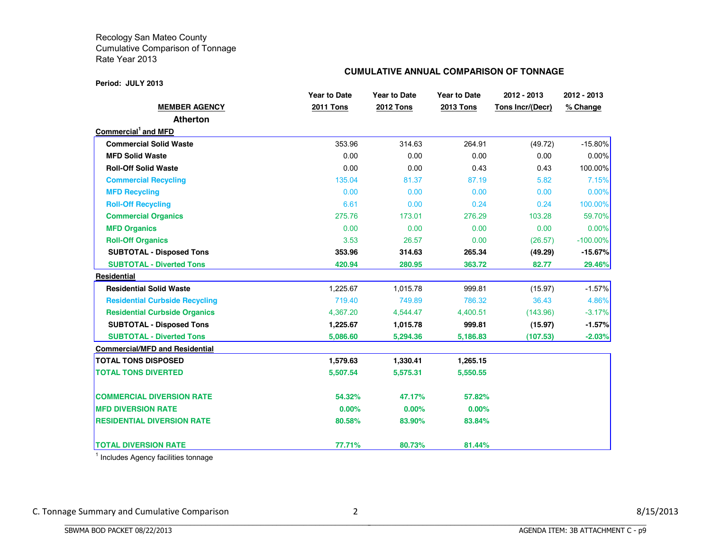**Period: JULY 2013**

### **CUMULATIVE ANNUAL COMPARISON OF TONNAGE**

|                                       | <b>Year to Date</b> | <b>Year to Date</b> | Year to Date     | 2012 - 2013      | 2012 - 2013 |
|---------------------------------------|---------------------|---------------------|------------------|------------------|-------------|
| <b>MEMBER AGENCY</b>                  | <b>2011 Tons</b>    | <b>2012 Tons</b>    | <b>2013 Tons</b> | Tons Incr/(Decr) | % Change    |
| <b>Atherton</b>                       |                     |                     |                  |                  |             |
| Commercial <sup>1</sup> and MFD       |                     |                     |                  |                  |             |
| <b>Commercial Solid Waste</b>         | 353.96              | 314.63              | 264.91           | (49.72)          | $-15.80%$   |
| <b>MFD Solid Waste</b>                | 0.00                | 0.00                | 0.00             | 0.00             | 0.00%       |
| <b>Roll-Off Solid Waste</b>           | 0.00                | 0.00                | 0.43             | 0.43             | 100.00%     |
| <b>Commercial Recycling</b>           | 135.04              | 81.37               | 87.19            | 5.82             | 7.15%       |
| <b>MFD Recycling</b>                  | 0.00                | 0.00                | 0.00             | 0.00             | 0.00%       |
| <b>Roll-Off Recycling</b>             | 6.61                | 0.00                | 0.24             | 0.24             | 100.00%     |
| <b>Commercial Organics</b>            | 275.76              | 173.01              | 276.29           | 103.28           | 59.70%      |
| <b>MFD Organics</b>                   | 0.00                | 0.00                | 0.00             | 0.00             | 0.00%       |
| <b>Roll-Off Organics</b>              | 3.53                | 26.57               | 0.00             | (26.57)          | $-100.00\%$ |
| <b>SUBTOTAL - Disposed Tons</b>       | 353.96              | 314.63              | 265.34           | (49.29)          | $-15.67%$   |
| <b>SUBTOTAL - Diverted Tons</b>       | 420.94              | 280.95              | 363.72           | 82.77            | 29.46%      |
| Residential                           |                     |                     |                  |                  |             |
| <b>Residential Solid Waste</b>        | 1,225.67            | 1,015.78            | 999.81           | (15.97)          | $-1.57%$    |
| <b>Residential Curbside Recycling</b> | 719.40              | 749.89              | 786.32           | 36.43            | 4.86%       |
| <b>Residential Curbside Organics</b>  | 4,367.20            | 4,544.47            | 4,400.51         | (143.96)         | $-3.17%$    |
| <b>SUBTOTAL - Disposed Tons</b>       | 1,225.67            | 1,015.78            | 999.81           | (15.97)          | $-1.57%$    |
| <b>SUBTOTAL - Diverted Tons</b>       | 5,086.60            | 5,294.36            | 5,186.83         | (107.53)         | $-2.03%$    |
| <b>Commercial/MFD and Residential</b> |                     |                     |                  |                  |             |
| <b>TOTAL TONS DISPOSED</b>            | 1,579.63            | 1,330.41            | 1,265.15         |                  |             |
| <b>TOTAL TONS DIVERTED</b>            | 5,507.54            | 5,575.31            | 5,550.55         |                  |             |
| <b>COMMERCIAL DIVERSION RATE</b>      | 54.32%              | 47.17%              | 57.82%           |                  |             |
| <b>MFD DIVERSION RATE</b>             | 0.00%               | 0.00%               | 0.00%            |                  |             |
| <b>RESIDENTIAL DIVERSION RATE</b>     | 80.58%              | 83.90%              | 83.84%           |                  |             |
| <b>TOTAL DIVERSION RATE</b>           | 77.71%              | 80.73%              | 81.44%           |                  |             |

 $<sup>1</sup>$  Includes Agency facilities tonnage</sup>

BBBBBBBBBBBBBBBBBBBBBBBBBBBBBBBBBBBBBBBBBBBBBBBBBBBBBBBBBBBBBBBBBBBBBBBBBBBBBB

C. Tonnage Summary and Cumulative Comparison 2 and 2 8/15/2013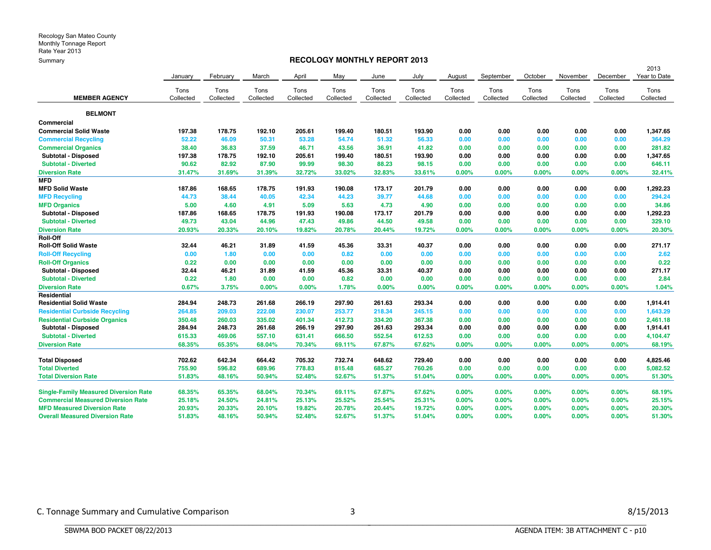#### **RECOLOGY MONTHLY REPORT 2013**

|                                              |           |           |           |           |           |           |           |           |           |           |           |           | 2013         |
|----------------------------------------------|-----------|-----------|-----------|-----------|-----------|-----------|-----------|-----------|-----------|-----------|-----------|-----------|--------------|
|                                              | January   | February  | March     | April     | May       | June      | July      | August    | September | October   | November  | December  | Year to Date |
|                                              | Tons      | Tons      | Tons      | Tons      | Tons      | Tons      | Tons      | Tons      | Tons      | Tons      | Tons      | Tons      | Tons         |
| <b>MEMBER AGENCY</b>                         | Collected | Collected | Collected | Collected | Collected | Collected | Collected | Collected | Collected | Collected | Collected | Collected | Collected    |
| <b>BELMONT</b>                               |           |           |           |           |           |           |           |           |           |           |           |           |              |
| Commercial                                   |           |           |           |           |           |           |           |           |           |           |           |           |              |
| <b>Commercial Solid Waste</b>                | 197.38    | 178.75    | 192.10    | 205.61    | 199.40    | 180.51    | 193.90    | 0.00      | 0.00      | 0.00      | 0.00      | 0.00      | 1,347.65     |
| <b>Commercial Recycling</b>                  | 52.22     | 46.09     | 50.31     | 53.28     | 54.74     | 51.32     | 56.33     | 0.00      | 0.00      | 0.00      | 0.00      | 0.00      | 364.29       |
| <b>Commercial Organics</b>                   | 38.40     | 36.83     | 37.59     | 46.71     | 43.56     | 36.91     | 41.82     | 0.00      | 0.00      | 0.00      | 0.00      | 0.00      | 281.82       |
| Subtotal - Disposed                          | 197.38    | 178.75    | 192.10    | 205.61    | 199.40    | 180.51    | 193.90    | 0.00      | 0.00      | 0.00      | 0.00      | 0.00      | 1,347.65     |
| <b>Subtotal - Diverted</b>                   | 90.62     | 82.92     | 87.90     | 99.99     | 98.30     | 88.23     | 98.15     | 0.00      | 0.00      | 0.00      | 0.00      | 0.00      | 646.11       |
| <b>Diversion Rate</b>                        | 31.47%    | 31.69%    | 31.39%    | 32.72%    | 33.02%    | 32.83%    | 33.61%    | 0.00%     | 0.00%     | 0.00%     | 0.00%     | 0.00%     | 32.41%       |
| <b>MFD</b>                                   |           |           |           |           |           |           |           |           |           |           |           |           |              |
| <b>MFD Solid Waste</b>                       | 187.86    | 168.65    | 178.75    | 191.93    | 190.08    | 173.17    | 201.79    | 0.00      | 0.00      | 0.00      | 0.00      | 0.00      | 1,292.23     |
| <b>MFD Recycling</b>                         | 44.73     | 38.44     | 40.05     | 42.34     | 44.23     | 39.77     | 44.68     | 0.00      | 0.00      | 0.00      | 0.00      | 0.00      | 294.24       |
| <b>MFD Organics</b>                          | 5.00      | 4.60      | 4.91      | 5.09      | 5.63      | 4.73      | 4.90      | 0.00      | 0.00      | 0.00      | 0.00      | 0.00      | 34.86        |
| Subtotal - Disposed                          | 187.86    | 168.65    | 178.75    | 191.93    | 190.08    | 173.17    | 201.79    | 0.00      | 0.00      | 0.00      | 0.00      | 0.00      | 1,292.23     |
| <b>Subtotal - Diverted</b>                   | 49.73     | 43.04     | 44.96     | 47.43     | 49.86     | 44.50     | 49.58     | 0.00      | 0.00      | 0.00      | 0.00      | 0.00      | 329.10       |
| <b>Diversion Rate</b>                        | 20.93%    | 20.33%    | 20.10%    | 19.82%    | 20.78%    | 20.44%    | 19.72%    | 0.00%     | 0.00%     | 0.00%     | 0.00%     | 0.00%     | 20.30%       |
| <b>Roll-Off</b>                              |           |           |           |           |           |           |           |           |           |           |           |           |              |
| <b>Roll-Off Solid Waste</b>                  | 32.44     | 46.21     | 31.89     | 41.59     | 45.36     | 33.31     | 40.37     | 0.00      | 0.00      | 0.00      | 0.00      | 0.00      | 271.17       |
| <b>Roll-Off Recycling</b>                    | 0.00      | 1.80      | 0.00      | 0.00      | 0.82      | 0.00      | 0.00      | 0.00      | 0.00      | 0.00      | 0.00      | 0.00      | 2.62         |
| <b>Roll-Off Organics</b>                     | 0.22      | 0.00      | 0.00      | 0.00      | 0.00      | 0.00      | 0.00      | 0.00      | 0.00      | 0.00      | 0.00      | 0.00      | 0.22         |
| Subtotal - Disposed                          | 32.44     | 46.21     | 31.89     | 41.59     | 45.36     | 33.31     | 40.37     | 0.00      | 0.00      | 0.00      | 0.00      | 0.00      | 271.17       |
| <b>Subtotal - Diverted</b>                   | 0.22      | 1.80      | 0.00      | 0.00      | 0.82      | 0.00      | 0.00      | 0.00      | 0.00      | 0.00      | 0.00      | 0.00      | 2.84         |
| <b>Diversion Rate</b>                        | 0.67%     | 3.75%     | 0.00%     | 0.00%     | 1.78%     | 0.00%     | 0.00%     | 0.00%     | 0.00%     | 0.00%     | 0.00%     | 0.00%     | 1.04%        |
| Residential                                  |           |           |           |           |           |           |           |           |           |           |           |           |              |
| <b>Residential Solid Waste</b>               | 284.94    | 248.73    | 261.68    | 266.19    | 297.90    | 261.63    | 293.34    | 0.00      | 0.00      | 0.00      | 0.00      | 0.00      | 1,914.41     |
| <b>Residential Curbside Recycling</b>        | 264.85    | 209.03    | 222.08    | 230.07    | 253.77    | 218.34    | 245.15    | 0.00      | 0.00      | 0.00      | 0.00      | 0.00      | 1,643.29     |
| <b>Residential Curbside Organics</b>         | 350.48    | 260.03    | 335.02    | 401.34    | 412.73    | 334.20    | 367.38    | 0.00      | 0.00      | 0.00      | 0.00      | 0.00      | 2,461.18     |
| Subtotal - Disposed                          | 284.94    | 248.73    | 261.68    | 266.19    | 297.90    | 261.63    | 293.34    | 0.00      | 0.00      | 0.00      | 0.00      | 0.00      | 1,914.41     |
| <b>Subtotal - Diverted</b>                   | 615.33    | 469.06    | 557.10    | 631.41    | 666.50    | 552.54    | 612.53    | 0.00      | 0.00      | 0.00      | 0.00      | 0.00      | 4,104.47     |
| <b>Diversion Rate</b>                        | 68.35%    | 65.35%    | 68.04%    | 70.34%    | 69.11%    | 67.87%    | 67.62%    | 0.00%     | 0.00%     | 0.00%     | 0.00%     | 0.00%     | 68.19%       |
| <b>Total Disposed</b>                        | 702.62    | 642.34    | 664.42    | 705.32    | 732.74    | 648.62    | 729.40    | 0.00      | 0.00      | 0.00      | 0.00      | 0.00      | 4,825.46     |
| <b>Total Diverted</b>                        | 755.90    | 596.82    | 689.96    | 778.83    | 815.48    | 685.27    | 760.26    | 0.00      | 0.00      | 0.00      | 0.00      | 0.00      | 5,082.52     |
| <b>Total Diversion Rate</b>                  | 51.83%    | 48.16%    | 50.94%    | 52.48%    | 52.67%    | 51.37%    | 51.04%    | 0.00%     | 0.00%     | 0.00%     | 0.00%     | 0.00%     | 51.30%       |
| <b>Single-Family Measured Diversion Rate</b> | 68.35%    | 65.35%    | 68.04%    | 70.34%    | 69.11%    | 67.87%    | 67.62%    | $0.00\%$  | 0.00%     | 0.00%     | 0.00%     | $0.00\%$  | 68.19%       |
| <b>Commercial Measured Diversion Rate</b>    | 25.18%    | 24.50%    | 24.81%    | 25.13%    | 25.52%    | 25.54%    | 25.31%    | $0.00\%$  | 0.00%     | 0.00%     | 0.00%     | 0.00%     | 25.15%       |
| <b>MFD Measured Diversion Rate</b>           | 20.93%    | 20.33%    | 20.10%    | 19.82%    | 20.78%    | 20.44%    | 19.72%    | 0.00%     | 0.00%     | 0.00%     | 0.00%     | 0.00%     | 20.30%       |
| <b>Overall Measured Diversion Rate</b>       | 51.83%    | 48.16%    | 50.94%    | 52.48%    | 52.67%    | 51.37%    | 51.04%    | 0.00%     | 0.00%     | 0.00%     | 0.00%     | 0.00%     | 51.30%       |

BBBBBBBBBBBBBBBBBBBBBBBBBBBBBBBBBBBBBBBBBBBBBBBBBBBBBBBBBBBBBBBBBBBBBBBBBBBBBB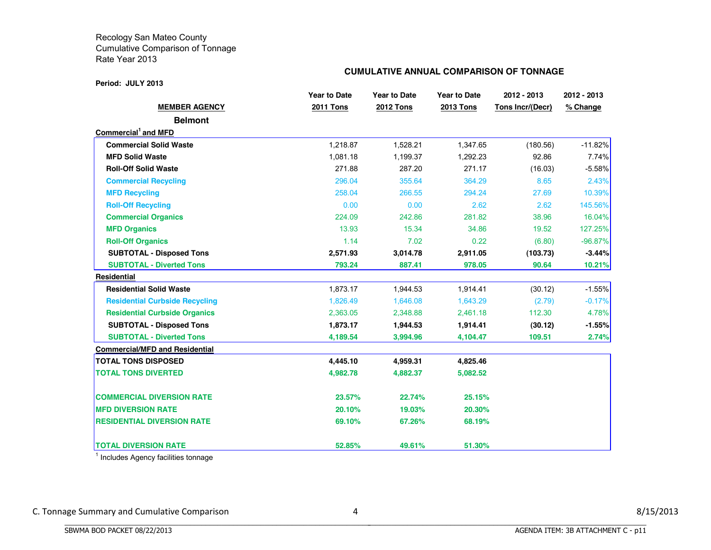#### **Period: JULY 2013**

#### **CUMULATIVE ANNUAL COMPARISON OF TONNAGE**

|                                       | <b>Year to Date</b> | <b>Year to Date</b> | <b>Year to Date</b> | 2012 - 2013      | 2012 - 2013 |
|---------------------------------------|---------------------|---------------------|---------------------|------------------|-------------|
| <b>MEMBER AGENCY</b>                  | <b>2011 Tons</b>    | <b>2012 Tons</b>    | <b>2013 Tons</b>    | Tons Incr/(Decr) | % Change    |
| <b>Belmont</b>                        |                     |                     |                     |                  |             |
| Commercial <sup>1</sup> and MFD       |                     |                     |                     |                  |             |
| <b>Commercial Solid Waste</b>         | 1,218.87            | 1,528.21            | 1,347.65            | (180.56)         | $-11.82%$   |
| <b>MFD Solid Waste</b>                | 1,081.18            | 1,199.37            | 1,292.23            | 92.86            | 7.74%       |
| <b>Roll-Off Solid Waste</b>           | 271.88              | 287.20              | 271.17              | (16.03)          | $-5.58%$    |
| <b>Commercial Recycling</b>           | 296.04              | 355.64              | 364.29              | 8.65             | 2.43%       |
| <b>MFD Recycling</b>                  | 258.04              | 266.55              | 294.24              | 27.69            | 10.39%      |
| <b>Roll-Off Recycling</b>             | 0.00                | 0.00                | 2.62                | 2.62             | 145.56%     |
| <b>Commercial Organics</b>            | 224.09              | 242.86              | 281.82              | 38.96            | 16.04%      |
| <b>MFD Organics</b>                   | 13.93               | 15.34               | 34.86               | 19.52            | 127.25%     |
| <b>Roll-Off Organics</b>              | 1.14                | 7.02                | 0.22                | (6.80)           | $-96.87%$   |
| <b>SUBTOTAL - Disposed Tons</b>       | 2,571.93            | 3,014.78            | 2,911.05            | (103.73)         | $-3.44%$    |
| <b>SUBTOTAL - Diverted Tons</b>       | 793.24              | 887.41              | 978.05              | 90.64            | 10.21%      |
| Residential                           |                     |                     |                     |                  |             |
| <b>Residential Solid Waste</b>        | 1,873.17            | 1,944.53            | 1,914.41            | (30.12)          | $-1.55%$    |
| <b>Residential Curbside Recycling</b> | 1,826.49            | 1,646.08            | 1,643.29            | (2.79)           | $-0.17%$    |
| <b>Residential Curbside Organics</b>  | 2,363.05            | 2,348.88            | 2,461.18            | 112.30           | 4.78%       |
| <b>SUBTOTAL - Disposed Tons</b>       | 1,873.17            | 1,944.53            | 1,914.41            | (30.12)          | $-1.55%$    |
| <b>SUBTOTAL - Diverted Tons</b>       | 4,189.54            | 3,994.96            | 4,104.47            | 109.51           | 2.74%       |
| <b>Commercial/MFD and Residential</b> |                     |                     |                     |                  |             |
| <b>TOTAL TONS DISPOSED</b>            | 4,445.10            | 4,959.31            | 4,825.46            |                  |             |
| <b>TOTAL TONS DIVERTED</b>            | 4,982.78            | 4,882.37            | 5,082.52            |                  |             |
| <b>COMMERCIAL DIVERSION RATE</b>      | 23.57%              | 22.74%              | 25.15%              |                  |             |
| <b>MFD DIVERSION RATE</b>             | 20.10%              | 19.03%              | 20.30%              |                  |             |
| <b>RESIDENTIAL DIVERSION RATE</b>     | 69.10%              | 67.26%              | 68.19%              |                  |             |
| <b>TOTAL DIVERSION RATE</b>           | 52.85%              | 49.61%              | 51.30%              |                  |             |

 $<sup>1</sup>$  Includes Agency facilities tonnage</sup>

BBBBBBBBBBBBBBBBBBBBBBBBBBBBBBBBBBBBBBBBBBBBBBBBBBBBBBBBBBBBBBBBBBBBBBBBBBBBBB

C. Tonnage Summary and Cumulative Comparison and the state of the state of the state of the state of the state of the state of the state of the state of the state of the state of the state of the state of the state of the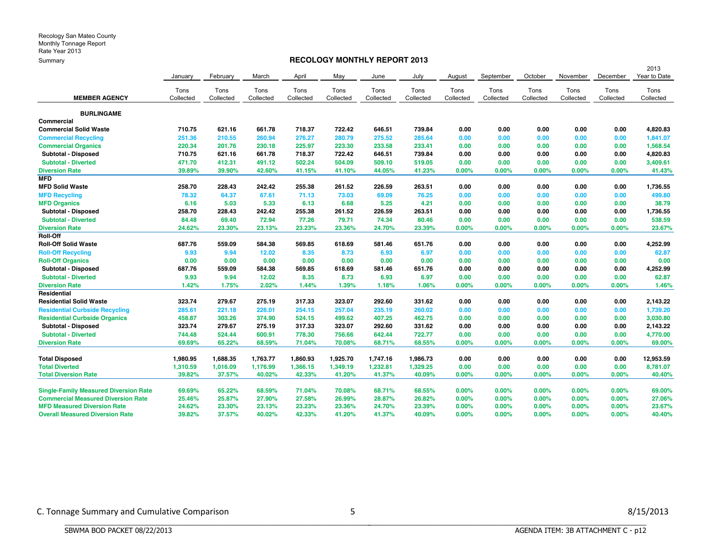#### **RECOLOGY MONTHLY REPORT 2013**

| <u>----------</u>                            |           |           |           |           |           |           |           |           |           |           |           |           |                      |
|----------------------------------------------|-----------|-----------|-----------|-----------|-----------|-----------|-----------|-----------|-----------|-----------|-----------|-----------|----------------------|
|                                              | January   | February  | March     | April     | May       | June      | July      | August    | September | October   | November  | December  | 2013<br>Year to Date |
|                                              | Tons      | Tons      | Tons      | Tons      | Tons      | Tons      | Tons      | Tons      | Tons      | Tons      | Tons      | Tons      | Tons                 |
| <b>MEMBER AGENCY</b>                         | Collected | Collected | Collected | Collected | Collected | Collected | Collected | Collected | Collected | Collected | Collected | Collected | Collected            |
| <b>BURLINGAME</b>                            |           |           |           |           |           |           |           |           |           |           |           |           |                      |
| Commercial                                   |           |           |           |           |           |           |           |           |           |           |           |           |                      |
| <b>Commercial Solid Waste</b>                | 710.75    | 621.16    | 661.78    | 718.37    | 722.42    | 646.51    | 739.84    | 0.00      | 0.00      | 0.00      | 0.00      | 0.00      | 4,820.83             |
| <b>Commercial Recycling</b>                  | 251.36    | 210.55    | 260.94    | 276.27    | 280.79    | 275.52    | 285.64    | 0.00      | 0.00      | 0.00      | 0.00      | 0.00      | 1,841.07             |
| <b>Commercial Organics</b>                   | 220.34    | 201.76    | 230.18    | 225.97    | 223.30    | 233.58    | 233.41    | 0.00      | 0.00      | 0.00      | 0.00      | 0.00      | 1,568.54             |
| Subtotal - Disposed                          | 710.75    | 621.16    | 661.78    | 718.37    | 722.42    | 646.51    | 739.84    | 0.00      | 0.00      | 0.00      | 0.00      | 0.00      | 4,820.83             |
| <b>Subtotal - Diverted</b>                   | 471.70    | 412.31    | 491.12    | 502.24    | 504.09    | 509.10    | 519.05    | 0.00      | 0.00      | 0.00      | 0.00      | 0.00      | 3,409.61             |
| <b>Diversion Rate</b>                        | 39.89%    | 39.90%    | 42.60%    | 41.15%    | 41.10%    | 44.05%    | 41.23%    | 0.00%     | 0.00%     | 0.00%     | 0.00%     | 0.00%     | 41.43%               |
| <b>MFD</b>                                   |           |           |           |           |           |           |           |           |           |           |           |           |                      |
| <b>MFD Solid Waste</b>                       | 258.70    | 228.43    | 242.42    | 255.38    | 261.52    | 226.59    | 263.51    | 0.00      | 0.00      | 0.00      | 0.00      | 0.00      | 1,736.55             |
| <b>MFD Recycling</b>                         | 78.32     | 64.37     | 67.61     | 71.13     | 73.03     | 69.09     | 76.25     | 0.00      | 0.00      | 0.00      | 0.00      | 0.00      | 499.80               |
| <b>MFD Organics</b>                          | 6.16      | 5.03      | 5.33      | 6.13      | 6.68      | 5.25      | 4.21      | 0.00      | 0.00      | 0.00      | 0.00      | 0.00      | 38.79                |
| Subtotal - Disposed                          | 258.70    | 228.43    | 242.42    | 255.38    | 261.52    | 226.59    | 263.51    | 0.00      | 0.00      | 0.00      | 0.00      | 0.00      | 1,736.55             |
| <b>Subtotal - Diverted</b>                   | 84.48     | 69.40     | 72.94     | 77.26     | 79.71     | 74.34     | 80.46     | 0.00      | 0.00      | 0.00      | 0.00      | 0.00      | 538.59               |
| <b>Diversion Rate</b>                        | 24.62%    | 23.30%    | 23.13%    | 23.23%    | 23.36%    | 24.70%    | 23.39%    | 0.00%     | 0.00%     | 0.00%     | 0.00%     | 0.00%     | 23.67%               |
| <b>Roll-Off</b>                              |           |           |           |           |           |           |           |           |           |           |           |           |                      |
| <b>Roll-Off Solid Waste</b>                  | 687.76    | 559.09    | 584.38    | 569.85    | 618.69    | 581.46    | 651.76    | 0.00      | 0.00      | 0.00      | 0.00      | 0.00      | 4,252.99             |
| <b>Roll-Off Recycling</b>                    | 9.93      | 9.94      | 12.02     | 8.35      | 8.73      | 6.93      | 6.97      | 0.00      | 0.00      | 0.00      | 0.00      | 0.00      | 62.87                |
| <b>Roll-Off Organics</b>                     | 0.00      | 0.00      | 0.00      | 0.00      | 0.00      | 0.00      | 0.00      | 0.00      | 0.00      | 0.00      | 0.00      | 0.00      | 0.00                 |
| Subtotal - Disposed                          | 687.76    | 559.09    | 584.38    | 569.85    | 618.69    | 581.46    | 651.76    | 0.00      | 0.00      | 0.00      | 0.00      | 0.00      | 4,252.99             |
| <b>Subtotal - Diverted</b>                   | 9.93      | 9.94      | 12.02     | 8.35      | 8.73      | 6.93      | 6.97      | 0.00      | 0.00      | 0.00      | 0.00      | 0.00      | 62.87                |
| <b>Diversion Rate</b>                        | 1.42%     | 1.75%     | 2.02%     | 1.44%     | 1.39%     | 1.18%     | 1.06%     | 0.00%     | 0.00%     | 0.00%     | 0.00%     | 0.00%     | 1.46%                |
| Residential                                  |           |           |           |           |           |           |           |           |           |           |           |           |                      |
| <b>Residential Solid Waste</b>               | 323.74    | 279.67    | 275.19    | 317.33    | 323.07    | 292.60    | 331.62    | 0.00      | 0.00      | 0.00      | 0.00      | 0.00      | 2,143.22             |
| <b>Residential Curbside Recycling</b>        | 285.61    | 221.18    | 226.01    | 254.15    | 257.04    | 235.19    | 260.02    | 0.00      | 0.00      | 0.00      | 0.00      | 0.00      | 1,739.20             |
| <b>Residential Curbside Organics</b>         | 458.87    | 303.26    | 374.90    | 524.15    | 499.62    | 407.25    | 462.75    | 0.00      | 0.00      | 0.00      | 0.00      | 0.00      | 3,030.80             |
| Subtotal - Disposed                          | 323.74    | 279.67    | 275.19    | 317.33    | 323.07    | 292.60    | 331.62    | 0.00      | 0.00      | 0.00      | 0.00      | 0.00      | 2,143.22             |
| <b>Subtotal - Diverted</b>                   | 744.48    | 524.44    | 600.91    | 778.30    | 756.66    | 642.44    | 722.77    | 0.00      | 0.00      | 0.00      | 0.00      | 0.00      | 4,770.00             |
| <b>Diversion Rate</b>                        | 69.69%    | 65.22%    | 68.59%    | 71.04%    | 70.08%    | 68.71%    | 68.55%    | 0.00%     | 0.00%     | 0.00%     | 0.00%     | 0.00%     | 69.00%               |
|                                              |           |           |           |           |           |           |           |           |           |           |           |           |                      |
| <b>Total Disposed</b>                        | 1,980.95  | 1,688.35  | 1,763.77  | 1,860.93  | 1,925.70  | 1,747.16  | 1,986.73  | 0.00      | 0.00      | 0.00      | 0.00      | 0.00      | 12,953.59            |
| <b>Total Diverted</b>                        | 1,310.59  | 1,016.09  | 1,176.99  | 1,366.15  | 1,349.19  | 1,232.81  | 1,329.25  | 0.00      | 0.00      | 0.00      | 0.00      | 0.00      | 8,781.07             |
| <b>Total Diversion Rate</b>                  | 39.82%    | 37.57%    | 40.02%    | 42.33%    | 41.20%    | 41.37%    | 40.09%    | 0.00%     | 0.00%     | 0.00%     | 0.00%     | 0.00%     | 40.40%               |
| <b>Single-Family Measured Diversion Rate</b> | 69.69%    | 65.22%    | 68.59%    | 71.04%    | 70.08%    | 68.71%    | 68.55%    | 0.00%     | 0.00%     | 0.00%     | 0.00%     | $0.00\%$  | 69.00%               |
| <b>Commercial Measured Diversion Rate</b>    | 25.46%    | 25.87%    | 27.90%    | 27.58%    | 26.99%    | 28.87%    | 26.82%    | 0.00%     | 0.00%     | 0.00%     | 0.00%     | 0.00%     | 27.06%               |
| <b>MFD Measured Diversion Rate</b>           | 24.62%    | 23.30%    | 23.13%    | 23.23%    | 23.36%    | 24.70%    | 23.39%    | 0.00%     | 0.00%     | 0.00%     | 0.00%     | 0.00%     | 23.67%               |
| <b>Overall Measured Diversion Rate</b>       | 39.82%    | 37.57%    | 40.02%    | 42.33%    | 41.20%    | 41.37%    | 40.09%    | 0.00%     | 0.00%     | 0.00%     | 0.00%     | 0.00%     | 40.40%               |
|                                              |           |           |           |           |           |           |           |           |           |           |           |           |                      |

BBBBBBBBBBBBBBBBBBBBBBBBBBBBBBBBBBBBBBBBBBBBBBBBBBBBBBBBBBBBBBBBBBBBBBBBBBBBBB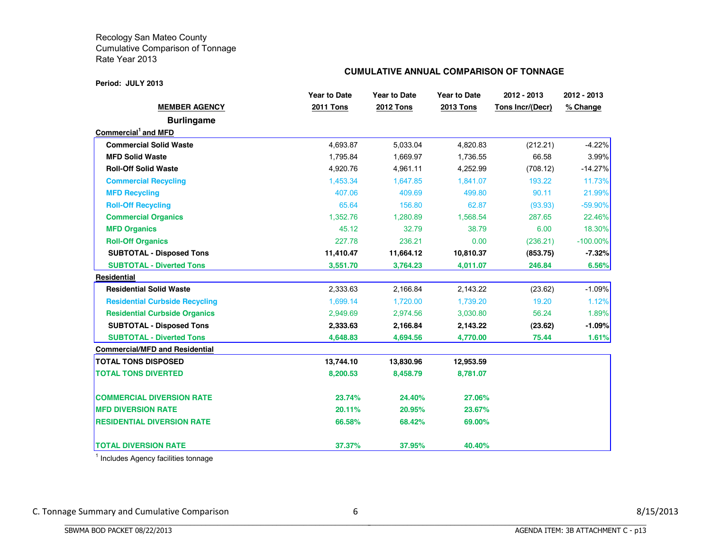#### **Period: JULY 2013**

#### **CUMULATIVE ANNUAL COMPARISON OF TONNAGE**

|                                       | <b>Year to Date</b> | <b>Year to Date</b> | <b>Year to Date</b> | 2012 - 2013      | 2012 - 2013 |
|---------------------------------------|---------------------|---------------------|---------------------|------------------|-------------|
| <b>MEMBER AGENCY</b>                  | <b>2011 Tons</b>    | <b>2012 Tons</b>    | <b>2013 Tons</b>    | Tons Incr/(Decr) | % Change    |
| <b>Burlingame</b>                     |                     |                     |                     |                  |             |
| Commercial <sup>1</sup> and MFD       |                     |                     |                     |                  |             |
| <b>Commercial Solid Waste</b>         | 4,693.87            | 5,033.04            | 4,820.83            | (212.21)         | $-4.22%$    |
| <b>MFD Solid Waste</b>                | 1,795.84            | 1,669.97            | 1,736.55            | 66.58            | $3.99\%$    |
| <b>Roll-Off Solid Waste</b>           | 4,920.76            | 4,961.11            | 4,252.99            | (708.12)         | $-14.27%$   |
| <b>Commercial Recycling</b>           | 1,453.34            | 1,647.85            | 1,841.07            | 193.22           | 11.73%      |
| <b>MFD Recycling</b>                  | 407.06              | 409.69              | 499.80              | 90.11            | 21.99%      |
| <b>Roll-Off Recycling</b>             | 65.64               | 156.80              | 62.87               | (93.93)          | $-59.90\%$  |
| <b>Commercial Organics</b>            | 1,352.76            | 1,280.89            | 1,568.54            | 287.65           | 22.46%      |
| <b>MFD Organics</b>                   | 45.12               | 32.79               | 38.79               | 6.00             | 18.30%      |
| <b>Roll-Off Organics</b>              | 227.78              | 236.21              | 0.00                | (236.21)         | $-100.00\%$ |
| <b>SUBTOTAL - Disposed Tons</b>       | 11,410.47           | 11,664.12           | 10,810.37           | (853.75)         | $-7.32%$    |
| <b>SUBTOTAL - Diverted Tons</b>       | 3,551.70            | 3,764.23            | 4,011.07            | 246.84           | 6.56%       |
| <b>Residential</b>                    |                     |                     |                     |                  |             |
| <b>Residential Solid Waste</b>        | 2,333.63            | 2,166.84            | 2,143.22            | (23.62)          | $-1.09%$    |
| <b>Residential Curbside Recycling</b> | 1,699.14            | 1,720.00            | 1,739.20            | 19.20            | 1.12%       |
| <b>Residential Curbside Organics</b>  | 2,949.69            | 2,974.56            | 3,030.80            | 56.24            | 1.89%       |
| <b>SUBTOTAL - Disposed Tons</b>       | 2,333.63            | 2,166.84            | 2,143.22            | (23.62)          | -1.09%      |
| <b>SUBTOTAL - Diverted Tons</b>       | 4,648.83            | 4,694.56            | 4,770.00            | 75.44            | 1.61%       |
| <b>Commercial/MFD and Residential</b> |                     |                     |                     |                  |             |
| <b>TOTAL TONS DISPOSED</b>            | 13,744.10           | 13,830.96           | 12,953.59           |                  |             |
| <b>TOTAL TONS DIVERTED</b>            | 8,200.53            | 8,458.79            | 8,781.07            |                  |             |
| <b>COMMERCIAL DIVERSION RATE</b>      | 23.74%              | 24.40%              | 27.06%              |                  |             |
| <b>MFD DIVERSION RATE</b>             | 20.11%              | 20.95%              | 23.67%              |                  |             |
| <b>RESIDENTIAL DIVERSION RATE</b>     | 66.58%              | 68.42%              | 69.00%              |                  |             |
| <b>TOTAL DIVERSION RATE</b>           | 37.37%              | 37.95%              | 40.40%              |                  |             |

<sup>1</sup> Includes Agency facilities tonnage

BBBBBBBBBBBBBBBBBBBBBBBBBBBBBBBBBBBBBBBBBBBBBBBBBBBBBBBBBBBBBBBBBBBBBBBBBBBBBB

C. Tonnage Summary and Cumulative Comparison 6 8/15/2013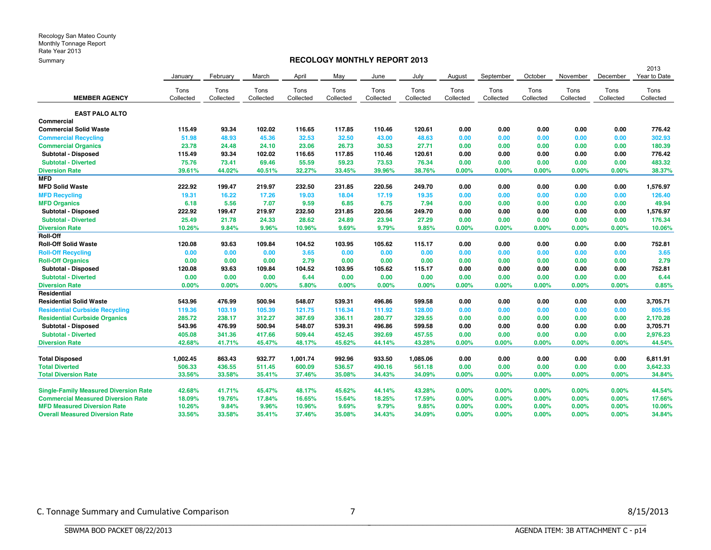#### **RECOLOGY MONTHLY REPORT 2013**

|                                              |           |           |           |           |           |           |           |           |           |           |           |           | 2013         |
|----------------------------------------------|-----------|-----------|-----------|-----------|-----------|-----------|-----------|-----------|-----------|-----------|-----------|-----------|--------------|
|                                              | January   | February  | March     | April     | May       | June      | July      | August    | September | October   | November  | December  | Year to Date |
|                                              | Tons      | Tons      | Tons      | Tons      | Tons      | Tons      | Tons      | Tons      | Tons      | Tons      | Tons      | Tons      | Tons         |
| <b>MEMBER AGENCY</b>                         | Collected | Collected | Collected | Collected | Collected | Collected | Collected | Collected | Collected | Collected | Collected | Collected | Collected    |
| <b>EAST PALO ALTO</b>                        |           |           |           |           |           |           |           |           |           |           |           |           |              |
| Commercial                                   |           |           |           |           |           |           |           |           |           |           |           |           |              |
| <b>Commercial Solid Waste</b>                | 115.49    | 93.34     | 102.02    | 116.65    | 117.85    | 110.46    | 120.61    | 0.00      | 0.00      | 0.00      | 0.00      | 0.00      | 776.42       |
| <b>Commercial Recycling</b>                  | 51.98     | 48.93     | 45.36     | 32.53     | 32.50     | 43.00     | 48.63     | 0.00      | 0.00      | 0.00      | 0.00      | 0.00      | 302.93       |
| <b>Commercial Organics</b>                   | 23.78     | 24.48     | 24.10     | 23.06     | 26.73     | 30.53     | 27.71     | 0.00      | 0.00      | 0.00      | 0.00      | 0.00      | 180.39       |
| Subtotal - Disposed                          | 115.49    | 93.34     | 102.02    | 116.65    | 117.85    | 110.46    | 120.61    | 0.00      | 0.00      | 0.00      | 0.00      | 0.00      | 776.42       |
| <b>Subtotal - Diverted</b>                   | 75.76     | 73.41     | 69.46     | 55.59     | 59.23     | 73.53     | 76.34     | 0.00      | 0.00      | 0.00      | 0.00      | 0.00      | 483.32       |
| <b>Diversion Rate</b>                        | 39.61%    | 44.02%    | 40.51%    | 32.27%    | 33.45%    | 39.96%    | 38.76%    | 0.00%     | 0.00%     | 0.00%     | 0.00%     | 0.00%     | 38.37%       |
| <b>MFD</b>                                   |           |           |           |           |           |           |           |           |           |           |           |           |              |
| <b>MFD Solid Waste</b>                       | 222.92    | 199.47    | 219.97    | 232.50    | 231.85    | 220.56    | 249.70    | 0.00      | 0.00      | 0.00      | 0.00      | 0.00      | 1,576.97     |
| <b>MFD Recycling</b>                         | 19.31     | 16.22     | 17.26     | 19.03     | 18.04     | 17.19     | 19.35     | 0.00      | 0.00      | 0.00      | 0.00      | 0.00      | 126.40       |
| <b>MFD Organics</b>                          | 6.18      | 5.56      | 7.07      | 9.59      | 6.85      | 6.75      | 7.94      | 0.00      | 0.00      | 0.00      | 0.00      | 0.00      | 49.94        |
| Subtotal - Disposed                          | 222.92    | 199.47    | 219.97    | 232.50    | 231.85    | 220.56    | 249.70    | 0.00      | 0.00      | 0.00      | 0.00      | 0.00      | 1,576.97     |
| <b>Subtotal - Diverted</b>                   | 25.49     | 21.78     | 24.33     | 28.62     | 24.89     | 23.94     | 27.29     | 0.00      | 0.00      | 0.00      | 0.00      | 0.00      | 176.34       |
| <b>Diversion Rate</b>                        | 10.26%    | 9.84%     | 9.96%     | 10.96%    | 9.69%     | 9.79%     | 9.85%     | 0.00%     | 0.00%     | 0.00%     | 0.00%     | 0.00%     | 10.06%       |
| Roll-Off                                     |           |           |           |           |           |           |           |           |           |           |           |           |              |
| <b>Roll-Off Solid Waste</b>                  | 120.08    | 93.63     | 109.84    | 104.52    | 103.95    | 105.62    | 115.17    | 0.00      | 0.00      | 0.00      | 0.00      | 0.00      | 752.81       |
| <b>Roll-Off Recycling</b>                    | 0.00      | 0.00      | 0.00      | 3.65      | 0.00      | 0.00      | 0.00      | 0.00      | 0.00      | 0.00      | 0.00      | 0.00      | 3.65         |
| <b>Roll-Off Organics</b>                     | 0.00      | 0.00      | 0.00      | 2.79      | 0.00      | 0.00      | 0.00      | 0.00      | 0.00      | 0.00      | 0.00      | 0.00      | 2.79         |
| Subtotal - Disposed                          | 120.08    | 93.63     | 109.84    | 104.52    | 103.95    | 105.62    | 115.17    | 0.00      | 0.00      | 0.00      | 0.00      | 0.00      | 752.81       |
| <b>Subtotal - Diverted</b>                   | 0.00      | 0.00      | 0.00      | 6.44      | 0.00      | 0.00      | 0.00      | 0.00      | 0.00      | 0.00      | 0.00      | 0.00      | 6.44         |
| <b>Diversion Rate</b>                        | 0.00%     | 0.00%     | 0.00%     | 5.80%     | 0.00%     | 0.00%     | 0.00%     | 0.00%     | 0.00%     | 0.00%     | 0.00%     | 0.00%     | 0.85%        |
| Residential                                  |           |           |           |           |           |           |           |           |           |           |           |           |              |
| <b>Residential Solid Waste</b>               | 543.96    | 476.99    | 500.94    | 548.07    | 539.31    | 496.86    | 599.58    | 0.00      | 0.00      | 0.00      | 0.00      | 0.00      | 3,705.71     |
| <b>Residential Curbside Recycling</b>        | 119.36    | 103.19    | 105.39    | 121.75    | 116.34    | 111.92    | 128.00    | 0.00      | 0.00      | 0.00      | 0.00      | 0.00      | 805.95       |
| <b>Residential Curbside Organics</b>         | 285.72    | 238.17    | 312.27    | 387.69    | 336.11    | 280,77    | 329.55    | 0.00      | 0.00      | 0.00      | 0.00      | 0.00      | 2,170.28     |
| Subtotal - Disposed                          | 543.96    | 476.99    | 500.94    | 548.07    | 539.31    | 496.86    | 599.58    | 0.00      | 0.00      | 0.00      | 0.00      | 0.00      | 3,705.71     |
| <b>Subtotal - Diverted</b>                   | 405.08    | 341.36    | 417.66    | 509.44    | 452.45    | 392.69    | 457.55    | 0.00      | 0.00      | 0.00      | 0.00      | 0.00      | 2,976.23     |
| <b>Diversion Rate</b>                        | 42.68%    | 41.71%    | 45.47%    | 48.17%    | 45.62%    | 44.14%    | 43.28%    | 0.00%     | 0.00%     | 0.00%     | 0.00%     | 0.00%     | 44.54%       |
| <b>Total Disposed</b>                        | 1,002.45  | 863.43    | 932.77    | 1,001.74  | 992.96    | 933.50    | 1,085.06  | 0.00      | 0.00      | 0.00      | 0.00      | 0.00      | 6,811.91     |
| <b>Total Diverted</b>                        | 506.33    | 436.55    | 511.45    | 600.09    | 536.57    | 490.16    | 561.18    | 0.00      | 0.00      | 0.00      | 0.00      | 0.00      | 3,642.33     |
| <b>Total Diversion Rate</b>                  | 33.56%    | 33.58%    | 35.41%    | 37.46%    | 35.08%    | 34.43%    | 34.09%    | 0.00%     | 0.00%     | 0.00%     | 0.00%     | 0.00%     | 34.84%       |
| <b>Single-Family Measured Diversion Rate</b> | 42.68%    | 41.71%    | 45.47%    | 48.17%    | 45.62%    | 44.14%    | 43.28%    | 0.00%     | 0.00%     | 0.00%     | 0.00%     | $0.00\%$  | 44.54%       |
| <b>Commercial Measured Diversion Rate</b>    | 18.09%    | 19.76%    | 17.84%    | 16.65%    | 15.64%    | 18.25%    | 17.59%    | 0.00%     | 0.00%     | 0.00%     | 0.00%     | $0.00\%$  | 17.66%       |
| <b>MFD Measured Diversion Rate</b>           | 10.26%    | 9.84%     | 9.96%     | 10.96%    | 9.69%     | 9.79%     | 9.85%     | 0.00%     | 0.00%     | 0.00%     | 0.00%     | 0.00%     | 10.06%       |
| <b>Overall Measured Diversion Rate</b>       | 33.56%    | 33.58%    | 35.41%    | 37.46%    | 35.08%    | 34.43%    | 34.09%    | 0.00%     | 0.00%     | 0.00%     | 0.00%     | $0.00\%$  | 34.84%       |
|                                              |           |           |           |           |           |           |           |           |           |           |           |           |              |

BBBBBBBBBBBBBBBBBBBBBBBBBBBBBBBBBBBBBBBBBBBBBBBBBBBBBBBBBBBBBBBBBBBBBBBBBBBBBB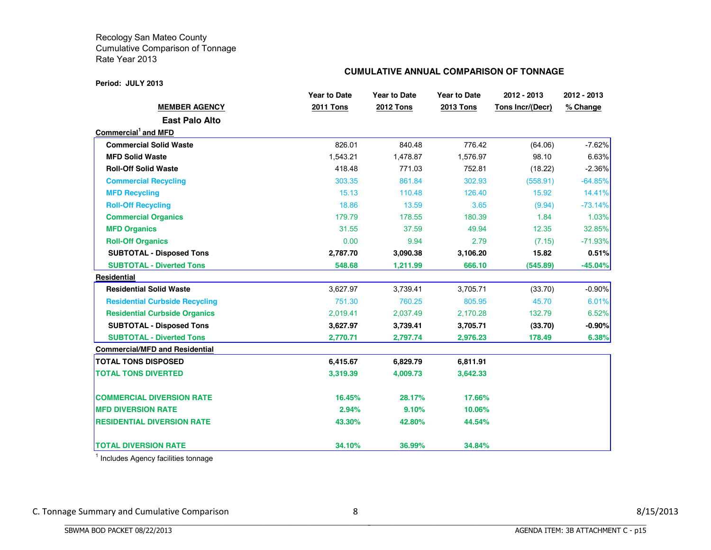#### **Period: JULY 2013**

#### **CUMULATIVE ANNUAL COMPARISON OF TONNAGE**

|                                       | <b>Year to Date</b> | <b>Year to Date</b> | <b>Year to Date</b> | 2012 - 2013             | 2012 - 2013 |
|---------------------------------------|---------------------|---------------------|---------------------|-------------------------|-------------|
| <b>MEMBER AGENCY</b>                  | 2011 Tons           | 2012 Tons           | 2013 Tons           | <b>Tons Incr/(Decr)</b> | % Change    |
| <b>East Palo Alto</b>                 |                     |                     |                     |                         |             |
| Commercial <sup>1</sup> and MFD       |                     |                     |                     |                         |             |
| <b>Commercial Solid Waste</b>         | 826.01              | 840.48              | 776.42              | (64.06)                 | $-7.62%$    |
| <b>MFD Solid Waste</b>                | 1,543.21            | 1,478.87            | 1,576.97            | 98.10                   | 6.63%       |
| <b>Roll-Off Solid Waste</b>           | 418.48              | 771.03              | 752.81              | (18.22)                 | $-2.36%$    |
| <b>Commercial Recycling</b>           | 303.35              | 861.84              | 302.93              | (558.91)                | $-64.85%$   |
| <b>MFD Recycling</b>                  | 15.13               | 110.48              | 126.40              | 15.92                   | 14.41%      |
| <b>Roll-Off Recycling</b>             | 18.86               | 13.59               | 3.65                | (9.94)                  | $-73.14%$   |
| <b>Commercial Organics</b>            | 179.79              | 178.55              | 180.39              | 1.84                    | 1.03%       |
| <b>MFD Organics</b>                   | 31.55               | 37.59               | 49.94               | 12.35                   | 32.85%      |
| <b>Roll-Off Organics</b>              | 0.00                | 9.94                | 2.79                | (7.15)                  | $-71.93%$   |
| <b>SUBTOTAL - Disposed Tons</b>       | 2,787.70            | 3,090.38            | 3,106.20            | 15.82                   | 0.51%       |
| <b>SUBTOTAL - Diverted Tons</b>       | 548.68              | 1,211.99            | 666.10              | (545.89)                | $-45.04\%$  |
| <b>Residential</b>                    |                     |                     |                     |                         |             |
| <b>Residential Solid Waste</b>        | 3,627.97            | 3,739.41            | 3,705.71            | (33.70)                 | $-0.90%$    |
| <b>Residential Curbside Recycling</b> | 751.30              | 760.25              | 805.95              | 45.70                   | 6.01%       |
| <b>Residential Curbside Organics</b>  | 2,019.41            | 2,037.49            | 2,170.28            | 132.79                  | 6.52%       |
| <b>SUBTOTAL - Disposed Tons</b>       | 3,627.97            | 3,739.41            | 3,705.71            | (33.70)                 | $-0.90%$    |
| <b>SUBTOTAL - Diverted Tons</b>       | 2,770.71            | 2,797.74            | 2,976.23            | 178.49                  | 6.38%       |
| <b>Commercial/MFD and Residential</b> |                     |                     |                     |                         |             |
| <b>TOTAL TONS DISPOSED</b>            | 6,415.67            | 6,829.79            | 6,811.91            |                         |             |
| <b>TOTAL TONS DIVERTED</b>            | 3,319.39            | 4,009.73            | 3,642.33            |                         |             |
| <b>COMMERCIAL DIVERSION RATE</b>      | 16.45%              | 28.17%              | 17.66%              |                         |             |
| <b>MFD DIVERSION RATE</b>             | 2.94%               | 9.10%               | 10.06%              |                         |             |
| <b>RESIDENTIAL DIVERSION RATE</b>     | 43.30%              | 42.80%              | 44.54%              |                         |             |
| <b>TOTAL DIVERSION RATE</b>           | 34.10%              | 36.99%              | 34.84%              |                         |             |

<sup>1</sup> Includes Agency facilities tonnage

BBBBBBBBBBBBBBBBBBBBBBBBBBBBBBBBBBBBBBBBBBBBBBBBBBBBBBBBBBBBBBBBBBBBBBBBBBBBBB

C. Tonnage Summary and Cumulative Comparison 8 8 8/15/2013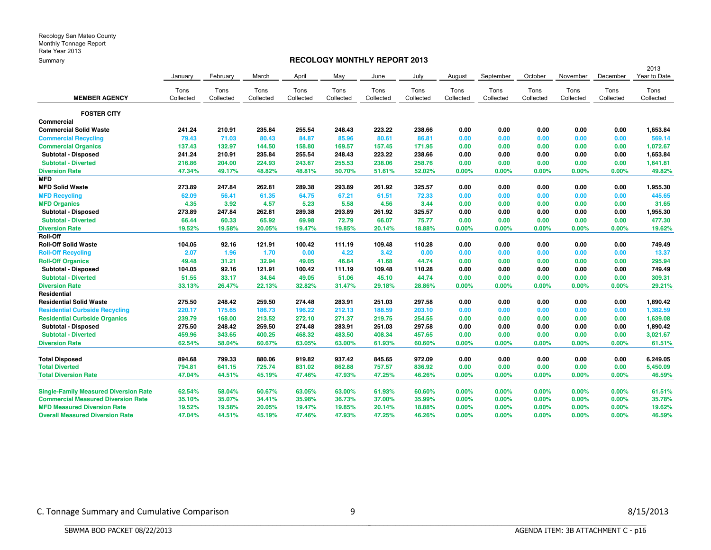#### **RECOLOGY MONTHLY REPORT 2013**

|                                              |           |           |           |           |           |           |           |           |           |           |           |           | 2013         |
|----------------------------------------------|-----------|-----------|-----------|-----------|-----------|-----------|-----------|-----------|-----------|-----------|-----------|-----------|--------------|
|                                              | January   | February  | March     | April     | May       | June      | July      | August    | September | October   | November  | December  | Year to Date |
|                                              | Tons      | Tons      | Tons      | Tons      | Tons      | Tons      | Tons      | Tons      | Tons      | Tons      | Tons      | Tons      | Tons         |
| <b>MEMBER AGENCY</b>                         | Collected | Collected | Collected | Collected | Collected | Collected | Collected | Collected | Collected | Collected | Collected | Collected | Collected    |
| <b>FOSTER CITY</b>                           |           |           |           |           |           |           |           |           |           |           |           |           |              |
| Commercial                                   |           |           |           |           |           |           |           |           |           |           |           |           |              |
| <b>Commercial Solid Waste</b>                | 241.24    | 210.91    | 235.84    | 255.54    | 248.43    | 223.22    | 238.66    | 0.00      | 0.00      | 0.00      | 0.00      | 0.00      | 1,653.84     |
| <b>Commercial Recycling</b>                  | 79.43     | 71.03     | 80.43     | 84.87     | 85.96     | 80.61     | 86.81     | 0.00      | 0.00      | 0.00      | 0.00      | 0.00      | 569.14       |
| <b>Commercial Organics</b>                   | 137.43    | 132.97    | 144.50    | 158.80    | 169.57    | 157.45    | 171.95    | 0.00      | 0.00      | 0.00      | 0.00      | 0.00      | 1,072.67     |
| Subtotal - Disposed                          | 241.24    | 210.91    | 235.84    | 255.54    | 248.43    | 223.22    | 238.66    | 0.00      | 0.00      | 0.00      | 0.00      | 0.00      | 1,653.84     |
| <b>Subtotal - Diverted</b>                   | 216.86    | 204.00    | 224.93    | 243.67    | 255.53    | 238.06    | 258.76    | 0.00      | 0.00      | 0.00      | 0.00      | 0.00      | 1,641.81     |
| <b>Diversion Rate</b>                        | 47.34%    | 49.17%    | 48.82%    | 48.81%    | 50.70%    | 51.61%    | 52.02%    | 0.00%     | 0.00%     | 0.00%     | 0.00%     | 0.00%     | 49.82%       |
| <b>MFD</b>                                   |           |           |           |           |           |           |           |           |           |           |           |           |              |
| <b>MFD Solid Waste</b>                       | 273.89    | 247.84    | 262.81    | 289.38    | 293.89    | 261.92    | 325.57    | 0.00      | 0.00      | 0.00      | 0.00      | 0.00      | 1,955.30     |
| <b>MFD Recycling</b>                         | 62.09     | 56.41     | 61.35     | 64.75     | 67.21     | 61.51     | 72.33     | 0.00      | 0.00      | 0.00      | 0.00      | 0.00      | 445.65       |
| <b>MFD Organics</b>                          | 4.35      | 3.92      | 4.57      | 5.23      | 5.58      | 4.56      | 3.44      | 0.00      | 0.00      | 0.00      | 0.00      | 0.00      | 31.65        |
| Subtotal - Disposed                          | 273.89    | 247.84    | 262.81    | 289.38    | 293.89    | 261.92    | 325.57    | 0.00      | 0.00      | 0.00      | 0.00      | 0.00      | 1,955.30     |
| <b>Subtotal - Diverted</b>                   | 66.44     | 60.33     | 65.92     | 69.98     | 72.79     | 66.07     | 75.77     | 0.00      | 0.00      | 0.00      | 0.00      | 0.00      | 477.30       |
| <b>Diversion Rate</b>                        | 19.52%    | 19.58%    | 20.05%    | 19.47%    | 19.85%    | 20.14%    | 18.88%    | 0.00%     | 0.00%     | 0.00%     | 0.00%     | 0.00%     | 19.62%       |
| Roll-Off                                     |           |           |           |           |           |           |           |           |           |           |           |           |              |
| <b>Roll-Off Solid Waste</b>                  | 104.05    | 92.16     | 121.91    | 100.42    | 111.19    | 109.48    | 110.28    | 0.00      | 0.00      | 0.00      | 0.00      | 0.00      | 749.49       |
| <b>Roll-Off Recycling</b>                    | 2.07      | 1.96      | 1.70      | 0.00      | 4.22      | 3.42      | 0.00      | 0.00      | 0.00      | 0.00      | 0.00      | 0.00      | 13.37        |
| <b>Roll-Off Organics</b>                     | 49.48     | 31.21     | 32.94     | 49.05     | 46.84     | 41.68     | 44.74     | 0.00      | 0.00      | 0.00      | 0.00      | 0.00      | 295.94       |
| Subtotal - Disposed                          | 104.05    | 92.16     | 121.91    | 100.42    | 111.19    | 109.48    | 110.28    | 0.00      | 0.00      | 0.00      | 0.00      | 0.00      | 749.49       |
| <b>Subtotal - Diverted</b>                   | 51.55     | 33.17     | 34.64     | 49.05     | 51.06     | 45.10     | 44.74     | 0.00      | 0.00      | 0.00      | 0.00      | 0.00      | 309.31       |
| <b>Diversion Rate</b>                        | 33.13%    | 26.47%    | 22.13%    | 32.82%    | 31.47%    | 29.18%    | 28.86%    | 0.00%     | 0.00%     | 0.00%     | 0.00%     | 0.00%     | 29.21%       |
| Residential                                  |           |           |           |           |           |           |           |           |           |           |           |           |              |
| <b>Residential Solid Waste</b>               | 275.50    | 248.42    | 259.50    | 274.48    | 283.91    | 251.03    | 297.58    | 0.00      | 0.00      | 0.00      | 0.00      | 0.00      | 1,890.42     |
| <b>Residential Curbside Recycling</b>        | 220.17    | 175.65    | 186.73    | 196.22    | 212.13    | 188.59    | 203.10    | 0.00      | 0.00      | 0.00      | 0.00      | 0.00      | 1,382.59     |
| <b>Residential Curbside Organics</b>         | 239.79    | 168,00    | 213.52    | 272.10    | 271.37    | 219.75    | 254.55    | 0.00      | 0.00      | 0.00      | 0.00      | 0.00      | 1,639.08     |
| Subtotal - Disposed                          | 275.50    | 248.42    | 259.50    | 274.48    | 283.91    | 251.03    | 297.58    | 0.00      | 0.00      | 0.00      | 0.00      | 0.00      | 1,890.42     |
| <b>Subtotal - Diverted</b>                   | 459.96    | 343.65    | 400.25    | 468.32    | 483.50    | 408.34    | 457.65    | 0.00      | 0.00      | 0.00      | 0.00      | 0.00      | 3,021.67     |
| <b>Diversion Rate</b>                        | 62.54%    | 58.04%    | 60.67%    | 63.05%    | 63.00%    | 61.93%    | 60.60%    | 0.00%     | 0.00%     | 0.00%     | 0.00%     | 0.00%     | 61.51%       |
| <b>Total Disposed</b>                        | 894.68    | 799.33    | 880.06    | 919.82    | 937.42    | 845.65    | 972.09    | 0.00      | 0.00      | 0.00      | 0.00      | 0.00      | 6,249.05     |
| <b>Total Diverted</b>                        | 794.81    | 641.15    | 725.74    | 831.02    | 862.88    | 757.57    | 836.92    | 0.00      | 0.00      | 0.00      | 0.00      | 0.00      | 5,450.09     |
| <b>Total Diversion Rate</b>                  | 47.04%    | 44.51%    | 45.19%    | 47.46%    | 47.93%    | 47.25%    | 46.26%    | 0.00%     | 0.00%     | 0.00%     | 0.00%     | $0.00\%$  | 46.59%       |
| <b>Single-Family Measured Diversion Rate</b> | 62.54%    | 58.04%    | 60.67%    | 63.05%    | 63.00%    | 61.93%    | 60.60%    | 0.00%     | 0.00%     | $0.00\%$  | $0.00\%$  | $0.00\%$  | 61.51%       |
| <b>Commercial Measured Diversion Rate</b>    | 35.10%    | 35.07%    | 34.41%    | 35.98%    | 36.73%    | 37.00%    | 35.99%    | $0.00\%$  | 0.00%     | 0.00%     | 0.00%     | $0.00\%$  | 35.78%       |
| <b>MFD Measured Diversion Rate</b>           | 19.52%    | 19.58%    | 20.05%    | 19.47%    | 19.85%    | 20.14%    | 18.88%    | 0.00%     | 0.00%     | 0.00%     | 0.00%     | 0.00%     | 19.62%       |
| <b>Overall Measured Diversion Rate</b>       | 47.04%    | 44.51%    | 45.19%    | 47.46%    | 47.93%    | 47.25%    | 46.26%    | 0.00%     | 0.00%     | 0.00%     | 0.00%     | 0.00%     | 46.59%       |
|                                              |           |           |           |           |           |           |           |           |           |           |           |           |              |

BBBBBBBBBBBBBBBBBBBBBBBBBBBBBBBBBBBBBBBBBBBBBBBBBBBBBBBBBBBBBBBBBBBBBBBBBBBBBB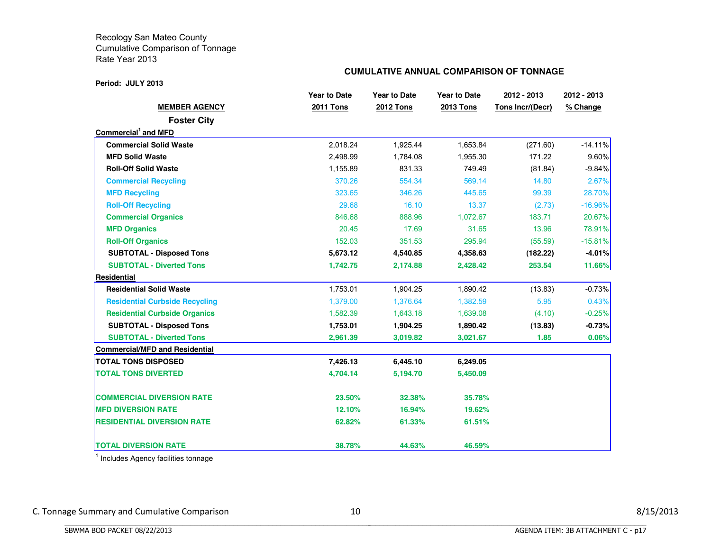#### **Period: JULY 2013**

#### **CUMULATIVE ANNUAL COMPARISON OF TONNAGE**

|                                       | <b>Year to Date</b> | <b>Year to Date</b> | <b>Year to Date</b> | 2012 - 2013      | 2012 - 2013   |
|---------------------------------------|---------------------|---------------------|---------------------|------------------|---------------|
| <b>MEMBER AGENCY</b>                  | <b>2011 Tons</b>    | <b>2012 Tons</b>    | <b>2013 Tons</b>    | Tons Incr/(Decr) | % Change      |
| <b>Foster City</b>                    |                     |                     |                     |                  |               |
| Commercial <sup>1</sup> and MFD       |                     |                     |                     |                  |               |
| <b>Commercial Solid Waste</b>         | 2,018.24            | 1,925.44            | 1,653.84            | (271.60)         | $-14.11%$     |
| <b>MFD Solid Waste</b>                | 2,498.99            | 1,784.08            | 1,955.30            | 171.22           | 9.60%         |
| <b>Roll-Off Solid Waste</b>           | 1,155.89            | 831.33              | 749.49              | (81.84)          | $-9.84%$      |
| <b>Commercial Recycling</b>           | 370.26              | 554.34              | 569.14              | 14.80            | 2.67%         |
| <b>MFD Recycling</b>                  | 323.65              | 346.26              | 445.65              | 99.39            | 28.70%        |
| <b>Roll-Off Recycling</b>             | 29.68               | 16.10               | 13.37               | (2.73)           | $-16.96%$     |
| <b>Commercial Organics</b>            | 846.68              | 888.96              | 1,072.67            | 183.71           | 20.67%        |
| <b>MFD Organics</b>                   | 20.45               | 17.69               | 31.65               | 13.96            | 78.91%        |
| <b>Roll-Off Organics</b>              | 152.03              | 351.53              | 295.94              | (55.59)          | $-15.81%$     |
| <b>SUBTOTAL - Disposed Tons</b>       | 5,673.12            | 4,540.85            | 4,358.63            | (182.22)         | $-4.01\%$     |
| <b>SUBTOTAL - Diverted Tons</b>       | 1,742.75            | 2,174.88            | 2,428.42            | 253.54           | <b>11.66%</b> |
| <b>Residential</b>                    |                     |                     |                     |                  |               |
| <b>Residential Solid Waste</b>        | 1,753.01            | 1,904.25            | 1,890.42            | (13.83)          | $-0.73%$      |
| <b>Residential Curbside Recycling</b> | 1,379.00            | 1,376.64            | 1,382.59            | 5.95             | 0.43%         |
| <b>Residential Curbside Organics</b>  | 1,582.39            | 1,643.18            | 1,639.08            | (4.10)           | $-0.25%$      |
| <b>SUBTOTAL - Disposed Tons</b>       | 1,753.01            | 1,904.25            | 1,890.42            | (13.83)          | $-0.73%$      |
| <b>SUBTOTAL - Diverted Tons</b>       | 2,961.39            | 3,019.82            | 3,021.67            | 1.85             | 0.06%         |
| <b>Commercial/MFD and Residential</b> |                     |                     |                     |                  |               |
| <b>TOTAL TONS DISPOSED</b>            | 7,426.13            | 6,445.10            | 6,249.05            |                  |               |
| <b>TOTAL TONS DIVERTED</b>            | 4,704.14            | 5,194.70            | 5,450.09            |                  |               |
| <b>COMMERCIAL DIVERSION RATE</b>      | 23.50%              | 32.38%              | 35.78%              |                  |               |
| <b>MFD DIVERSION RATE</b>             | 12.10%              | 16.94%              | 19.62%              |                  |               |
| <b>RESIDENTIAL DIVERSION RATE</b>     | 62.82%              | 61.33%              | 61.51%              |                  |               |
| <b>TOTAL DIVERSION RATE</b>           | 38.78%              | 44.63%              | 46.59%              |                  |               |

<sup>1</sup> Includes Agency facilities tonnage

BBBBBBBBBBBBBBBBBBBBBBBBBBBBBBBBBBBBBBBBBBBBBBBBBBBBBBBBBBBBBBBBBBBBBBBBBBBBBB

C. Tonnage Summary and Cumulative Comparison 10 10 and 10 8/15/2013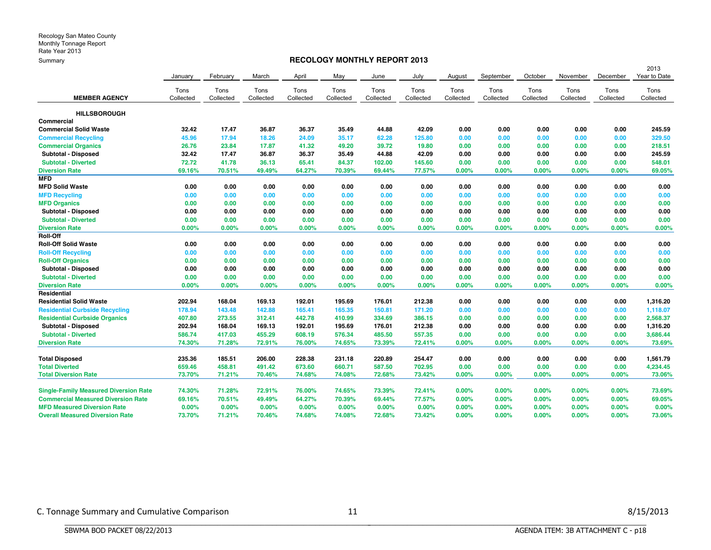#### **RECOLOGY MONTHLY REPORT 2013**

|                                              |           |           |           |           |           |           |           |           |           |           |           |           | 2013         |
|----------------------------------------------|-----------|-----------|-----------|-----------|-----------|-----------|-----------|-----------|-----------|-----------|-----------|-----------|--------------|
|                                              | January   | February  | March     | April     | May       | June      | July      | August    | September | October   | November  | December  | Year to Date |
|                                              | Tons      | Tons      | Tons      | Tons      | Tons      | Tons      | Tons      | Tons      | Tons      | Tons      | Tons      | Tons      | Tons         |
| <b>MEMBER AGENCY</b>                         | Collected | Collected | Collected | Collected | Collected | Collected | Collected | Collected | Collected | Collected | Collected | Collected | Collected    |
| <b>HILLSBOROUGH</b>                          |           |           |           |           |           |           |           |           |           |           |           |           |              |
| Commercial                                   |           |           |           |           |           |           |           |           |           |           |           |           |              |
| <b>Commercial Solid Waste</b>                | 32.42     | 17.47     | 36.87     | 36.37     | 35.49     | 44.88     | 42.09     | 0.00      | 0.00      | 0.00      | 0.00      | 0.00      | 245.59       |
| <b>Commercial Recycling</b>                  | 45.96     | 17.94     | 18.26     | 24.09     | 35.17     | 62.28     | 125.80    | 0.00      | 0.00      | 0.00      | 0.00      | 0.00      | 329.50       |
| <b>Commercial Organics</b>                   | 26.76     | 23.84     | 17.87     | 41.32     | 49.20     | 39.72     | 19.80     | 0.00      | 0.00      | 0.00      | 0.00      | 0.00      | 218.51       |
| Subtotal - Disposed                          | 32.42     | 17.47     | 36.87     | 36.37     | 35.49     | 44.88     | 42.09     | 0.00      | 0.00      | 0.00      | 0.00      | 0.00      | 245.59       |
| <b>Subtotal - Diverted</b>                   | 72.72     | 41.78     | 36.13     | 65.41     | 84.37     | 102.00    | 145.60    | 0.00      | 0.00      | 0.00      | 0.00      | 0.00      | 548.01       |
| <b>Diversion Rate</b>                        | 69.16%    | 70.51%    | 49.49%    | 64.27%    | 70.39%    | 69.44%    | 77.57%    | 0.00%     | 0.00%     | 0.00%     | 0.00%     | 0.00%     | 69.05%       |
| <b>MFD</b>                                   |           |           |           |           |           |           |           |           |           |           |           |           |              |
| <b>MFD Solid Waste</b>                       | 0.00      | 0.00      | 0.00      | 0.00      | 0.00      | 0.00      | 0.00      | 0.00      | 0.00      | 0.00      | 0.00      | 0.00      | 0.00         |
| <b>MFD Recycling</b>                         | 0.00      | 0.00      | 0.00      | 0.00      | 0.00      | 0.00      | 0.00      | 0.00      | 0.00      | 0.00      | 0.00      | 0.00      | 0.00         |
| <b>MFD Organics</b>                          | 0.00      | 0.00      | 0.00      | 0.00      | 0.00      | 0.00      | 0.00      | 0.00      | 0.00      | 0.00      | 0.00      | 0.00      | 0.00         |
| Subtotal - Disposed                          | 0.00      | 0.00      | 0.00      | 0.00      | 0.00      | 0.00      | 0.00      | 0.00      | 0.00      | 0.00      | 0.00      | 0.00      | 0.00         |
| <b>Subtotal - Diverted</b>                   | 0.00      | 0.00      | 0.00      | 0.00      | 0.00      | 0.00      | 0.00      | 0.00      | 0.00      | 0.00      | 0.00      | 0.00      | 0.00         |
| <b>Diversion Rate</b>                        | 0.00%     | 0.00%     | 0.00%     | 0.00%     | $0.00\%$  | 0.00%     | 0.00%     | 0.00%     | 0.00%     | 0.00%     | 0.00%     | 0.00%     | 0.00%        |
| <b>Roll-Off</b>                              |           |           |           |           |           |           |           |           |           |           |           |           |              |
| <b>Roll-Off Solid Waste</b>                  | 0.00      | 0.00      | 0.00      | 0.00      | 0.00      | 0.00      | 0.00      | 0.00      | 0.00      | 0.00      | 0.00      | 0.00      | 0.00         |
| <b>Roll-Off Recycling</b>                    | 0.00      | 0.00      | 0.00      | 0.00      | 0.00      | 0.00      | 0.00      | 0.00      | 0.00      | 0.00      | 0.00      | 0.00      | 0.00         |
| <b>Roll-Off Organics</b>                     | 0.00      | 0.00      | 0.00      | 0.00      | 0.00      | 0.00      | 0.00      | 0.00      | 0.00      | 0.00      | 0.00      | 0.00      | 0.00         |
| Subtotal - Disposed                          | 0.00      | 0.00      | 0.00      | 0.00      | 0.00      | 0.00      | 0.00      | 0.00      | 0.00      | 0.00      | 0.00      | 0.00      | 0.00         |
| <b>Subtotal - Diverted</b>                   | 0.00      | 0.00      | 0.00      | 0.00      | 0.00      | 0.00      | 0.00      | 0.00      | 0.00      | 0.00      | 0.00      | 0.00      | 0.00         |
| <b>Diversion Rate</b>                        | 0.00%     | $0.00\%$  | $0.00\%$  | 0.00%     | $0.00\%$  | 0.00%     | 0.00%     | $0.00\%$  | 0.00%     | 0.00%     | 0.00%     | 0.00%     | 0.00%        |
| <b>Residential</b>                           |           |           |           |           |           |           |           |           |           |           |           |           |              |
| <b>Residential Solid Waste</b>               | 202.94    | 168.04    | 169.13    | 192.01    | 195.69    | 176.01    | 212.38    | 0.00      | 0.00      | 0.00      | 0.00      | 0.00      | 1,316.20     |
| <b>Residential Curbside Recycling</b>        | 178.94    | 143.48    | 142.88    | 165.41    | 165.35    | 150.81    | 171.20    | 0.00      | 0.00      | 0.00      | 0.00      | 0.00      | 1,118.07     |
| <b>Residential Curbside Organics</b>         | 407.80    | 273.55    | 312.41    | 442.78    | 410.99    | 334.69    | 386.15    | 0.00      | 0.00      | 0.00      | 0.00      | 0.00      | 2,568.37     |
| Subtotal - Disposed                          | 202.94    | 168.04    | 169.13    | 192.01    | 195.69    | 176.01    | 212.38    | 0.00      | 0.00      | 0.00      | 0.00      | 0.00      | 1,316.20     |
| <b>Subtotal - Diverted</b>                   | 586.74    | 417.03    | 455.29    | 608.19    | 576.34    | 485.50    | 557.35    | 0.00      | 0.00      | 0.00      | 0.00      | 0.00      | 3,686.44     |
| <b>Diversion Rate</b>                        | 74.30%    | 71.28%    | 72.91%    | 76.00%    | 74.65%    | 73.39%    | 72.41%    | 0.00%     | 0.00%     | 0.00%     | 0.00%     | 0.00%     | 73.69%       |
| <b>Total Disposed</b>                        | 235.36    | 185.51    | 206.00    | 228.38    | 231.18    | 220.89    | 254.47    | 0.00      | 0.00      | 0.00      | 0.00      | 0.00      | 1,561.79     |
| <b>Total Diverted</b>                        | 659.46    | 458.81    | 491.42    | 673.60    | 660.71    | 587.50    | 702.95    | 0.00      | 0.00      | 0.00      | 0.00      | 0.00      | 4,234.45     |
| <b>Total Diversion Rate</b>                  | 73.70%    | 71.21%    | 70.46%    | 74.68%    | 74.08%    | 72.68%    | 73.42%    | 0.00%     | 0.00%     | 0.00%     | 0.00%     | $0.00\%$  | 73.06%       |
| <b>Single-Family Measured Diversion Rate</b> | 74.30%    | 71.28%    | 72.91%    | 76.00%    | 74.65%    | 73.39%    | 72.41%    | 0.00%     | 0.00%     | 0.00%     | 0.00%     | 0.00%     | 73.69%       |
| <b>Commercial Measured Diversion Rate</b>    | 69.16%    | 70.51%    | 49.49%    | 64.27%    | 70.39%    | 69.44%    | 77.57%    | 0.00%     | 0.00%     | 0.00%     | 0.00%     | $0.00\%$  | 69.05%       |
| <b>MFD Measured Diversion Rate</b>           | 0.00%     | $0.00\%$  | 0.00%     | 0.00%     | 0.00%     | 0.00%     | 0.00%     | 0.00%     | 0.00%     | $0.00\%$  | 0.00%     | 0.00%     | 0.00%        |
| <b>Overall Measured Diversion Rate</b>       | 73.70%    | 71.21%    | 70.46%    | 74.68%    | 74.08%    | 72.68%    | 73.42%    | 0.00%     | 0.00%     | 0.00%     | 0.00%     | $0.00\%$  | 73.06%       |
|                                              |           |           |           |           |           |           |           |           |           |           |           |           |              |

BBBBBBBBBBBBBBBBBBBBBBBBBBBBBBBBBBBBBBBBBBBBBBBBBBBBBBBBBBBBBBBBBBBBBBBBBBBBBB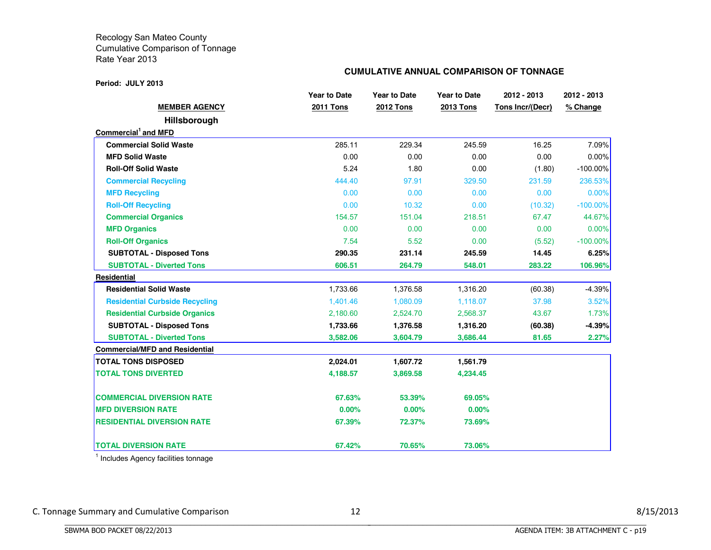#### **Period: JULY 2013**

#### **CUMULATIVE ANNUAL COMPARISON OF TONNAGE**

|                                       | <b>Year to Date</b> | <b>Year to Date</b> | <b>Year to Date</b> | 2012 - 2013      | 2012 - 2013 |
|---------------------------------------|---------------------|---------------------|---------------------|------------------|-------------|
| <b>MEMBER AGENCY</b>                  | <b>2011 Tons</b>    | <b>2012 Tons</b>    | <b>2013 Tons</b>    | Tons Incr/(Decr) | % Change    |
| Hillsborough                          |                     |                     |                     |                  |             |
| Commercial <sup>1</sup> and MFD       |                     |                     |                     |                  |             |
| <b>Commercial Solid Waste</b>         | 285.11              | 229.34              | 245.59              | 16.25            | 7.09%       |
| <b>MFD Solid Waste</b>                | 0.00                | 0.00                | 0.00                | 0.00             | 0.00%       |
| <b>Roll-Off Solid Waste</b>           | 5.24                | 1.80                | 0.00                | (1.80)           | $-100.00\%$ |
| <b>Commercial Recycling</b>           | 444.40              | 97.91               | 329.50              | 231.59           | 236.53%     |
| <b>MFD Recycling</b>                  | 0.00                | 0.00                | 0.00                | 0.00             | 0.00%       |
| <b>Roll-Off Recycling</b>             | 0.00                | 10.32               | 0.00                | (10.32)          | $-100.00\%$ |
| <b>Commercial Organics</b>            | 154.57              | 151.04              | 218.51              | 67.47            | 44.67%      |
| <b>MFD Organics</b>                   | 0.00                | 0.00                | 0.00                | 0.00             | 0.00%       |
| <b>Roll-Off Organics</b>              | 7.54                | 5.52                | 0.00                | (5.52)           | $-100.00\%$ |
| <b>SUBTOTAL - Disposed Tons</b>       | 290.35              | 231.14              | 245.59              | 14.45            | 6.25%       |
| <b>SUBTOTAL - Diverted Tons</b>       | 606.51              | 264.79              | 548.01              | 283.22           | 106.96%     |
| Residential                           |                     |                     |                     |                  |             |
| <b>Residential Solid Waste</b>        | 1,733.66            | 1,376.58            | 1,316.20            | (60.38)          | $-4.39%$    |
| <b>Residential Curbside Recycling</b> | 1,401.46            | 1,080.09            | 1,118.07            | 37.98            | 3.52%       |
| <b>Residential Curbside Organics</b>  | 2,180.60            | 2,524.70            | 2,568.37            | 43.67            | 1.73%       |
| <b>SUBTOTAL - Disposed Tons</b>       | 1,733.66            | 1,376.58            | 1,316.20            | (60.38)          | $-4.39%$    |
| <b>SUBTOTAL - Diverted Tons</b>       | 3,582.06            | 3,604.79            | 3,686.44            | 81.65            | 2.27%       |
| <b>Commercial/MFD and Residential</b> |                     |                     |                     |                  |             |
| <b>TOTAL TONS DISPOSED</b>            | 2,024.01            | 1,607.72            | 1,561.79            |                  |             |
| <b>TOTAL TONS DIVERTED</b>            | 4,188.57            | 3,869.58            | 4,234.45            |                  |             |
| <b>COMMERCIAL DIVERSION RATE</b>      | 67.63%              | 53.39%              | 69.05%              |                  |             |
| <b>MFD DIVERSION RATE</b>             | 0.00%               | 0.00%               | 0.00%               |                  |             |
| <b>RESIDENTIAL DIVERSION RATE</b>     | 67.39%              | 72.37%              | 73.69%              |                  |             |
| <b>TOTAL DIVERSION RATE</b>           | 67.42%              | 70.65%              | 73.06%              |                  |             |

<sup>1</sup> Includes Agency facilities tonnage

BBBBBBBBBBBBBBBBBBBBBBBBBBBBBBBBBBBBBBBBBBBBBBBBBBBBBBBBBBBBBBBBBBBBBBBBBBBBBB

C. Tonnage Summary and Cumulative Comparison 12 3/15/2013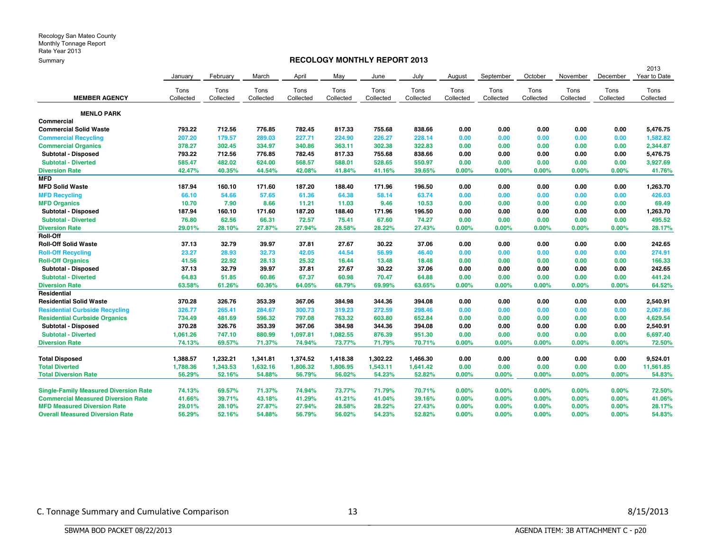#### **RECOLOGY MONTHLY REPORT 2013**

|                                              |           |           |           |           |           |           |           |           |           |           |           |           | 2013         |
|----------------------------------------------|-----------|-----------|-----------|-----------|-----------|-----------|-----------|-----------|-----------|-----------|-----------|-----------|--------------|
|                                              | January   | February  | March     | April     | May       | June      | July      | August    | September | October   | November  | December  | Year to Date |
|                                              | Tons      | Tons      | Tons      | Tons      | Tons      | Tons      | Tons      | Tons      | Tons      | Tons      | Tons      | Tons      | Tons         |
| <b>MEMBER AGENCY</b>                         | Collected | Collected | Collected | Collected | Collected | Collected | Collected | Collected | Collected | Collected | Collected | Collected | Collected    |
| <b>MENLO PARK</b>                            |           |           |           |           |           |           |           |           |           |           |           |           |              |
| Commercial                                   |           |           |           |           |           |           |           |           |           |           |           |           |              |
| <b>Commercial Solid Waste</b>                | 793.22    | 712.56    | 776.85    | 782.45    | 817.33    | 755.68    | 838.66    | 0.00      | 0.00      | 0.00      | 0.00      | 0.00      | 5,476.75     |
| <b>Commercial Recycling</b>                  | 207.20    | 179.57    | 289.03    | 227.71    | 224.90    | 226.27    | 228.14    | 0.00      | 0.00      | 0.00      | 0.00      | 0.00      | 1,582.82     |
| <b>Commercial Organics</b>                   | 378.27    | 302.45    | 334.97    | 340.86    | 363.11    | 302.38    | 322.83    | 0.00      | 0.00      | 0.00      | 0.00      | 0.00      | 2,344.87     |
| Subtotal - Disposed                          | 793.22    | 712.56    | 776.85    | 782.45    | 817.33    | 755.68    | 838.66    | 0.00      | 0.00      | 0.00      | 0.00      | 0.00      | 5,476.75     |
| <b>Subtotal - Diverted</b>                   | 585.47    | 482.02    | 624.00    | 568.57    | 588.01    | 528.65    | 550.97    | 0.00      | 0.00      | 0.00      | 0.00      | 0.00      | 3,927.69     |
| <b>Diversion Rate</b>                        | 42.47%    | 40.35%    | 44.54%    | 42.08%    | 41.84%    | 41.16%    | 39.65%    | 0.00%     | 0.00%     | 0.00%     | 0.00%     | 0.00%     | 41.76%       |
| <b>MFD</b>                                   |           |           |           |           |           |           |           |           |           |           |           |           |              |
| <b>MFD Solid Waste</b>                       | 187.94    | 160.10    | 171.60    | 187.20    | 188.40    | 171.96    | 196.50    | 0.00      | 0.00      | 0.00      | 0.00      | 0.00      | 1,263.70     |
| <b>MFD Recycling</b>                         | 66.10     | 54.66     | 57.65     | 61.36     | 64.38     | 58.14     | 63.74     | 0.00      | 0.00      | 0.00      | 0.00      | 0.00      | 426.03       |
| <b>MFD Organics</b>                          | 10.70     | 7.90      | 8.66      | 11.21     | 11.03     | 9.46      | 10.53     | 0.00      | 0.00      | 0.00      | 0.00      | 0.00      | 69.49        |
| Subtotal - Disposed                          | 187.94    | 160.10    | 171.60    | 187.20    | 188.40    | 171.96    | 196.50    | 0.00      | 0.00      | 0.00      | 0.00      | 0.00      | 1,263.70     |
| <b>Subtotal - Diverted</b>                   | 76.80     | 62.56     | 66.31     | 72.57     | 75.41     | 67.60     | 74.27     | 0.00      | 0.00      | 0.00      | 0.00      | 0.00      | 495.52       |
| <b>Diversion Rate</b>                        | 29.01%    | 28.10%    | 27.87%    | 27.94%    | 28.58%    | 28.22%    | 27.43%    | 0.00%     | 0.00%     | 0.00%     | 0.00%     | 0.00%     | 28.17%       |
| Roll-Off                                     |           |           |           |           |           |           |           |           |           |           |           |           |              |
| <b>Roll-Off Solid Waste</b>                  | 37.13     | 32.79     | 39.97     | 37.81     | 27.67     | 30.22     | 37.06     | 0.00      | 0.00      | 0.00      | 0.00      | 0.00      | 242.65       |
| <b>Roll-Off Recycling</b>                    | 23.27     | 28.93     | 32.73     | 42.05     | 44.54     | 56.99     | 46.40     | 0.00      | 0.00      | 0.00      | 0.00      | 0.00      | 274.91       |
| <b>Roll-Off Organics</b>                     | 41.56     | 22.92     | 28.13     | 25.32     | 16.44     | 13.48     | 18.48     | 0.00      | 0.00      | 0.00      | 0.00      | 0.00      | 166.33       |
| Subtotal - Disposed                          | 37.13     | 32.79     | 39.97     | 37.81     | 27.67     | 30.22     | 37.06     | 0.00      | 0.00      | 0.00      | 0.00      | 0.00      | 242.65       |
| <b>Subtotal - Diverted</b>                   | 64.83     | 51.85     | 60.86     | 67.37     | 60.98     | 70.47     | 64.88     | 0.00      | 0.00      | 0.00      | 0.00      | 0.00      | 441.24       |
| <b>Diversion Rate</b>                        | 63.58%    | 61.26%    | 60.36%    | 64.05%    | 68.79%    | 69.99%    | 63.65%    | 0.00%     | 0.00%     | 0.00%     | 0.00%     | 0.00%     | 64.52%       |
| Residential                                  |           |           |           |           |           |           |           |           |           |           |           |           |              |
| <b>Residential Solid Waste</b>               | 370.28    | 326.76    | 353.39    | 367.06    | 384.98    | 344.36    | 394.08    | 0.00      | 0.00      | 0.00      | 0.00      | 0.00      | 2,540.91     |
| <b>Residential Curbside Recycling</b>        | 326.77    | 265.41    | 284.67    | 300.73    | 319.23    | 272.59    | 298.46    | 0.00      | 0.00      | 0.00      | 0.00      | 0.00      | 2,067.86     |
| <b>Residential Curbside Organics</b>         | 734.49    | 481.69    | 596.32    | 797.08    | 763.32    | 603,80    | 652.84    | 0.00      | 0.00      | 0.00      | 0.00      | 0.00      | 4,629.54     |
| Subtotal - Disposed                          | 370.28    | 326.76    | 353.39    | 367.06    | 384.98    | 344.36    | 394.08    | 0.00      | 0.00      | 0.00      | 0.00      | 0.00      | 2,540.91     |
| <b>Subtotal - Diverted</b>                   | 1,061.26  | 747.10    | 880.99    | 1,097.81  | 1,082.55  | 876.39    | 951.30    | 0.00      | 0.00      | 0.00      | 0.00      | 0.00      | 6,697.40     |
| <b>Diversion Rate</b>                        | 74.13%    | 69.57%    | 71.37%    | 74.94%    | 73.77%    | 71.79%    | 70.71%    | 0.00%     | 0.00%     | 0.00%     | 0.00%     | 0.00%     | 72.50%       |
| <b>Total Disposed</b>                        | 1,388.57  | 1,232.21  | 1,341.81  | 1,374.52  | 1,418.38  | 1,302.22  | 1,466.30  | 0.00      | 0.00      | 0.00      | 0.00      | 0.00      | 9,524.01     |
| <b>Total Diverted</b>                        | 1,788.36  | 1,343.53  | 1,632.16  | 1,806.32  | 1,806.95  | 1,543.11  | 1,641.42  | 0.00      | 0.00      | 0.00      | 0.00      | 0.00      | 11,561.85    |
| <b>Total Diversion Rate</b>                  | 56.29%    | 52.16%    | 54.88%    | 56.79%    | 56.02%    | 54.23%    | 52.82%    | 0.00%     | 0.00%     | 0.00%     | 0.00%     | 0.00%     | 54.83%       |
| <b>Single-Family Measured Diversion Rate</b> | 74.13%    | 69.57%    | 71.37%    | 74.94%    | 73.77%    | 71.79%    | 70.71%    | 0.00%     | 0.00%     | 0.00%     | 0.00%     | $0.00\%$  | 72.50%       |
| <b>Commercial Measured Diversion Rate</b>    | 41.66%    | 39.71%    | 43.18%    | 41.29%    | 41.21%    | 41.04%    | 39.16%    | 0.00%     | 0.00%     | 0.00%     | 0.00%     | 0.00%     | 41.06%       |
| <b>MFD Measured Diversion Rate</b>           | 29.01%    | 28.10%    | 27.87%    | 27.94%    | 28.58%    | 28.22%    | 27.43%    | 0.00%     | 0.00%     | 0.00%     | 0.00%     | 0.00%     | 28.17%       |
| <b>Overall Measured Diversion Rate</b>       | 56.29%    | 52.16%    | 54.88%    | 56.79%    | 56.02%    | 54.23%    | 52.82%    | 0.00%     | 0.00%     | 0.00%     | 0.00%     | 0.00%     | 54.83%       |
|                                              |           |           |           |           |           |           |           |           |           |           |           |           |              |

BBBBBBBBBBBBBBBBBBBBBBBBBBBBBBBBBBBBBBBBBBBBBBBBBBBBBBBBBBBBBBBBBBBBBBBBBBBBBB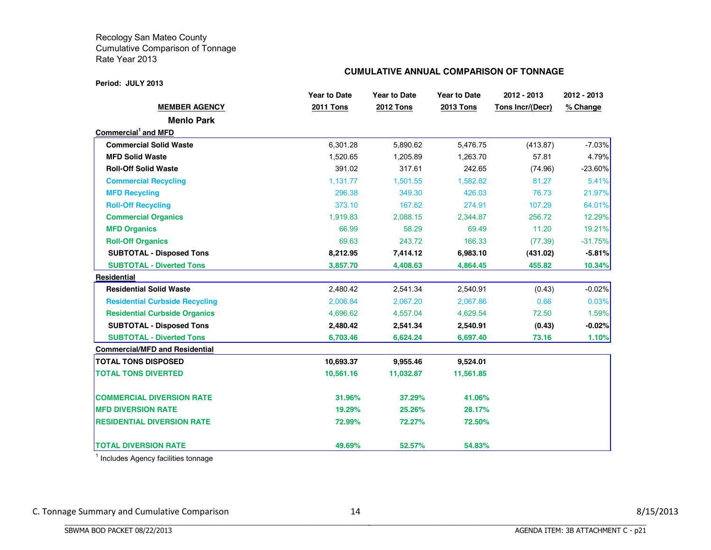#### **Period: JULY 2013**

#### **CUMULATIVE ANNUAL COMPARISON OF TONNAGE**

|                                       | <b>Year to Date</b> | <b>Year to Date</b> | <b>Year to Date</b> | 2012 - 2013      | 2012 - 2013 |
|---------------------------------------|---------------------|---------------------|---------------------|------------------|-------------|
| <b>MEMBER AGENCY</b>                  | <b>2011 Tons</b>    | <b>2012 Tons</b>    | <b>2013 Tons</b>    | Tons Incr/(Decr) | % Change    |
| <b>Menlo Park</b>                     |                     |                     |                     |                  |             |
| Commercial <sup>1</sup> and MFD       |                     |                     |                     |                  |             |
| <b>Commercial Solid Waste</b>         | 6,301.28            | 5,890.62            | 5,476.75            | (413.87)         | $-7.03\%$   |
| <b>MFD Solid Waste</b>                | 1,520.65            | 1,205.89            | 1,263.70            | 57.81            | 4.79%       |
| <b>Roll-Off Solid Waste</b>           | 391.02              | 317.61              | 242.65              | (74.96)          | $-23.60\%$  |
| <b>Commercial Recycling</b>           | 1,131.77            | 1,501.55            | 1,582.82            | 81.27            | 5.41%       |
| <b>MFD Recycling</b>                  | 296.38              | 349.30              | 426.03              | 76.73            | 21.97%      |
| <b>Roll-Off Recycling</b>             | 373.10              | 167.62              | 274.91              | 107.29           | 64.01%      |
| <b>Commercial Organics</b>            | 1,919.83            | 2,088.15            | 2,344.87            | 256.72           | 12.29%      |
| <b>MFD Organics</b>                   | 66.99               | 58.29               | 69.49               | 11.20            | 19.21%      |
| <b>Roll-Off Organics</b>              | 69.63               | 243.72              | 166.33              | (77.39)          | $-31.75%$   |
| <b>SUBTOTAL - Disposed Tons</b>       | 8,212.95            | 7,414.12            | 6,983.10            | (431.02)         | $-5.81%$    |
| <b>SUBTOTAL - Diverted Tons</b>       | 3,857.70            | 4,408.63            | 4,864.45            | 455.82           | 10.34%      |
| Residential                           |                     |                     |                     |                  |             |
| <b>Residential Solid Waste</b>        | 2,480.42            | 2,541.34            | 2,540.91            | (0.43)           | $-0.02%$    |
| <b>Residential Curbside Recycling</b> | 2,006.84            | 2,067.20            | 2,067.86            | 0.66             | 0.03%       |
| <b>Residential Curbside Organics</b>  | 4,696.62            | 4,557.04            | 4,629.54            | 72.50            | 1.59%       |
| <b>SUBTOTAL - Disposed Tons</b>       | 2,480.42            | 2,541.34            | 2,540.91            | (0.43)           | $-0.02%$    |
| <b>SUBTOTAL - Diverted Tons</b>       | 6,703.46            | 6,624.24            | 6,697.40            | 73.16            | 1.10%       |
| <b>Commercial/MFD and Residential</b> |                     |                     |                     |                  |             |
| <b>TOTAL TONS DISPOSED</b>            | 10,693.37           | 9,955.46            | 9,524.01            |                  |             |
| <b>TOTAL TONS DIVERTED</b>            | 10,561.16           | 11,032.87           | 11,561.85           |                  |             |
| <b>COMMERCIAL DIVERSION RATE</b>      | 31.96%              | 37.29%              | 41.06%              |                  |             |
| <b>MFD DIVERSION RATE</b>             | 19.29%              | 25.26%              | 28.17%              |                  |             |
| <b>RESIDENTIAL DIVERSION RATE</b>     | 72.99%              | 72.27%              | 72.50%              |                  |             |
| <b>TOTAL DIVERSION RATE</b>           | 49.69%              | 52.57%              | 54.83%              |                  |             |

<sup>1</sup> Includes Agency facilities tonnage

BBBBBBBBBBBBBBBBBBBBBBBBBBBBBBBBBBBBBBBBBBBBBBBBBBBBBBBBBBBBBBBBBBBBBBBBBBBBBB

C. Tonnage Summary and Cumulative Comparison 14 3/15/2013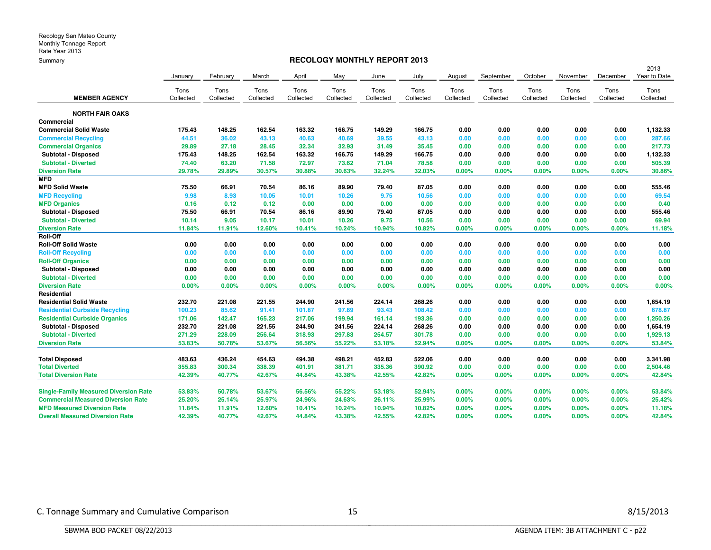#### **RECOLOGY MONTHLY REPORT 2013**

|                                              |           |           |           |           |           |           |           |           |           |           |           |           | 2013         |
|----------------------------------------------|-----------|-----------|-----------|-----------|-----------|-----------|-----------|-----------|-----------|-----------|-----------|-----------|--------------|
|                                              | January   | February  | March     | April     | May       | June      | July      | August    | September | October   | November  | December  | Year to Date |
|                                              | Tons      | Tons      | Tons      | Tons      | Tons      | Tons      | Tons      | Tons      | Tons      | Tons      | Tons      | Tons      | Tons         |
| <b>MEMBER AGENCY</b>                         | Collected | Collected | Collected | Collected | Collected | Collected | Collected | Collected | Collected | Collected | Collected | Collected | Collected    |
| <b>NORTH FAIR OAKS</b>                       |           |           |           |           |           |           |           |           |           |           |           |           |              |
| Commercial                                   |           |           |           |           |           |           |           |           |           |           |           |           |              |
| <b>Commercial Solid Waste</b>                | 175.43    | 148.25    | 162.54    | 163.32    | 166.75    | 149.29    | 166.75    | 0.00      | 0.00      | 0.00      | 0.00      | 0.00      | 1,132.33     |
| <b>Commercial Recycling</b>                  | 44.51     | 36.02     | 43.13     | 40.63     | 40.69     | 39.55     | 43.13     | 0.00      | 0.00      | 0.00      | 0.00      | 0.00      | 287.66       |
| <b>Commercial Organics</b>                   | 29.89     | 27.18     | 28.45     | 32.34     | 32.93     | 31.49     | 35.45     | 0.00      | 0.00      | 0.00      | 0.00      | 0.00      | 217.73       |
| Subtotal - Disposed                          | 175.43    | 148.25    | 162.54    | 163.32    | 166.75    | 149.29    | 166.75    | 0.00      | 0.00      | 0.00      | 0.00      | 0.00      | 1,132.33     |
| <b>Subtotal - Diverted</b>                   | 74.40     | 63.20     | 71.58     | 72.97     | 73.62     | 71.04     | 78.58     | 0.00      | 0.00      | 0.00      | 0.00      | 0.00      | 505.39       |
| <b>Diversion Rate</b>                        | 29.78%    | 29.89%    | 30.57%    | 30.88%    | 30.63%    | 32.24%    | 32.03%    | 0.00%     | 0.00%     | 0.00%     | 0.00%     | 0.00%     | 30.86%       |
| <b>MFD</b>                                   |           |           |           |           |           |           |           |           |           |           |           |           |              |
| <b>MFD Solid Waste</b>                       | 75.50     | 66.91     | 70.54     | 86.16     | 89.90     | 79.40     | 87.05     | 0.00      | 0.00      | 0.00      | 0.00      | 0.00      | 555.46       |
| <b>MFD Recycling</b>                         | 9.98      | 8.93      | 10.05     | 10.01     | 10.26     | 9.75      | 10.56     | 0.00      | 0.00      | 0.00      | 0.00      | 0.00      | 69.54        |
| <b>MFD Organics</b>                          | 0.16      | 0.12      | 0.12      | 0.00      | 0.00      | 0.00      | 0.00      | 0.00      | 0.00      | 0.00      | 0.00      | 0.00      | 0.40         |
| Subtotal - Disposed                          | 75.50     | 66.91     | 70.54     | 86.16     | 89.90     | 79.40     | 87.05     | 0.00      | 0.00      | 0.00      | 0.00      | 0.00      | 555.46       |
| <b>Subtotal - Diverted</b>                   | 10.14     | 9.05      | 10.17     | 10.01     | 10.26     | 9.75      | 10.56     | 0.00      | 0.00      | 0.00      | 0.00      | 0.00      | 69.94        |
| <b>Diversion Rate</b>                        | 11.84%    | 11.91%    | 12.60%    | 10.41%    | 10.24%    | 10.94%    | 10.82%    | 0.00%     | 0.00%     | 0.00%     | 0.00%     | 0.00%     | 11.18%       |
| Roll-Off                                     |           |           |           |           |           |           |           |           |           |           |           |           |              |
| <b>Roll-Off Solid Waste</b>                  | 0.00      | 0.00      | 0.00      | 0.00      | 0.00      | 0.00      | 0.00      | 0.00      | 0.00      | 0.00      | 0.00      | 0.00      | 0.00         |
| <b>Roll-Off Recycling</b>                    | 0.00      | 0.00      | 0.00      | 0.00      | 0.00      | 0.00      | 0.00      | 0.00      | 0.00      | 0.00      | 0.00      | 0.00      | 0.00         |
| <b>Roll-Off Organics</b>                     | 0.00      | 0.00      | 0.00      | 0.00      | 0.00      | 0.00      | 0.00      | 0.00      | 0.00      | 0.00      | 0.00      | 0.00      | 0.00         |
| Subtotal - Disposed                          | 0.00      | 0.00      | 0.00      | 0.00      | 0.00      | 0.00      | 0.00      | 0.00      | 0.00      | 0.00      | 0.00      | 0.00      | 0.00         |
| <b>Subtotal - Diverted</b>                   | 0.00      | 0.00      | 0.00      | 0.00      | 0.00      | 0.00      | 0.00      | 0.00      | 0.00      | 0.00      | 0.00      | 0.00      | 0.00         |
| <b>Diversion Rate</b>                        | 0.00%     | 0.00%     | 0.00%     | 0.00%     | 0.00%     | 0.00%     | 0.00%     | 0.00%     | 0.00%     | 0.00%     | 0.00%     | 0.00%     | 0.00%        |
| Residential                                  |           |           |           |           |           |           |           |           |           |           |           |           |              |
| <b>Residential Solid Waste</b>               | 232.70    | 221.08    | 221.55    | 244.90    | 241.56    | 224.14    | 268.26    | 0.00      | 0.00      | 0.00      | 0.00      | 0.00      | 1,654.19     |
| <b>Residential Curbside Recycling</b>        | 100.23    | 85.62     | 91.41     | 101.87    | 97.89     | 93.43     | 108.42    | 0.00      | 0.00      | 0.00      | 0.00      | 0.00      | 678.87       |
| <b>Residential Curbside Organics</b>         | 171.06    | 142.47    | 165.23    | 217.06    | 199.94    | 161.14    | 193.36    | 0.00      | 0.00      | 0.00      | 0.00      | 0.00      | 1,250.26     |
| Subtotal - Disposed                          | 232.70    | 221.08    | 221.55    | 244.90    | 241.56    | 224.14    | 268.26    | 0.00      | 0.00      | 0.00      | 0.00      | 0.00      | 1,654.19     |
| <b>Subtotal - Diverted</b>                   | 271.29    | 228.09    | 256.64    | 318.93    | 297.83    | 254.57    | 301.78    | 0.00      | 0.00      | 0.00      | 0.00      | 0.00      | 1,929.13     |
| <b>Diversion Rate</b>                        | 53,83%    | 50.78%    | 53.67%    | 56.56%    | 55.22%    | 53.18%    | 52.94%    | 0.00%     | 0.00%     | 0.00%     | 0.00%     | 0.00%     | 53.84%       |
| <b>Total Disposed</b>                        | 483.63    | 436.24    | 454.63    | 494.38    | 498.21    | 452.83    | 522.06    | 0.00      | 0.00      | 0.00      | 0.00      | 0.00      | 3,341.98     |
| <b>Total Diverted</b>                        | 355.83    | 300.34    | 338.39    | 401.91    | 381.71    | 335.36    | 390.92    | 0.00      | 0.00      | 0.00      | 0.00      | 0.00      | 2,504.46     |
| <b>Total Diversion Rate</b>                  | 42.39%    | 40.77%    | 42.67%    | 44.84%    | 43.38%    | 42.55%    | 42.82%    | 0.00%     | 0.00%     | 0.00%     | 0.00%     | 0.00%     | 42.84%       |
| <b>Single-Family Measured Diversion Rate</b> | 53.83%    | 50.78%    | 53.67%    | 56.56%    | 55.22%    | 53.18%    | 52.94%    | 0.00%     | 0.00%     | 0.00%     | 0.00%     | 0.00%     | 53.84%       |
| <b>Commercial Measured Diversion Rate</b>    | 25.20%    | 25.14%    | 25.97%    | 24.96%    | 24.63%    | 26.11%    | 25.99%    | $0.00\%$  | 0.00%     | 0.00%     | 0.00%     | 0.00%     | 25.42%       |
| <b>MFD Measured Diversion Rate</b>           | 11.84%    | 11.91%    | 12.60%    | 10.41%    | 10.24%    | 10.94%    | 10.82%    | 0.00%     | 0.00%     | 0.00%     | 0.00%     | 0.00%     | 11.18%       |
| <b>Overall Measured Diversion Rate</b>       | 42.39%    | 40.77%    | 42.67%    | 44.84%    | 43.38%    | 42.55%    | 42.82%    | 0.00%     | 0.00%     | $0.00\%$  | 0.00%     | $0.00\%$  | 42.84%       |

BBBBBBBBBBBBBBBBBBBBBBBBBBBBBBBBBBBBBBBBBBBBBBBBBBBBBBBBBBBBBBBBBBBBBBBBBBBBBB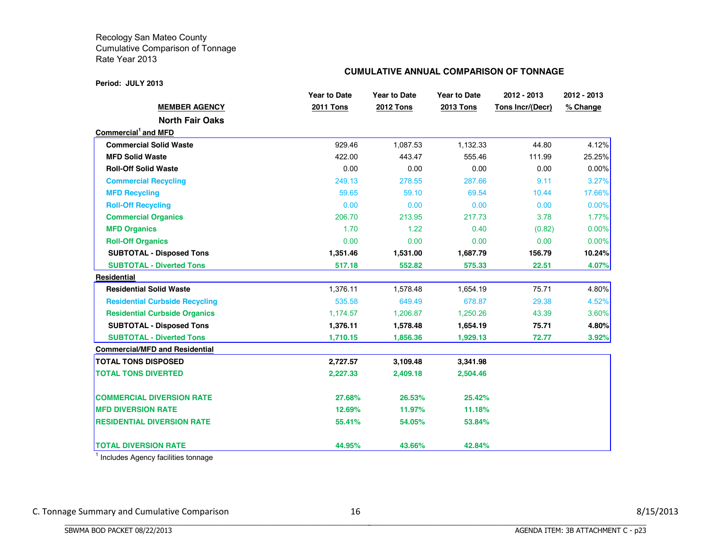#### **Period: JULY 2013**

#### **CUMULATIVE ANNUAL COMPARISON OF TONNAGE**

|                                       | <b>Year to Date</b> | <b>Year to Date</b> | <b>Year to Date</b> | 2012 - 2013      | 2012 - 2013 |
|---------------------------------------|---------------------|---------------------|---------------------|------------------|-------------|
| <b>MEMBER AGENCY</b>                  | <b>2011 Tons</b>    | <b>2012 Tons</b>    | <b>2013 Tons</b>    | Tons Incr/(Decr) | % Change    |
| <b>North Fair Oaks</b>                |                     |                     |                     |                  |             |
| Commercial <sup>1</sup> and MFD       |                     |                     |                     |                  |             |
| <b>Commercial Solid Waste</b>         | 929.46              | 1,087.53            | 1,132.33            | 44.80            | 4.12%       |
| <b>MFD Solid Waste</b>                | 422.00              | 443.47              | 555.46              | 111.99           | 25.25%      |
| <b>Roll-Off Solid Waste</b>           | 0.00                | 0.00                | 0.00                | 0.00             | 0.00%       |
| <b>Commercial Recycling</b>           | 249.13              | 278.55              | 287.66              | 9.11             | 3.27%       |
| <b>MFD Recycling</b>                  | 59.65               | 59.10               | 69.54               | 10.44            | 17.66%      |
| <b>Roll-Off Recycling</b>             | 0.00                | 0.00                | 0.00                | 0.00             | 0.00%       |
| <b>Commercial Organics</b>            | 206.70              | 213.95              | 217.73              | 3.78             | 1.77%       |
| <b>MFD Organics</b>                   | 1.70                | 1.22                | 0.40                | (0.82)           | 0.00%       |
| <b>Roll-Off Organics</b>              | 0.00                | 0.00                | 0.00                | 0.00             | 0.00%       |
| <b>SUBTOTAL - Disposed Tons</b>       | 1,351.46            | 1,531.00            | 1,687.79            | 156.79           | 10.24%      |
| <b>SUBTOTAL - Diverted Tons</b>       | 517.18              | 552.82              | 575.33              | 22.51            | 4.07%       |
| <b>Residential</b>                    |                     |                     |                     |                  |             |
| <b>Residential Solid Waste</b>        | 1,376.11            | 1,578.48            | 1,654.19            | 75.71            | 4.80%       |
| <b>Residential Curbside Recycling</b> | 535.58              | 649.49              | 678.87              | 29.38            | 4.52%       |
| <b>Residential Curbside Organics</b>  | 1,174.57            | 1,206.87            | 1,250.26            | 43.39            | 3.60%       |
| <b>SUBTOTAL - Disposed Tons</b>       | 1,376.11            | 1,578.48            | 1,654.19            | 75.71            | 4.80%       |
| <b>SUBTOTAL - Diverted Tons</b>       | 1,710.15            | 1,856.36            | 1,929.13            | 72.77            | 3.92%       |
| <b>Commercial/MFD and Residential</b> |                     |                     |                     |                  |             |
| <b>TOTAL TONS DISPOSED</b>            | 2,727.57            | 3,109.48            | 3,341.98            |                  |             |
| <b>TOTAL TONS DIVERTED</b>            | 2,227.33            | 2,409.18            | 2,504.46            |                  |             |
| <b>COMMERCIAL DIVERSION RATE</b>      | 27.68%              | 26.53%              | 25.42%              |                  |             |
| <b>MFD DIVERSION RATE</b>             | 12.69%              | 11.97%              | 11.18%              |                  |             |
| <b>RESIDENTIAL DIVERSION RATE</b>     | 55.41%              | 54.05%              | 53.84%              |                  |             |
| <b>TOTAL DIVERSION RATE</b>           | 44.95%              | 43.66%              | 42.84%              |                  |             |

<sup>1</sup> Includes Agency facilities tonnage

BBBBBBBBBBBBBBBBBBBBBBBBBBBBBBBBBBBBBBBBBBBBBBBBBBBBBBBBBBBBBBBBBBBBBBBBBBBBBB

C. Tonnage Summary and Cumulative Comparison 16 16 and 16 8/15/2013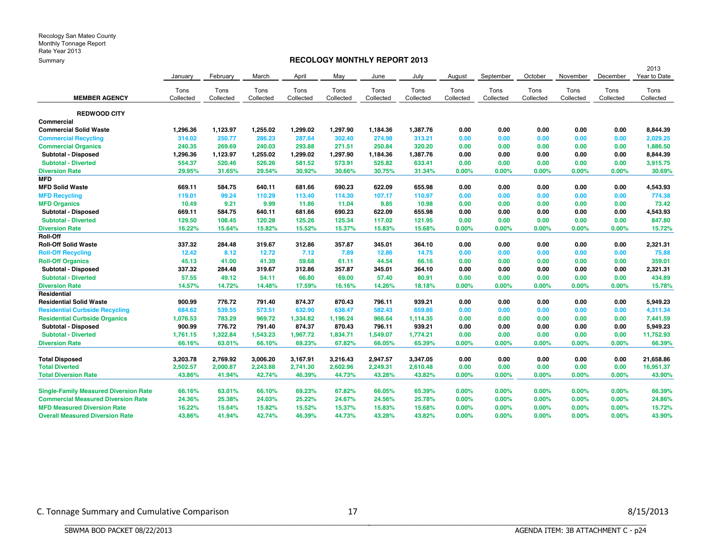#### **RECOLOGY MONTHLY REPORT 2013**

| September<br>October<br>December<br>February<br>March<br>April<br>May<br>June<br>July<br>August<br>November<br>January<br>Tons<br>Tons<br>Tons<br>Tons<br>Tons<br>Tons<br>Tons<br>Tons<br>Tons<br>Tons<br>Tons<br>Tons<br>Tons<br><b>MEMBER AGENCY</b><br>Collected<br>Collected<br>Collected<br>Collected<br>Collected<br>Collected<br>Collected<br>Collected<br>Collected<br>Collected<br>Collected<br>Collected<br><b>REDWOOD CITY</b><br>Commercial<br>1,299.02<br>0.00<br><b>Commercial Solid Waste</b><br>1,296.36<br>1,123.97<br>1,255.02<br>1,297.90<br>1,184.36<br>1,387.76<br>0.00<br>0.00<br>0.00<br>0.00<br>314.02<br>250.77<br>313.21<br><b>Commercial Recycling</b><br>286.23<br>287.64<br>302.40<br>274.98<br>0.00<br>0.00<br>0.00<br>0.00<br>0.00<br>271.51<br>240.35<br>269.69<br>240.03<br>293.88<br>250.84<br>320.20<br>0.00<br>0.00<br>0.00<br><b>Commercial Organics</b><br>0.00<br>0.00<br>Subtotal - Disposed<br>1,296.36<br>1,123.97<br>1,255.02<br>1,299.02<br>1,297.90<br>1,387.76<br>0.00<br>0.00<br>0.00<br>0.00<br>1,184.36<br>0.00<br>554.37<br>520.46<br>526.26<br>581.52<br>573.91<br>525.82<br>633.41<br>0.00<br><b>Subtotal - Diverted</b><br>0.00<br>0.00<br>0.00<br>0.00<br><b>Diversion Rate</b><br>29.95%<br>31.65%<br>29.54%<br>30.92%<br>30.66%<br>31.34%<br>0.00%<br>0.00%<br>0.00%<br>0.00%<br>0.00%<br>30.75%<br><b>MFD</b><br>669.11<br>584.75<br>640.11<br>681.66<br>690.23<br>622.09<br>655.98<br>0.00<br>0.00<br>0.00<br><b>MFD Solid Waste</b><br>0.00<br>0.00<br>119.01<br>99.24<br>110.29<br>113.40<br>114.30<br>107.17<br>110.97<br>0.00<br>0.00<br>0.00<br>0.00<br>0.00<br><b>MFD Recycling</b><br>9.99<br>10.49<br>9.21<br>11.86<br>11.04<br>9.85<br>10.98<br>0.00<br>0.00<br>0.00<br>0.00<br><b>MFD Organics</b><br>0.00<br>669.11<br>584.75<br>640.11<br>681.66<br>690.23<br>622.09<br>655.98<br>0.00<br>0.00<br>0.00<br>0.00<br>0.00<br>Subtotal - Disposed<br>129.50<br>121.95<br>0.00<br><b>Subtotal - Diverted</b><br>108.45<br>120.28<br>125.26<br>125.34<br>117.02<br>0.00<br>0.00<br>0.00<br>0.00<br>16.22%<br>0.00%<br>15.64%<br>15.82%<br>15.52%<br>15.37%<br>15.83%<br>15.68%<br>0.00%<br>0.00%<br>0.00%<br>0.00%<br><b>Diversion Rate</b><br>Roll-Off<br><b>Roll-Off Solid Waste</b><br>337.32<br>284.48<br>319.67<br>312.86<br>357.87<br>345.01<br>364.10<br>0.00<br>0.00<br>0.00<br>0.00<br>0.00<br><b>Roll-Off Recycling</b><br>12.42<br>12.72<br>14.75<br>0.00<br>8.12<br>7.12<br>7.89<br>12.86<br>0.00<br>0.00<br>0.00<br>0.00<br>45.13<br>41.39<br><b>Roll-Off Organics</b><br>41.00<br>59.68<br>61.11<br>44.54<br>66.16<br>0.00<br>0.00<br>0.00<br>0.00<br>0.00<br>337.32<br>319.67<br>357.87<br>364.10<br>0.00<br>0.00<br>0.00<br>Subtotal - Disposed<br>284.48<br>312.86<br>345.01<br>0.00<br>0.00<br>57.55<br>54.11<br>66.80<br><b>Subtotal - Diverted</b><br>49.12<br>69.00<br>57.40<br>80.91<br>0.00<br>0.00<br>0.00<br>0.00<br>0.00<br>14.57%<br>14.48%<br>17.59%<br>0.00%<br>0.00%<br>0.00%<br><b>Diversion Rate</b><br>14.72%<br>16.16%<br>14.26%<br>18.18%<br>0.00%<br>0.00%<br>Residential<br>776.72<br>874.37<br>939.21<br>0.00<br><b>Residential Solid Waste</b><br>900.99<br>791.40<br>870.43<br>796.11<br>0.00<br>0.00<br>0.00<br>0.00<br><b>Residential Curbside Recycling</b><br>684.62<br>539.55<br>573.51<br>632.90<br>638.47<br>582.43<br>659.86<br>0.00<br>0.00<br>0.00<br>0.00<br>0.00<br>1,076.53<br>783.29<br>969.72<br>966.64<br>1,114.35<br>0.00<br><b>Residential Curbside Organics</b><br>1,334.82<br>1,196.24<br>0.00<br>0.00<br>0.00<br>0.00<br>939.21<br>900.99<br>776.72<br>791.40<br>874.37<br>870.43<br>796.11<br>0.00<br>0.00<br>0.00<br>0.00<br>0.00<br>Subtotal - Disposed<br>1,322.84<br>1,967.72<br>1,774.21<br>0.00<br>0.00<br>0.00<br><b>Subtotal - Diverted</b><br>1,761.15<br>1,543.23<br>1,834.71<br>1,549.07<br>0.00<br>0.00<br>66.16%<br><b>Diversion Rate</b><br>63.01%<br>66.10%<br>69.23%<br>67.82%<br>66.05%<br>65.39%<br>0.00%<br>0.00%<br>0.00%<br>0.00%<br>0.00% |  |  |  |  |  |  | 2013         |
|-----------------------------------------------------------------------------------------------------------------------------------------------------------------------------------------------------------------------------------------------------------------------------------------------------------------------------------------------------------------------------------------------------------------------------------------------------------------------------------------------------------------------------------------------------------------------------------------------------------------------------------------------------------------------------------------------------------------------------------------------------------------------------------------------------------------------------------------------------------------------------------------------------------------------------------------------------------------------------------------------------------------------------------------------------------------------------------------------------------------------------------------------------------------------------------------------------------------------------------------------------------------------------------------------------------------------------------------------------------------------------------------------------------------------------------------------------------------------------------------------------------------------------------------------------------------------------------------------------------------------------------------------------------------------------------------------------------------------------------------------------------------------------------------------------------------------------------------------------------------------------------------------------------------------------------------------------------------------------------------------------------------------------------------------------------------------------------------------------------------------------------------------------------------------------------------------------------------------------------------------------------------------------------------------------------------------------------------------------------------------------------------------------------------------------------------------------------------------------------------------------------------------------------------------------------------------------------------------------------------------------------------------------------------------------------------------------------------------------------------------------------------------------------------------------------------------------------------------------------------------------------------------------------------------------------------------------------------------------------------------------------------------------------------------------------------------------------------------------------------------------------------------------------------------------------------------------------------------------------------------------------------------------------------------------------------------------------------------------------------------------------------------------------------------------------------------------------------------------------------------------------------------------------------------------------------------------------------------------------------------------------------------------------------------------------------------------------------------------------------------------------------------------------------------------------------------------------------------------------------------------------------------------------------------------------------------------------------------------------------------|--|--|--|--|--|--|--------------|
|                                                                                                                                                                                                                                                                                                                                                                                                                                                                                                                                                                                                                                                                                                                                                                                                                                                                                                                                                                                                                                                                                                                                                                                                                                                                                                                                                                                                                                                                                                                                                                                                                                                                                                                                                                                                                                                                                                                                                                                                                                                                                                                                                                                                                                                                                                                                                                                                                                                                                                                                                                                                                                                                                                                                                                                                                                                                                                                                                                                                                                                                                                                                                                                                                                                                                                                                                                                                                                                                                                                                                                                                                                                                                                                                                                                                                                                                                                                                                                                               |  |  |  |  |  |  | Year to Date |
|                                                                                                                                                                                                                                                                                                                                                                                                                                                                                                                                                                                                                                                                                                                                                                                                                                                                                                                                                                                                                                                                                                                                                                                                                                                                                                                                                                                                                                                                                                                                                                                                                                                                                                                                                                                                                                                                                                                                                                                                                                                                                                                                                                                                                                                                                                                                                                                                                                                                                                                                                                                                                                                                                                                                                                                                                                                                                                                                                                                                                                                                                                                                                                                                                                                                                                                                                                                                                                                                                                                                                                                                                                                                                                                                                                                                                                                                                                                                                                                               |  |  |  |  |  |  |              |
|                                                                                                                                                                                                                                                                                                                                                                                                                                                                                                                                                                                                                                                                                                                                                                                                                                                                                                                                                                                                                                                                                                                                                                                                                                                                                                                                                                                                                                                                                                                                                                                                                                                                                                                                                                                                                                                                                                                                                                                                                                                                                                                                                                                                                                                                                                                                                                                                                                                                                                                                                                                                                                                                                                                                                                                                                                                                                                                                                                                                                                                                                                                                                                                                                                                                                                                                                                                                                                                                                                                                                                                                                                                                                                                                                                                                                                                                                                                                                                                               |  |  |  |  |  |  | Collected    |
|                                                                                                                                                                                                                                                                                                                                                                                                                                                                                                                                                                                                                                                                                                                                                                                                                                                                                                                                                                                                                                                                                                                                                                                                                                                                                                                                                                                                                                                                                                                                                                                                                                                                                                                                                                                                                                                                                                                                                                                                                                                                                                                                                                                                                                                                                                                                                                                                                                                                                                                                                                                                                                                                                                                                                                                                                                                                                                                                                                                                                                                                                                                                                                                                                                                                                                                                                                                                                                                                                                                                                                                                                                                                                                                                                                                                                                                                                                                                                                                               |  |  |  |  |  |  |              |
|                                                                                                                                                                                                                                                                                                                                                                                                                                                                                                                                                                                                                                                                                                                                                                                                                                                                                                                                                                                                                                                                                                                                                                                                                                                                                                                                                                                                                                                                                                                                                                                                                                                                                                                                                                                                                                                                                                                                                                                                                                                                                                                                                                                                                                                                                                                                                                                                                                                                                                                                                                                                                                                                                                                                                                                                                                                                                                                                                                                                                                                                                                                                                                                                                                                                                                                                                                                                                                                                                                                                                                                                                                                                                                                                                                                                                                                                                                                                                                                               |  |  |  |  |  |  |              |
|                                                                                                                                                                                                                                                                                                                                                                                                                                                                                                                                                                                                                                                                                                                                                                                                                                                                                                                                                                                                                                                                                                                                                                                                                                                                                                                                                                                                                                                                                                                                                                                                                                                                                                                                                                                                                                                                                                                                                                                                                                                                                                                                                                                                                                                                                                                                                                                                                                                                                                                                                                                                                                                                                                                                                                                                                                                                                                                                                                                                                                                                                                                                                                                                                                                                                                                                                                                                                                                                                                                                                                                                                                                                                                                                                                                                                                                                                                                                                                                               |  |  |  |  |  |  | 8,844.39     |
|                                                                                                                                                                                                                                                                                                                                                                                                                                                                                                                                                                                                                                                                                                                                                                                                                                                                                                                                                                                                                                                                                                                                                                                                                                                                                                                                                                                                                                                                                                                                                                                                                                                                                                                                                                                                                                                                                                                                                                                                                                                                                                                                                                                                                                                                                                                                                                                                                                                                                                                                                                                                                                                                                                                                                                                                                                                                                                                                                                                                                                                                                                                                                                                                                                                                                                                                                                                                                                                                                                                                                                                                                                                                                                                                                                                                                                                                                                                                                                                               |  |  |  |  |  |  | 2,029.25     |
|                                                                                                                                                                                                                                                                                                                                                                                                                                                                                                                                                                                                                                                                                                                                                                                                                                                                                                                                                                                                                                                                                                                                                                                                                                                                                                                                                                                                                                                                                                                                                                                                                                                                                                                                                                                                                                                                                                                                                                                                                                                                                                                                                                                                                                                                                                                                                                                                                                                                                                                                                                                                                                                                                                                                                                                                                                                                                                                                                                                                                                                                                                                                                                                                                                                                                                                                                                                                                                                                                                                                                                                                                                                                                                                                                                                                                                                                                                                                                                                               |  |  |  |  |  |  | 1,886.50     |
|                                                                                                                                                                                                                                                                                                                                                                                                                                                                                                                                                                                                                                                                                                                                                                                                                                                                                                                                                                                                                                                                                                                                                                                                                                                                                                                                                                                                                                                                                                                                                                                                                                                                                                                                                                                                                                                                                                                                                                                                                                                                                                                                                                                                                                                                                                                                                                                                                                                                                                                                                                                                                                                                                                                                                                                                                                                                                                                                                                                                                                                                                                                                                                                                                                                                                                                                                                                                                                                                                                                                                                                                                                                                                                                                                                                                                                                                                                                                                                                               |  |  |  |  |  |  | 8,844.39     |
|                                                                                                                                                                                                                                                                                                                                                                                                                                                                                                                                                                                                                                                                                                                                                                                                                                                                                                                                                                                                                                                                                                                                                                                                                                                                                                                                                                                                                                                                                                                                                                                                                                                                                                                                                                                                                                                                                                                                                                                                                                                                                                                                                                                                                                                                                                                                                                                                                                                                                                                                                                                                                                                                                                                                                                                                                                                                                                                                                                                                                                                                                                                                                                                                                                                                                                                                                                                                                                                                                                                                                                                                                                                                                                                                                                                                                                                                                                                                                                                               |  |  |  |  |  |  | 3,915.75     |
|                                                                                                                                                                                                                                                                                                                                                                                                                                                                                                                                                                                                                                                                                                                                                                                                                                                                                                                                                                                                                                                                                                                                                                                                                                                                                                                                                                                                                                                                                                                                                                                                                                                                                                                                                                                                                                                                                                                                                                                                                                                                                                                                                                                                                                                                                                                                                                                                                                                                                                                                                                                                                                                                                                                                                                                                                                                                                                                                                                                                                                                                                                                                                                                                                                                                                                                                                                                                                                                                                                                                                                                                                                                                                                                                                                                                                                                                                                                                                                                               |  |  |  |  |  |  | 30.69%       |
|                                                                                                                                                                                                                                                                                                                                                                                                                                                                                                                                                                                                                                                                                                                                                                                                                                                                                                                                                                                                                                                                                                                                                                                                                                                                                                                                                                                                                                                                                                                                                                                                                                                                                                                                                                                                                                                                                                                                                                                                                                                                                                                                                                                                                                                                                                                                                                                                                                                                                                                                                                                                                                                                                                                                                                                                                                                                                                                                                                                                                                                                                                                                                                                                                                                                                                                                                                                                                                                                                                                                                                                                                                                                                                                                                                                                                                                                                                                                                                                               |  |  |  |  |  |  |              |
|                                                                                                                                                                                                                                                                                                                                                                                                                                                                                                                                                                                                                                                                                                                                                                                                                                                                                                                                                                                                                                                                                                                                                                                                                                                                                                                                                                                                                                                                                                                                                                                                                                                                                                                                                                                                                                                                                                                                                                                                                                                                                                                                                                                                                                                                                                                                                                                                                                                                                                                                                                                                                                                                                                                                                                                                                                                                                                                                                                                                                                                                                                                                                                                                                                                                                                                                                                                                                                                                                                                                                                                                                                                                                                                                                                                                                                                                                                                                                                                               |  |  |  |  |  |  | 4,543.93     |
|                                                                                                                                                                                                                                                                                                                                                                                                                                                                                                                                                                                                                                                                                                                                                                                                                                                                                                                                                                                                                                                                                                                                                                                                                                                                                                                                                                                                                                                                                                                                                                                                                                                                                                                                                                                                                                                                                                                                                                                                                                                                                                                                                                                                                                                                                                                                                                                                                                                                                                                                                                                                                                                                                                                                                                                                                                                                                                                                                                                                                                                                                                                                                                                                                                                                                                                                                                                                                                                                                                                                                                                                                                                                                                                                                                                                                                                                                                                                                                                               |  |  |  |  |  |  | 774.38       |
|                                                                                                                                                                                                                                                                                                                                                                                                                                                                                                                                                                                                                                                                                                                                                                                                                                                                                                                                                                                                                                                                                                                                                                                                                                                                                                                                                                                                                                                                                                                                                                                                                                                                                                                                                                                                                                                                                                                                                                                                                                                                                                                                                                                                                                                                                                                                                                                                                                                                                                                                                                                                                                                                                                                                                                                                                                                                                                                                                                                                                                                                                                                                                                                                                                                                                                                                                                                                                                                                                                                                                                                                                                                                                                                                                                                                                                                                                                                                                                                               |  |  |  |  |  |  | 73.42        |
|                                                                                                                                                                                                                                                                                                                                                                                                                                                                                                                                                                                                                                                                                                                                                                                                                                                                                                                                                                                                                                                                                                                                                                                                                                                                                                                                                                                                                                                                                                                                                                                                                                                                                                                                                                                                                                                                                                                                                                                                                                                                                                                                                                                                                                                                                                                                                                                                                                                                                                                                                                                                                                                                                                                                                                                                                                                                                                                                                                                                                                                                                                                                                                                                                                                                                                                                                                                                                                                                                                                                                                                                                                                                                                                                                                                                                                                                                                                                                                                               |  |  |  |  |  |  | 4,543.93     |
|                                                                                                                                                                                                                                                                                                                                                                                                                                                                                                                                                                                                                                                                                                                                                                                                                                                                                                                                                                                                                                                                                                                                                                                                                                                                                                                                                                                                                                                                                                                                                                                                                                                                                                                                                                                                                                                                                                                                                                                                                                                                                                                                                                                                                                                                                                                                                                                                                                                                                                                                                                                                                                                                                                                                                                                                                                                                                                                                                                                                                                                                                                                                                                                                                                                                                                                                                                                                                                                                                                                                                                                                                                                                                                                                                                                                                                                                                                                                                                                               |  |  |  |  |  |  | 847.80       |
|                                                                                                                                                                                                                                                                                                                                                                                                                                                                                                                                                                                                                                                                                                                                                                                                                                                                                                                                                                                                                                                                                                                                                                                                                                                                                                                                                                                                                                                                                                                                                                                                                                                                                                                                                                                                                                                                                                                                                                                                                                                                                                                                                                                                                                                                                                                                                                                                                                                                                                                                                                                                                                                                                                                                                                                                                                                                                                                                                                                                                                                                                                                                                                                                                                                                                                                                                                                                                                                                                                                                                                                                                                                                                                                                                                                                                                                                                                                                                                                               |  |  |  |  |  |  | 15.72%       |
|                                                                                                                                                                                                                                                                                                                                                                                                                                                                                                                                                                                                                                                                                                                                                                                                                                                                                                                                                                                                                                                                                                                                                                                                                                                                                                                                                                                                                                                                                                                                                                                                                                                                                                                                                                                                                                                                                                                                                                                                                                                                                                                                                                                                                                                                                                                                                                                                                                                                                                                                                                                                                                                                                                                                                                                                                                                                                                                                                                                                                                                                                                                                                                                                                                                                                                                                                                                                                                                                                                                                                                                                                                                                                                                                                                                                                                                                                                                                                                                               |  |  |  |  |  |  |              |
|                                                                                                                                                                                                                                                                                                                                                                                                                                                                                                                                                                                                                                                                                                                                                                                                                                                                                                                                                                                                                                                                                                                                                                                                                                                                                                                                                                                                                                                                                                                                                                                                                                                                                                                                                                                                                                                                                                                                                                                                                                                                                                                                                                                                                                                                                                                                                                                                                                                                                                                                                                                                                                                                                                                                                                                                                                                                                                                                                                                                                                                                                                                                                                                                                                                                                                                                                                                                                                                                                                                                                                                                                                                                                                                                                                                                                                                                                                                                                                                               |  |  |  |  |  |  | 2,321.31     |
|                                                                                                                                                                                                                                                                                                                                                                                                                                                                                                                                                                                                                                                                                                                                                                                                                                                                                                                                                                                                                                                                                                                                                                                                                                                                                                                                                                                                                                                                                                                                                                                                                                                                                                                                                                                                                                                                                                                                                                                                                                                                                                                                                                                                                                                                                                                                                                                                                                                                                                                                                                                                                                                                                                                                                                                                                                                                                                                                                                                                                                                                                                                                                                                                                                                                                                                                                                                                                                                                                                                                                                                                                                                                                                                                                                                                                                                                                                                                                                                               |  |  |  |  |  |  | 75.88        |
|                                                                                                                                                                                                                                                                                                                                                                                                                                                                                                                                                                                                                                                                                                                                                                                                                                                                                                                                                                                                                                                                                                                                                                                                                                                                                                                                                                                                                                                                                                                                                                                                                                                                                                                                                                                                                                                                                                                                                                                                                                                                                                                                                                                                                                                                                                                                                                                                                                                                                                                                                                                                                                                                                                                                                                                                                                                                                                                                                                                                                                                                                                                                                                                                                                                                                                                                                                                                                                                                                                                                                                                                                                                                                                                                                                                                                                                                                                                                                                                               |  |  |  |  |  |  | 359.01       |
|                                                                                                                                                                                                                                                                                                                                                                                                                                                                                                                                                                                                                                                                                                                                                                                                                                                                                                                                                                                                                                                                                                                                                                                                                                                                                                                                                                                                                                                                                                                                                                                                                                                                                                                                                                                                                                                                                                                                                                                                                                                                                                                                                                                                                                                                                                                                                                                                                                                                                                                                                                                                                                                                                                                                                                                                                                                                                                                                                                                                                                                                                                                                                                                                                                                                                                                                                                                                                                                                                                                                                                                                                                                                                                                                                                                                                                                                                                                                                                                               |  |  |  |  |  |  | 2,321.31     |
|                                                                                                                                                                                                                                                                                                                                                                                                                                                                                                                                                                                                                                                                                                                                                                                                                                                                                                                                                                                                                                                                                                                                                                                                                                                                                                                                                                                                                                                                                                                                                                                                                                                                                                                                                                                                                                                                                                                                                                                                                                                                                                                                                                                                                                                                                                                                                                                                                                                                                                                                                                                                                                                                                                                                                                                                                                                                                                                                                                                                                                                                                                                                                                                                                                                                                                                                                                                                                                                                                                                                                                                                                                                                                                                                                                                                                                                                                                                                                                                               |  |  |  |  |  |  | 434.89       |
|                                                                                                                                                                                                                                                                                                                                                                                                                                                                                                                                                                                                                                                                                                                                                                                                                                                                                                                                                                                                                                                                                                                                                                                                                                                                                                                                                                                                                                                                                                                                                                                                                                                                                                                                                                                                                                                                                                                                                                                                                                                                                                                                                                                                                                                                                                                                                                                                                                                                                                                                                                                                                                                                                                                                                                                                                                                                                                                                                                                                                                                                                                                                                                                                                                                                                                                                                                                                                                                                                                                                                                                                                                                                                                                                                                                                                                                                                                                                                                                               |  |  |  |  |  |  | 15.78%       |
|                                                                                                                                                                                                                                                                                                                                                                                                                                                                                                                                                                                                                                                                                                                                                                                                                                                                                                                                                                                                                                                                                                                                                                                                                                                                                                                                                                                                                                                                                                                                                                                                                                                                                                                                                                                                                                                                                                                                                                                                                                                                                                                                                                                                                                                                                                                                                                                                                                                                                                                                                                                                                                                                                                                                                                                                                                                                                                                                                                                                                                                                                                                                                                                                                                                                                                                                                                                                                                                                                                                                                                                                                                                                                                                                                                                                                                                                                                                                                                                               |  |  |  |  |  |  |              |
|                                                                                                                                                                                                                                                                                                                                                                                                                                                                                                                                                                                                                                                                                                                                                                                                                                                                                                                                                                                                                                                                                                                                                                                                                                                                                                                                                                                                                                                                                                                                                                                                                                                                                                                                                                                                                                                                                                                                                                                                                                                                                                                                                                                                                                                                                                                                                                                                                                                                                                                                                                                                                                                                                                                                                                                                                                                                                                                                                                                                                                                                                                                                                                                                                                                                                                                                                                                                                                                                                                                                                                                                                                                                                                                                                                                                                                                                                                                                                                                               |  |  |  |  |  |  | 5,949.23     |
|                                                                                                                                                                                                                                                                                                                                                                                                                                                                                                                                                                                                                                                                                                                                                                                                                                                                                                                                                                                                                                                                                                                                                                                                                                                                                                                                                                                                                                                                                                                                                                                                                                                                                                                                                                                                                                                                                                                                                                                                                                                                                                                                                                                                                                                                                                                                                                                                                                                                                                                                                                                                                                                                                                                                                                                                                                                                                                                                                                                                                                                                                                                                                                                                                                                                                                                                                                                                                                                                                                                                                                                                                                                                                                                                                                                                                                                                                                                                                                                               |  |  |  |  |  |  | 4,311.34     |
|                                                                                                                                                                                                                                                                                                                                                                                                                                                                                                                                                                                                                                                                                                                                                                                                                                                                                                                                                                                                                                                                                                                                                                                                                                                                                                                                                                                                                                                                                                                                                                                                                                                                                                                                                                                                                                                                                                                                                                                                                                                                                                                                                                                                                                                                                                                                                                                                                                                                                                                                                                                                                                                                                                                                                                                                                                                                                                                                                                                                                                                                                                                                                                                                                                                                                                                                                                                                                                                                                                                                                                                                                                                                                                                                                                                                                                                                                                                                                                                               |  |  |  |  |  |  | 7,441.59     |
|                                                                                                                                                                                                                                                                                                                                                                                                                                                                                                                                                                                                                                                                                                                                                                                                                                                                                                                                                                                                                                                                                                                                                                                                                                                                                                                                                                                                                                                                                                                                                                                                                                                                                                                                                                                                                                                                                                                                                                                                                                                                                                                                                                                                                                                                                                                                                                                                                                                                                                                                                                                                                                                                                                                                                                                                                                                                                                                                                                                                                                                                                                                                                                                                                                                                                                                                                                                                                                                                                                                                                                                                                                                                                                                                                                                                                                                                                                                                                                                               |  |  |  |  |  |  | 5,949.23     |
|                                                                                                                                                                                                                                                                                                                                                                                                                                                                                                                                                                                                                                                                                                                                                                                                                                                                                                                                                                                                                                                                                                                                                                                                                                                                                                                                                                                                                                                                                                                                                                                                                                                                                                                                                                                                                                                                                                                                                                                                                                                                                                                                                                                                                                                                                                                                                                                                                                                                                                                                                                                                                                                                                                                                                                                                                                                                                                                                                                                                                                                                                                                                                                                                                                                                                                                                                                                                                                                                                                                                                                                                                                                                                                                                                                                                                                                                                                                                                                                               |  |  |  |  |  |  | 11,752.93    |
|                                                                                                                                                                                                                                                                                                                                                                                                                                                                                                                                                                                                                                                                                                                                                                                                                                                                                                                                                                                                                                                                                                                                                                                                                                                                                                                                                                                                                                                                                                                                                                                                                                                                                                                                                                                                                                                                                                                                                                                                                                                                                                                                                                                                                                                                                                                                                                                                                                                                                                                                                                                                                                                                                                                                                                                                                                                                                                                                                                                                                                                                                                                                                                                                                                                                                                                                                                                                                                                                                                                                                                                                                                                                                                                                                                                                                                                                                                                                                                                               |  |  |  |  |  |  | 66.39%       |
| 3,203.78<br>2,769.92<br>3,006.20<br>3,167.91<br>2,947.57<br>3,347.05<br>0.00<br>0.00<br>0.00<br>0.00<br>0.00<br><b>Total Disposed</b><br>3,216.43                                                                                                                                                                                                                                                                                                                                                                                                                                                                                                                                                                                                                                                                                                                                                                                                                                                                                                                                                                                                                                                                                                                                                                                                                                                                                                                                                                                                                                                                                                                                                                                                                                                                                                                                                                                                                                                                                                                                                                                                                                                                                                                                                                                                                                                                                                                                                                                                                                                                                                                                                                                                                                                                                                                                                                                                                                                                                                                                                                                                                                                                                                                                                                                                                                                                                                                                                                                                                                                                                                                                                                                                                                                                                                                                                                                                                                             |  |  |  |  |  |  | 21,658.86    |
| <b>Total Diverted</b><br>2,502.57<br>2,000.87<br>2,243.88<br>2,741.30<br>2,602.96<br>2,249.31<br>2,610.48<br>0.00<br>0.00<br>0.00<br>0.00<br>0.00                                                                                                                                                                                                                                                                                                                                                                                                                                                                                                                                                                                                                                                                                                                                                                                                                                                                                                                                                                                                                                                                                                                                                                                                                                                                                                                                                                                                                                                                                                                                                                                                                                                                                                                                                                                                                                                                                                                                                                                                                                                                                                                                                                                                                                                                                                                                                                                                                                                                                                                                                                                                                                                                                                                                                                                                                                                                                                                                                                                                                                                                                                                                                                                                                                                                                                                                                                                                                                                                                                                                                                                                                                                                                                                                                                                                                                             |  |  |  |  |  |  | 16,951.37    |
| 43.86%<br><b>Total Diversion Rate</b><br>41.94%<br>42.74%<br>46.39%<br>44.73%<br>43.28%<br>43.82%<br>0.00%<br>0.00%<br>0.00%<br>0.00%<br>$0.00\%$                                                                                                                                                                                                                                                                                                                                                                                                                                                                                                                                                                                                                                                                                                                                                                                                                                                                                                                                                                                                                                                                                                                                                                                                                                                                                                                                                                                                                                                                                                                                                                                                                                                                                                                                                                                                                                                                                                                                                                                                                                                                                                                                                                                                                                                                                                                                                                                                                                                                                                                                                                                                                                                                                                                                                                                                                                                                                                                                                                                                                                                                                                                                                                                                                                                                                                                                                                                                                                                                                                                                                                                                                                                                                                                                                                                                                                             |  |  |  |  |  |  | 43.90%       |
| 66.16%<br>66.10%<br>69.23%<br>67.82%<br>65.39%<br>$0.00\%$<br>$0.00\%$<br><b>Single-Family Measured Diversion Rate</b><br>63.01%<br>66.05%<br>0.00%<br>0.00%<br>$0.00\%$                                                                                                                                                                                                                                                                                                                                                                                                                                                                                                                                                                                                                                                                                                                                                                                                                                                                                                                                                                                                                                                                                                                                                                                                                                                                                                                                                                                                                                                                                                                                                                                                                                                                                                                                                                                                                                                                                                                                                                                                                                                                                                                                                                                                                                                                                                                                                                                                                                                                                                                                                                                                                                                                                                                                                                                                                                                                                                                                                                                                                                                                                                                                                                                                                                                                                                                                                                                                                                                                                                                                                                                                                                                                                                                                                                                                                      |  |  |  |  |  |  | 66.39%       |
| 24.36%<br>24.03%<br>0.00%<br><b>Commercial Measured Diversion Rate</b><br>25.38%<br>25.22%<br>24.67%<br>24.56%<br>25.78%<br>$0.00\%$<br>0.00%<br>0.00%<br>0.00%                                                                                                                                                                                                                                                                                                                                                                                                                                                                                                                                                                                                                                                                                                                                                                                                                                                                                                                                                                                                                                                                                                                                                                                                                                                                                                                                                                                                                                                                                                                                                                                                                                                                                                                                                                                                                                                                                                                                                                                                                                                                                                                                                                                                                                                                                                                                                                                                                                                                                                                                                                                                                                                                                                                                                                                                                                                                                                                                                                                                                                                                                                                                                                                                                                                                                                                                                                                                                                                                                                                                                                                                                                                                                                                                                                                                                               |  |  |  |  |  |  | 24.86%       |
| 16.22%<br><b>MFD Measured Diversion Rate</b><br>15.64%<br>15.82%<br>15.52%<br>15.37%<br>15.83%<br>15.68%<br>0.00%<br>0.00%<br>$0.00\%$<br>$0.00\%$<br>0.00%                                                                                                                                                                                                                                                                                                                                                                                                                                                                                                                                                                                                                                                                                                                                                                                                                                                                                                                                                                                                                                                                                                                                                                                                                                                                                                                                                                                                                                                                                                                                                                                                                                                                                                                                                                                                                                                                                                                                                                                                                                                                                                                                                                                                                                                                                                                                                                                                                                                                                                                                                                                                                                                                                                                                                                                                                                                                                                                                                                                                                                                                                                                                                                                                                                                                                                                                                                                                                                                                                                                                                                                                                                                                                                                                                                                                                                   |  |  |  |  |  |  | 15.72%       |
| 43.86%<br>41.94%<br>42.74%<br>46.39%<br>44.73%<br>43.28%<br>43.82%<br>0.00%<br>0.00%<br>0.00%<br>0.00%<br>0.00%<br><b>Overall Measured Diversion Rate</b>                                                                                                                                                                                                                                                                                                                                                                                                                                                                                                                                                                                                                                                                                                                                                                                                                                                                                                                                                                                                                                                                                                                                                                                                                                                                                                                                                                                                                                                                                                                                                                                                                                                                                                                                                                                                                                                                                                                                                                                                                                                                                                                                                                                                                                                                                                                                                                                                                                                                                                                                                                                                                                                                                                                                                                                                                                                                                                                                                                                                                                                                                                                                                                                                                                                                                                                                                                                                                                                                                                                                                                                                                                                                                                                                                                                                                                     |  |  |  |  |  |  | 43.90%       |

BBBBBBBBBBBBBBBBBBBBBBBBBBBBBBBBBBBBBBBBBBBBBBBBBBBBBBBBBBBBBBBBBBBBBBBBBBBBBB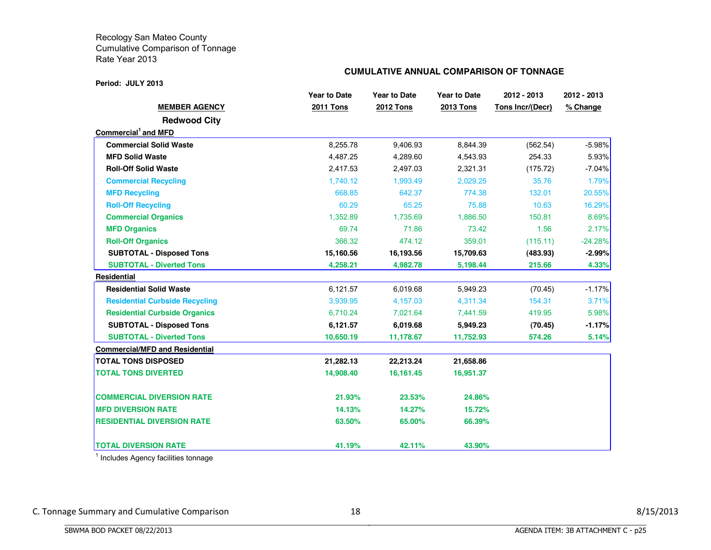#### **Period: JULY 2013**

#### **CUMULATIVE ANNUAL COMPARISON OF TONNAGE**

|                                       | <b>Year to Date</b> | <b>Year to Date</b> | <b>Year to Date</b> | 2012 - 2013      | 2012 - 2013 |
|---------------------------------------|---------------------|---------------------|---------------------|------------------|-------------|
| <b>MEMBER AGENCY</b>                  | <b>2011 Tons</b>    | <b>2012 Tons</b>    | <b>2013 Tons</b>    | Tons Incr/(Decr) | % Change    |
| <b>Redwood City</b>                   |                     |                     |                     |                  |             |
| Commercial <sup>1</sup> and MFD       |                     |                     |                     |                  |             |
| <b>Commercial Solid Waste</b>         | 8,255.78            | 9,406.93            | 8,844.39            | (562.54)         | $-5.98%$    |
| <b>MFD Solid Waste</b>                | 4,487.25            | 4,289.60            | 4,543.93            | 254.33           | 5.93%       |
| <b>Roll-Off Solid Waste</b>           | 2,417.53            | 2,497.03            | 2,321.31            | (175.72)         | $-7.04%$    |
| <b>Commercial Recycling</b>           | 1,740.12            | 1,993.49            | 2,029.25            | 35.76            | 1.79%       |
| <b>MFD Recycling</b>                  | 668.85              | 642.37              | 774.38              | 132.01           | 20.55%      |
| <b>Roll-Off Recycling</b>             | 60.29               | 65.25               | 75.88               | 10.63            | 16.29%      |
| <b>Commercial Organics</b>            | 1.352.89            | 1.735.69            | 1.886.50            | 150.81           | 8.69%       |
| <b>MFD Organics</b>                   | 69.74               | 71.86               | 73.42               | 1.56             | 2.17%       |
| <b>Roll-Off Organics</b>              | 366.32              | 474.12              | 359.01              | (115.11)         | $-24.28%$   |
| <b>SUBTOTAL - Disposed Tons</b>       | 15,160.56           | 16,193.56           | 15,709.63           | (483.93)         | $-2.99%$    |
| <b>SUBTOTAL - Diverted Tons</b>       | 4,258.21            | 4,982.78            | 5,198.44            | 215.66           | 4.33%       |
| <b>Residential</b>                    |                     |                     |                     |                  |             |
| <b>Residential Solid Waste</b>        | 6,121.57            | 6,019.68            | 5,949.23            | (70.45)          | $-1.17%$    |
| <b>Residential Curbside Recycling</b> | 3,939.95            | 4,157.03            | 4,311.34            | 154.31           | 3.71%       |
| <b>Residential Curbside Organics</b>  | 6,710.24            | 7,021.64            | 7,441.59            | 419.95           | 5.98%       |
| <b>SUBTOTAL - Disposed Tons</b>       | 6,121.57            | 6,019.68            | 5,949.23            | (70.45)          | $-1.17%$    |
| <b>SUBTOTAL - Diverted Tons</b>       | 10,650.19           | 11,178.67           | 11,752.93           | 574.26           | 5.14%       |
| <b>Commercial/MFD and Residential</b> |                     |                     |                     |                  |             |
| <b>TOTAL TONS DISPOSED</b>            | 21,282.13           | 22,213.24           | 21,658.86           |                  |             |
| <b>TOTAL TONS DIVERTED</b>            | 14,908.40           | 16,161.45           | 16,951.37           |                  |             |
| <b>COMMERCIAL DIVERSION RATE</b>      | 21.93%              | 23.53%              | 24.86%              |                  |             |
| <b>IMFD DIVERSION RATE</b>            | 14.13%              | 14.27%              | 15.72%              |                  |             |
| <b>RESIDENTIAL DIVERSION RATE</b>     | 63.50%              | 65.00%              | 66.39%              |                  |             |
| <b>TOTAL DIVERSION RATE</b>           | 41.19%              | 42.11%              | 43.90%              |                  |             |

<sup>1</sup> Includes Agency facilities tonnage

BBBBBBBBBBBBBBBBBBBBBBBBBBBBBBBBBBBBBBBBBBBBBBBBBBBBBBBBBBBBBBBBBBBBBBBBBBBBBB

C. Tonnage Summary and Cumulative Comparison 18 3/15/2013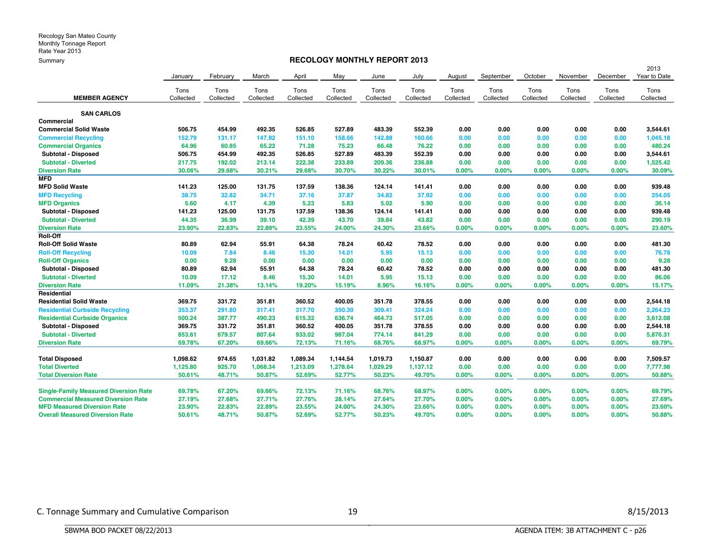#### **RECOLOGY MONTHLY REPORT 2013**

|                                              |           |           |           |           |           |           |           |           |           |           |           |           | 2013         |
|----------------------------------------------|-----------|-----------|-----------|-----------|-----------|-----------|-----------|-----------|-----------|-----------|-----------|-----------|--------------|
|                                              | January   | February  | March     | April     | May       | June      | July      | August    | September | October   | November  | December  | Year to Date |
|                                              | Tons      | Tons      | Tons      | Tons      | Tons      | Tons      | Tons      | Tons      | Tons      | Tons      | Tons      | Tons      | Tons         |
| <b>MEMBER AGENCY</b>                         | Collected | Collected | Collected | Collected | Collected | Collected | Collected | Collected | Collected | Collected | Collected | Collected | Collected    |
| <b>SAN CARLOS</b>                            |           |           |           |           |           |           |           |           |           |           |           |           |              |
| Commercial                                   |           |           |           |           |           |           |           |           |           |           |           |           |              |
| <b>Commercial Solid Waste</b>                | 506.75    | 454.99    | 492.35    | 526.85    | 527.89    | 483.39    | 552.39    | 0.00      | 0.00      | 0.00      | 0.00      | 0.00      | 3,544.61     |
| <b>Commercial Recycling</b>                  | 152.79    | 131.17    | 147.92    | 151.10    | 158.66    | 142.88    | 160.66    | 0.00      | 0.00      | 0.00      | 0.00      | 0.00      | 1,045.18     |
| <b>Commercial Organics</b>                   | 64.96     | 60.85     | 65.22     | 71.28     | 75.23     | 66.48     | 76.22     | 0.00      | 0.00      | 0.00      | 0.00      | 0.00      | 480.24       |
| Subtotal - Disposed                          | 506.75    | 454.99    | 492.35    | 526.85    | 527.89    | 483.39    | 552.39    | 0.00      | 0.00      | 0.00      | 0.00      | 0.00      | 3,544.61     |
| <b>Subtotal - Diverted</b>                   | 217.75    | 192.02    | 213.14    | 222.38    | 233.89    | 209.36    | 236.88    | 0.00      | 0.00      | 0.00      | 0.00      | 0.00      | 1,525.42     |
| <b>Diversion Rate</b>                        | 30.06%    | 29.68%    | 30.21%    | 29.68%    | 30.70%    | 30.22%    | 30.01%    | 0.00%     | 0.00%     | 0.00%     | 0.00%     | 0.00%     | 30.09%       |
| <b>MFD</b>                                   |           |           |           |           |           |           |           |           |           |           |           |           |              |
| <b>MFD Solid Waste</b>                       | 141.23    | 125.00    | 131.75    | 137.59    | 138.36    | 124.14    | 141.41    | 0.00      | 0.00      | 0.00      | 0.00      | 0.00      | 939.48       |
| <b>MFD Recycling</b>                         | 38.75     | 32.82     | 34.71     | 37.16     | 37.87     | 34.82     | 37.92     | 0.00      | 0.00      | 0.00      | 0.00      | 0.00      | 254.05       |
| <b>MFD Organics</b>                          | 5.60      | 4.17      | 4.39      | 5.23      | 5.83      | 5.02      | 5.90      | 0.00      | 0.00      | 0.00      | 0.00      | 0.00      | 36.14        |
| Subtotal - Disposed                          | 141.23    | 125.00    | 131.75    | 137.59    | 138.36    | 124.14    | 141.41    | 0.00      | 0.00      | 0.00      | 0.00      | 0.00      | 939.48       |
| <b>Subtotal - Diverted</b>                   | 44.35     | 36.99     | 39.10     | 42.39     | 43.70     | 39.84     | 43.82     | 0.00      | 0.00      | 0.00      | 0.00      | 0.00      | 290.19       |
| <b>Diversion Rate</b>                        | 23,90%    | 22.83%    | 22.89%    | 23.55%    | 24.00%    | 24.30%    | 23.66%    | 0.00%     | 0.00%     | 0.00%     | 0.00%     | 0.00%     | 23.60%       |
| Roll-Off                                     |           |           |           |           |           |           |           |           |           |           |           |           |              |
| <b>Roll-Off Solid Waste</b>                  | 80.89     | 62.94     | 55.91     | 64.38     | 78.24     | 60.42     | 78.52     | 0.00      | 0.00      | 0.00      | 0.00      | 0.00      | 481.30       |
| <b>Roll-Off Recycling</b>                    | 10.09     | 7.84      | 8.46      | 15.30     | 14.01     | 5.95      | 15.13     | 0.00      | 0.00      | 0.00      | 0.00      | 0.00      | 76.78        |
| <b>Roll-Off Organics</b>                     | 0.00      | 9.28      | 0.00      | 0.00      | 0.00      | 0.00      | 0.00      | 0.00      | 0.00      | 0.00      | 0.00      | 0.00      | 9.28         |
| Subtotal - Disposed                          | 80.89     | 62.94     | 55.91     | 64.38     | 78.24     | 60.42     | 78.52     | 0.00      | 0.00      | 0.00      | 0.00      | 0.00      | 481.30       |
| <b>Subtotal - Diverted</b>                   | 10.09     | 17.12     | 8.46      | 15.30     | 14.01     | 5.95      | 15.13     | 0.00      | 0.00      | 0.00      | 0.00      | 0.00      | 86.06        |
| <b>Diversion Rate</b>                        | 11.09%    | 21.38%    | 13.14%    | 19.20%    | 15.19%    | 8.96%     | 16.16%    | 0.00%     | 0.00%     | 0.00%     | 0.00%     | 0.00%     | 15.17%       |
| Residential                                  |           |           |           |           |           |           |           |           |           |           |           |           |              |
| <b>Residential Solid Waste</b>               | 369.75    | 331.72    | 351.81    | 360.52    | 400.05    | 351.78    | 378.55    | 0.00      | 0.00      | 0.00      | 0.00      | 0.00      | 2,544.18     |
| <b>Residential Curbside Recycling</b>        | 353.37    | 291.80    | 317.41    | 317.70    | 350.30    | 309.41    | 324.24    | 0.00      | 0.00      | 0.00      | 0.00      | 0.00      | 2,264.23     |
| <b>Residential Curbside Organics</b>         | 500.24    | 387.77    | 490.23    | 615.32    | 636.74    | 464.73    | 517.05    | 0.00      | 0.00      | 0.00      | 0.00      | 0.00      | 3,612.08     |
| Subtotal - Disposed                          | 369.75    | 331.72    | 351.81    | 360.52    | 400.05    | 351.78    | 378.55    | 0.00      | 0.00      | 0.00      | 0.00      | 0.00      | 2,544.18     |
| <b>Subtotal - Diverted</b>                   | 853.61    | 679.57    | 807.64    | 933.02    | 987.04    | 774.14    | 841.29    | 0.00      | 0.00      | 0.00      | 0.00      | 0.00      | 5,876.31     |
| <b>Diversion Rate</b>                        | 69.78%    | 67.20%    | 69.66%    | 72.13%    | 71.16%    | 68.76%    | 68.97%    | 0.00%     | 0.00%     | 0.00%     | 0.00%     | 0.00%     | 69.79%       |
| <b>Total Disposed</b>                        | 1,098.62  | 974.65    | 1,031.82  | 1,089.34  | 1,144.54  | 1,019.73  | 1,150.87  | 0.00      | 0.00      | 0.00      | 0.00      | 0.00      | 7,509.57     |
| <b>Total Diverted</b>                        | 1,125.80  | 925.70    | 1,068.34  | 1,213.09  | 1,278.64  | 1,029.29  | 1,137.12  | 0.00      | 0.00      | 0.00      | 0.00      | 0.00      | 7,777.98     |
| <b>Total Diversion Rate</b>                  | 50.61%    | 48.71%    | 50.87%    | 52.69%    | 52.77%    | 50.23%    | 49.70%    | 0.00%     | 0.00%     | 0.00%     | 0.00%     | 0.00%     | 50.88%       |
| <b>Single-Family Measured Diversion Rate</b> | 69.78%    | 67.20%    | 69.66%    | 72.13%    | 71.16%    | 68.76%    | 68.97%    | 0.00%     | 0.00%     | 0.00%     | 0.00%     | $0.00\%$  | 69.79%       |
| <b>Commercial Measured Diversion Rate</b>    | 27.19%    | 27.68%    | 27.71%    | 27.76%    | 28.14%    | 27.64%    | 27.70%    | $0.00\%$  | 0.00%     | 0.00%     | 0.00%     | 0.00%     | 27.69%       |
| <b>MFD Measured Diversion Rate</b>           | 23.90%    | 22.83%    | 22.89%    | 23.55%    | 24.00%    | 24.30%    | 23.66%    | 0.00%     | 0.00%     | $0.00\%$  | $0.00\%$  | $0.00\%$  | 23.60%       |
| <b>Overall Measured Diversion Rate</b>       | 50.61%    | 48.71%    | 50.87%    | 52.69%    | 52.77%    | 50.23%    | 49.70%    | 0.00%     | 0.00%     | 0.00%     | 0.00%     | 0.00%     | 50.88%       |

BBBBBBBBBBBBBBBBBBBBBBBBBBBBBBBBBBBBBBBBBBBBBBBBBBBBBBBBBBBBBBBBBBBBBBBBBBBBBB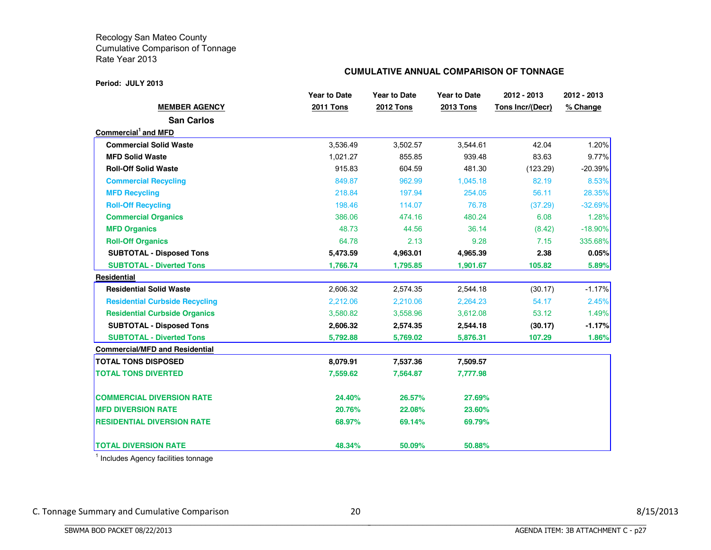#### **Period: JULY 2013**

#### **CUMULATIVE ANNUAL COMPARISON OF TONNAGE**

|                                       | <b>Year to Date</b> | <b>Year to Date</b> | <b>Year to Date</b> | 2012 - 2013      | 2012 - 2013 |
|---------------------------------------|---------------------|---------------------|---------------------|------------------|-------------|
| <b>MEMBER AGENCY</b>                  | <b>2011 Tons</b>    | <b>2012 Tons</b>    | <b>2013 Tons</b>    | Tons Incr/(Decr) | % Change    |
| <b>San Carlos</b>                     |                     |                     |                     |                  |             |
| Commercial and MFD                    |                     |                     |                     |                  |             |
| <b>Commercial Solid Waste</b>         | 3,536.49            | 3,502.57            | 3,544.61            | 42.04            | $1.20\%$    |
| <b>MFD Solid Waste</b>                | 1,021.27            | 855.85              | 939.48              | 83.63            | 9.77%       |
| <b>Roll-Off Solid Waste</b>           | 915.83              | 604.59              | 481.30              | (123.29)         | $-20.39%$   |
| <b>Commercial Recycling</b>           | 849.87              | 962.99              | 1,045.18            | 82.19            | 8.53%       |
| <b>MFD Recycling</b>                  | 218.84              | 197.94              | 254.05              | 56.11            | 28.35%      |
| <b>Roll-Off Recycling</b>             | 198.46              | 114.07              | 76.78               | (37.29)          | $-32.69%$   |
| <b>Commercial Organics</b>            | 386.06              | 474.16              | 480.24              | 6.08             | 1.28%       |
| <b>MFD Organics</b>                   | 48.73               | 44.56               | 36.14               | (8.42)           | $-18.90\%$  |
| <b>Roll-Off Organics</b>              | 64.78               | 2.13                | 9.28                | 7.15             | 335.68%     |
| <b>SUBTOTAL - Disposed Tons</b>       | 5,473.59            | 4,963.01            | 4,965.39            | 2.38             | 0.05%       |
| <b>SUBTOTAL - Diverted Tons</b>       | 1,766.74            | 1,795.85            | 1,901.67            | 105.82           | 5.89%       |
| Residential                           |                     |                     |                     |                  |             |
| <b>Residential Solid Waste</b>        | 2,606.32            | 2,574.35            | 2,544.18            | (30.17)          | $-1.17%$    |
| <b>Residential Curbside Recycling</b> | 2,212.06            | 2,210.06            | 2,264.23            | 54.17            | 2.45%       |
| <b>Residential Curbside Organics</b>  | 3,580.82            | 3,558.96            | 3,612.08            | 53.12            | 1.49%       |
| <b>SUBTOTAL - Disposed Tons</b>       | 2,606.32            | 2,574.35            | 2,544.18            | (30.17)          | $-1.17%$    |
| <b>SUBTOTAL - Diverted Tons</b>       | 5,792.88            | 5,769.02            | 5,876.31            | 107.29           | 1.86%       |
| <b>Commercial/MFD and Residential</b> |                     |                     |                     |                  |             |
| <b>TOTAL TONS DISPOSED</b>            | 8,079.91            | 7,537.36            | 7,509.57            |                  |             |
| <b>TOTAL TONS DIVERTED</b>            | 7,559.62            | 7,564.87            | 7,777.98            |                  |             |
| <b>COMMERCIAL DIVERSION RATE</b>      | 24.40%              | 26.57%              | 27.69%              |                  |             |
| <b>MFD DIVERSION RATE</b>             | 20.76%              | 22.08%              | 23.60%              |                  |             |
| <b>RESIDENTIAL DIVERSION RATE</b>     | 68.97%              | 69.14%              | 69.79%              |                  |             |
| <b>TOTAL DIVERSION RATE</b>           | 48.34%              | 50.09%              | 50.88%              |                  |             |

<sup>1</sup> Includes Agency facilities tonnage

BBBBBBBBBBBBBBBBBBBBBBBBBBBBBBBBBBBBBBBBBBBBBBBBBBBBBBBBBBBBBBBBBBBBBBBBBBBBBB

C. Tonnage Summary and Cumulative Comparison 20 20 and 20 8/15/2013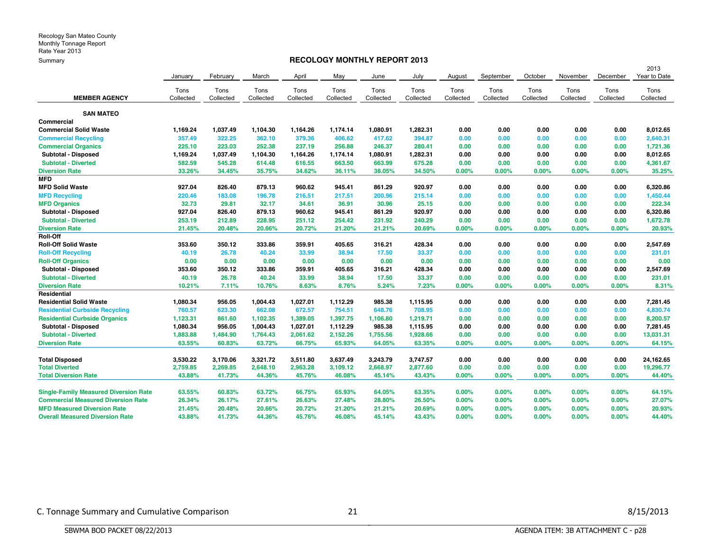#### **RECOLOGY MONTHLY REPORT 2013**

|                                              |           |           |           |           |           |           |           |           |           |           |           |           | 2013         |
|----------------------------------------------|-----------|-----------|-----------|-----------|-----------|-----------|-----------|-----------|-----------|-----------|-----------|-----------|--------------|
|                                              | January   | February  | March     | April     | May       | June      | July      | August    | September | October   | November  | December  | Year to Date |
|                                              | Tons      | Tons      | Tons      | Tons      | Tons      | Tons      | Tons      | Tons      | Tons      | Tons      | Tons      | Tons      | Tons         |
| <b>MEMBER AGENCY</b>                         | Collected | Collected | Collected | Collected | Collected | Collected | Collected | Collected | Collected | Collected | Collected | Collected | Collected    |
| <b>SAN MATEO</b>                             |           |           |           |           |           |           |           |           |           |           |           |           |              |
| Commercial                                   |           |           |           |           |           |           |           |           |           |           |           |           |              |
| <b>Commercial Solid Waste</b>                | 1,169.24  | 1,037.49  | 1,104.30  | 1,164.26  | 1,174.14  | 1,080.91  | 1,282.31  | 0.00      | 0.00      | 0.00      | 0.00      | 0.00      | 8,012.65     |
| <b>Commercial Recycling</b>                  | 357.49    | 322.25    | 362.10    | 379.36    | 406.62    | 417.62    | 394.87    | 0.00      | 0.00      | 0.00      | 0.00      | 0.00      | 2,640.31     |
| <b>Commercial Organics</b>                   | 225.10    | 223.03    | 252.38    | 237.19    | 256,88    | 246.37    | 280.41    | 0.00      | 0.00      | 0.00      | 0.00      | 0.00      | 1,721.36     |
| Subtotal - Disposed                          | 1,169.24  | 1,037.49  | 1,104.30  | 1,164.26  | 1,174.14  | 1,080.91  | 1,282.31  | 0.00      | 0.00      | 0.00      | 0.00      | 0.00      | 8,012.65     |
| <b>Subtotal - Diverted</b>                   | 582.59    | 545.28    | 614.48    | 616.55    | 663.50    | 663.99    | 675.28    | 0.00      | 0.00      | 0.00      | 0.00      | 0.00      | 4,361.67     |
| <b>Diversion Rate</b>                        | 33.26%    | 34.45%    | 35.75%    | 34.62%    | 36.11%    | 38.05%    | 34.50%    | 0.00%     | 0.00%     | 0.00%     | 0.00%     | 0.00%     | 35.25%       |
| <b>MFD</b>                                   |           |           |           |           |           |           |           |           |           |           |           |           |              |
| <b>MFD Solid Waste</b>                       | 927.04    | 826.40    | 879.13    | 960.62    | 945.41    | 861.29    | 920.97    | 0.00      | 0.00      | 0.00      | 0.00      | 0.00      | 6,320.86     |
| <b>MFD Recycling</b>                         | 220.46    | 183.08    | 196.78    | 216.51    | 217.51    | 200.96    | 215.14    | 0.00      | 0.00      | 0.00      | 0.00      | 0.00      | 1,450.44     |
| <b>MFD Organics</b>                          | 32.73     | 29.81     | 32.17     | 34.61     | 36.91     | 30.96     | 25.15     | 0.00      | 0.00      | 0.00      | 0.00      | 0.00      | 222.34       |
| Subtotal - Disposed                          | 927.04    | 826.40    | 879.13    | 960.62    | 945.41    | 861.29    | 920.97    | 0.00      | 0.00      | 0.00      | 0.00      | 0.00      | 6,320.86     |
| <b>Subtotal - Diverted</b>                   | 253.19    | 212.89    | 228.95    | 251.12    | 254.42    | 231.92    | 240.29    | 0.00      | 0.00      | 0.00      | 0.00      | 0.00      | 1,672.78     |
| <b>Diversion Rate</b>                        | 21.45%    | 20.48%    | 20.66%    | 20.72%    | 21.20%    | 21.21%    | 20.69%    | 0.00%     | 0.00%     | 0.00%     | 0.00%     | 0.00%     | 20.93%       |
| Roll-Off                                     |           |           |           |           |           |           |           |           |           |           |           |           |              |
| <b>Roll-Off Solid Waste</b>                  | 353.60    | 350.12    | 333.86    | 359.91    | 405.65    | 316.21    | 428.34    | 0.00      | 0.00      | 0.00      | 0.00      | 0.00      | 2,547.69     |
| <b>Roll-Off Recycling</b>                    | 40.19     | 26.78     | 40.24     | 33.99     | 38.94     | 17.50     | 33.37     | 0.00      | 0.00      | 0.00      | 0.00      | 0.00      | 231.01       |
| <b>Roll-Off Organics</b>                     | 0.00      | 0.00      | 0.00      | 0.00      | 0.00      | 0.00      | 0.00      | 0.00      | 0.00      | 0.00      | 0.00      | 0.00      | 0.00         |
| Subtotal - Disposed                          | 353.60    | 350.12    | 333.86    | 359.91    | 405.65    | 316.21    | 428.34    | 0.00      | 0.00      | 0.00      | 0.00      | 0.00      | 2,547.69     |
| <b>Subtotal - Diverted</b>                   | 40.19     | 26.78     | 40.24     | 33.99     | 38.94     | 17.50     | 33.37     | 0.00      | 0.00      | 0.00      | 0.00      | 0.00      | 231.01       |
| <b>Diversion Rate</b>                        | 10.21%    | 7.11%     | 10.76%    | 8.63%     | 8.76%     | 5.24%     | 7.23%     | 0.00%     | 0.00%     | $0.00\%$  | 0.00%     | $0.00\%$  | 8.31%        |
| Residential                                  |           |           |           |           |           |           |           |           |           |           |           |           |              |
| <b>Residential Solid Waste</b>               | 1,080.34  | 956.05    | 1,004.43  | 1,027.01  | 1,112.29  | 985.38    | 1,115.95  | 0.00      | 0.00      | 0.00      | 0.00      | 0.00      | 7,281.45     |
| <b>Residential Curbside Recycling</b>        | 760.57    | 623.30    | 662.08    | 672.57    | 754.51    | 648.76    | 708.95    | 0.00      | 0.00      | 0.00      | 0.00      | 0.00      | 4,830.74     |
| <b>Residential Curbside Organics</b>         | 1,123.31  | 861.60    | 1,102.35  | 1,389.05  | 1,397.75  | 1,106.80  | 1,219.71  | 0.00      | 0.00      | 0.00      | 0.00      | 0.00      | 8,200.57     |
| Subtotal - Disposed                          | 1,080.34  | 956.05    | 1,004.43  | 1,027.01  | 1,112.29  | 985.38    | 1,115.95  | 0.00      | 0.00      | 0.00      | 0.00      | 0.00      | 7,281.45     |
| <b>Subtotal - Diverted</b>                   | 1,883.88  | 1,484.90  | 1,764.43  | 2,061.62  | 2,152.26  | 1,755.56  | 1,928.66  | 0.00      | 0.00      | 0.00      | 0.00      | 0.00      | 13,031.31    |
| <b>Diversion Rate</b>                        | 63.55%    | 60.83%    | 63.72%    | 66.75%    | 65.93%    | 64.05%    | 63.35%    | 0.00%     | 0.00%     | 0.00%     | 0.00%     | 0.00%     | 64.15%       |
| <b>Total Disposed</b>                        | 3,530.22  | 3,170.06  | 3,321.72  | 3,511.80  | 3,637.49  | 3,243.79  | 3,747.57  | 0.00      | 0.00      | 0.00      | 0.00      | 0.00      | 24,162.65    |
| <b>Total Diverted</b>                        | 2,759.85  | 2,269.85  | 2,648.10  | 2,963.28  | 3,109.12  | 2,668.97  | 2,877.60  | 0.00      | 0.00      | 0.00      | 0.00      | 0.00      | 19,296.77    |
| <b>Total Diversion Rate</b>                  | 43.88%    | 41.73%    | 44.36%    | 45.76%    | 46.08%    | 45.14%    | 43.43%    | 0.00%     | 0.00%     | 0.00%     | 0.00%     | 0.00%     | 44.40%       |
| <b>Single-Family Measured Diversion Rate</b> | 63.55%    | 60.83%    | 63.72%    | 66.75%    | 65.93%    | 64.05%    | 63.35%    | 0.00%     | 0.00%     | 0.00%     | 0.00%     | 0.00%     | 64.15%       |
| <b>Commercial Measured Diversion Rate</b>    | 26.34%    | 26.17%    | 27.61%    | 26.63%    | 27.48%    | 28.80%    | 26.50%    | 0.00%     | 0.00%     | 0.00%     | 0.00%     | $0.00\%$  | 27.07%       |
| <b>MFD Measured Diversion Rate</b>           | 21.45%    | 20.48%    | 20.66%    | 20.72%    | 21.20%    | 21.21%    | 20.69%    | 0.00%     | 0.00%     | 0.00%     | 0.00%     | 0.00%     | 20.93%       |
| <b>Overall Measured Diversion Rate</b>       | 43.88%    | 41.73%    | 44.36%    | 45.76%    | 46.08%    | 45.14%    | 43.43%    | 0.00%     | 0.00%     | 0.00%     | 0.00%     | $0.00\%$  | 44.40%       |

C. Tonnage Summary and Cumulative Comparison 21 21 and 2018 and 21 8/15/2013

BBBBBBBBBBBBBBBBBBBBBBBBBBBBBBBBBBBBBBBBBBBBBBBBBBBBBBBBBBBBBBBBBBBBBBBBBBBBBB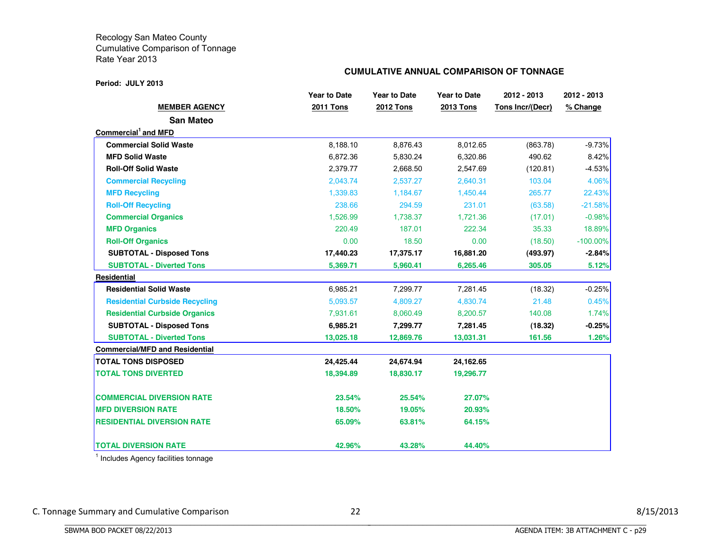#### **Period: JULY 2013**

#### **CUMULATIVE ANNUAL COMPARISON OF TONNAGE**

|                                       | <b>Year to Date</b> | <b>Year to Date</b> | <b>Year to Date</b> | 2012 - 2013      | 2012 - 2013 |
|---------------------------------------|---------------------|---------------------|---------------------|------------------|-------------|
| <b>MEMBER AGENCY</b>                  | <b>2011 Tons</b>    | <b>2012 Tons</b>    | <b>2013 Tons</b>    | Tons Incr/(Decr) | % Change    |
| <b>San Mateo</b>                      |                     |                     |                     |                  |             |
| Commercial <sup>1</sup> and MFD       |                     |                     |                     |                  |             |
| <b>Commercial Solid Waste</b>         | 8,188.10            | 8,876.43            | 8,012.65            | (863.78)         | $-9.73%$    |
| <b>MFD Solid Waste</b>                | 6,872.36            | 5,830.24            | 6,320.86            | 490.62           | 8.42%       |
| <b>Roll-Off Solid Waste</b>           | 2.379.77            | 2.668.50            | 2,547.69            | (120.81)         | $-4.53%$    |
| <b>Commercial Recycling</b>           | 2,043.74            | 2,537.27            | 2,640.31            | 103.04           | 4.06%       |
| <b>MFD Recycling</b>                  | 1,339.83            | 1,184.67            | 1,450.44            | 265.77           | 22.43%      |
| <b>Roll-Off Recycling</b>             | 238.66              | 294.59              | 231.01              | (63.58)          | $-21.58%$   |
| <b>Commercial Organics</b>            | 1.526.99            | 1.738.37            | 1,721.36            | (17.01)          | $-0.98%$    |
| <b>MFD Organics</b>                   | 220.49              | 187.01              | 222.34              | 35.33            | 18.89%      |
| <b>Roll-Off Organics</b>              | 0.00                | 18.50               | 0.00                | (18.50)          | $-100.00\%$ |
| <b>SUBTOTAL - Disposed Tons</b>       | 17,440.23           | 17,375.17           | 16,881.20           | (493.97)         | -2.84%      |
| <b>SUBTOTAL - Diverted Tons</b>       | 5,369.71            | 5,960.41            | 6,265.46            | 305.05           | 5.12%       |
| Residential                           |                     |                     |                     |                  |             |
| <b>Residential Solid Waste</b>        | 6,985.21            | 7,299.77            | 7,281.45            | (18.32)          | $-0.25%$    |
| <b>Residential Curbside Recycling</b> | 5,093.57            | 4,809.27            | 4,830.74            | 21.48            | 0.45%       |
| <b>Residential Curbside Organics</b>  | 7,931.61            | 8,060.49            | 8,200.57            | 140.08           | 1.74%       |
| <b>SUBTOTAL - Disposed Tons</b>       | 6,985.21            | 7,299.77            | 7,281.45            | (18.32)          | $-0.25%$    |
| <b>SUBTOTAL - Diverted Tons</b>       | 13,025.18           | 12,869.76           | 13,031.31           | 161.56           | 1.26%       |
| <b>Commercial/MFD and Residential</b> |                     |                     |                     |                  |             |
| <b>TOTAL TONS DISPOSED</b>            | 24,425.44           | 24,674.94           | 24,162.65           |                  |             |
| <b>TOTAL TONS DIVERTED</b>            | 18,394.89           | 18,830.17           | 19,296.77           |                  |             |
| <b>COMMERCIAL DIVERSION RATE</b>      | 23.54%              | 25.54%              | 27.07%              |                  |             |
| <b>IMFD DIVERSION RATE</b>            | 18.50%              | 19.05%              | 20.93%              |                  |             |
| <b>RESIDENTIAL DIVERSION RATE</b>     | 65.09%              | 63.81%              | 64.15%              |                  |             |
| <b>TOTAL DIVERSION RATE</b>           | 42.96%              | 43.28%              | 44.40%              |                  |             |

<sup>1</sup> Includes Agency facilities tonnage

BBBBBBBBBBBBBBBBBBBBBBBBBBBBBBBBBBBBBBBBBBBBBBBBBBBBBBBBBBBBBBBBBBBBBBBBBBBBBB

C. Tonnage Summary and Cumulative Comparison 22 8/15/2013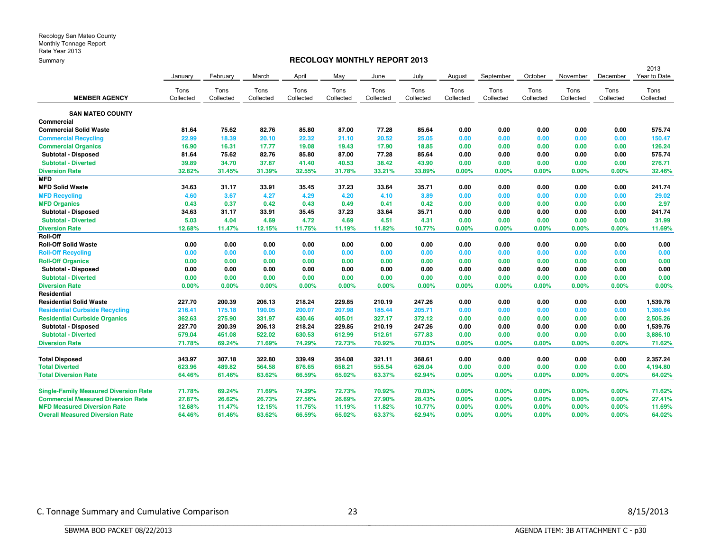#### **RECOLOGY MONTHLY REPORT 2013**

|                                              |           |           |           |           |           |           |           |           |           |           |           |           | 2013         |
|----------------------------------------------|-----------|-----------|-----------|-----------|-----------|-----------|-----------|-----------|-----------|-----------|-----------|-----------|--------------|
|                                              | January   | February  | March     | April     | May       | June      | July      | August    | September | October   | November  | December  | Year to Date |
|                                              | Tons      | Tons      | Tons      | Tons      | Tons      | Tons      | Tons      | Tons      | Tons      | Tons      | Tons      | Tons      | Tons         |
| <b>MEMBER AGENCY</b>                         | Collected | Collected | Collected | Collected | Collected | Collected | Collected | Collected | Collected | Collected | Collected | Collected | Collected    |
| <b>SAN MATEO COUNTY</b>                      |           |           |           |           |           |           |           |           |           |           |           |           |              |
| Commercial                                   |           |           |           |           |           |           |           |           |           |           |           |           |              |
| <b>Commercial Solid Waste</b>                | 81.64     | 75.62     | 82.76     | 85.80     | 87.00     | 77.28     | 85.64     | 0.00      | 0.00      | 0.00      | 0.00      | 0.00      | 575.74       |
| <b>Commercial Recycling</b>                  | 22.99     | 18.39     | 20.10     | 22.32     | 21.10     | 20.52     | 25.05     | 0.00      | 0.00      | 0.00      | 0.00      | 0.00      | 150.47       |
| <b>Commercial Organics</b>                   | 16.90     | 16.31     | 17.77     | 19.08     | 19.43     | 17.90     | 18.85     | 0.00      | 0.00      | 0.00      | 0.00      | 0.00      | 126.24       |
| Subtotal - Disposed                          | 81.64     | 75.62     | 82.76     | 85.80     | 87.00     | 77.28     | 85.64     | 0.00      | 0.00      | 0.00      | 0.00      | 0.00      | 575.74       |
| <b>Subtotal - Diverted</b>                   | 39.89     | 34.70     | 37.87     | 41.40     | 40.53     | 38.42     | 43.90     | 0.00      | 0.00      | 0.00      | 0.00      | 0.00      | 276.71       |
| <b>Diversion Rate</b>                        | 32.82%    | 31.45%    | 31.39%    | 32.55%    | 31.78%    | 33.21%    | 33.89%    | 0.00%     | 0.00%     | $0.00\%$  | 0.00%     | 0.00%     | 32.46%       |
| <b>MFD</b>                                   |           |           |           |           |           |           |           |           |           |           |           |           |              |
| <b>MFD Solid Waste</b>                       | 34.63     | 31.17     | 33.91     | 35.45     | 37.23     | 33.64     | 35.71     | 0.00      | 0.00      | 0.00      | 0.00      | 0.00      | 241.74       |
| <b>MFD Recycling</b>                         | 4.60      | 3.67      | 4.27      | 4.29      | 4.20      | 4.10      | 3.89      | 0.00      | 0.00      | 0.00      | 0.00      | 0.00      | 29.02        |
| <b>MFD Organics</b>                          | 0.43      | 0.37      | 0.42      | 0.43      | 0.49      | 0.41      | 0.42      | 0.00      | 0.00      | 0.00      | 0.00      | 0.00      | 2.97         |
| Subtotal - Disposed                          | 34.63     | 31.17     | 33.91     | 35.45     | 37.23     | 33.64     | 35.71     | 0.00      | 0.00      | 0.00      | 0.00      | 0.00      | 241.74       |
| <b>Subtotal - Diverted</b>                   | 5.03      | 4.04      | 4.69      | 4.72      | 4.69      | 4.51      | 4.31      | 0.00      | 0.00      | 0.00      | 0.00      | 0.00      | 31.99        |
| <b>Diversion Rate</b>                        | 12.68%    | 11.47%    | 12.15%    | 11.75%    | 11.19%    | 11.82%    | 10.77%    | 0.00%     | 0.00%     | 0.00%     | 0.00%     | 0.00%     | 11.69%       |
| <b>Roll-Off</b>                              |           |           |           |           |           |           |           |           |           |           |           |           |              |
| <b>Roll-Off Solid Waste</b>                  | 0.00      | 0.00      | 0.00      | 0.00      | 0.00      | 0.00      | 0.00      | 0.00      | 0.00      | 0.00      | 0.00      | 0.00      | 0.00         |
| <b>Roll-Off Recycling</b>                    | 0.00      | 0.00      | 0.00      | 0.00      | 0.00      | 0.00      | 0.00      | 0.00      | 0.00      | 0.00      | 0.00      | 0.00      | 0.00         |
| <b>Roll-Off Organics</b>                     | 0.00      | 0.00      | 0.00      | 0.00      | 0.00      | 0.00      | 0.00      | 0.00      | 0.00      | 0.00      | 0.00      | 0.00      | 0.00         |
| Subtotal - Disposed                          | 0.00      | 0.00      | 0.00      | 0.00      | 0.00      | 0.00      | 0.00      | 0.00      | 0.00      | 0.00      | 0.00      | 0.00      | 0.00         |
| <b>Subtotal - Diverted</b>                   | 0.00      | 0.00      | 0.00      | 0.00      | 0.00      | 0.00      | 0.00      | 0.00      | 0.00      | 0.00      | 0.00      | 0.00      | 0.00         |
| <b>Diversion Rate</b>                        | 0.00%     | $0.00\%$  | 0.00%     | 0.00%     | $0.00\%$  | 0.00%     | 0.00%     | $0.00\%$  | 0.00%     | 0.00%     | 0.00%     | 0.00%     | 0.00%        |
| Residential                                  |           |           |           |           |           |           |           |           |           |           |           |           |              |
| <b>Residential Solid Waste</b>               | 227.70    | 200.39    | 206.13    | 218.24    | 229.85    | 210.19    | 247.26    | 0.00      | 0.00      | 0.00      | 0.00      | 0.00      | 1,539.76     |
| <b>Residential Curbside Recycling</b>        | 216.41    | 175.18    | 190.05    | 200.07    | 207.98    | 185.44    | 205.71    | 0.00      | 0.00      | 0.00      | 0.00      | 0.00      | 1,380.84     |
| <b>Residential Curbside Organics</b>         | 362.63    | 275.90    | 331.97    | 430.46    | 405.01    | 327.17    | 372.12    | 0.00      | 0.00      | 0.00      | 0.00      | 0.00      | 2,505.26     |
| Subtotal - Disposed                          | 227.70    | 200.39    | 206.13    | 218.24    | 229.85    | 210.19    | 247.26    | 0.00      | 0.00      | 0.00      | 0.00      | 0.00      | 1,539.76     |
| <b>Subtotal - Diverted</b>                   | 579.04    | 451.08    | 522.02    | 630.53    | 612.99    | 512.61    | 577.83    | 0.00      | 0.00      | 0.00      | 0.00      | 0.00      | 3,886.10     |
| <b>Diversion Rate</b>                        | 71.78%    | 69.24%    | 71.69%    | 74.29%    | 72.73%    | 70.92%    | 70.03%    | 0.00%     | 0.00%     | 0.00%     | 0.00%     | 0.00%     | 71.62%       |
| <b>Total Disposed</b>                        | 343.97    | 307.18    | 322.80    | 339.49    | 354.08    | 321.11    | 368.61    | 0.00      | 0.00      | 0.00      | 0.00      | 0.00      | 2,357.24     |
| <b>Total Diverted</b>                        | 623.96    | 489.82    | 564.58    | 676.65    | 658.21    | 555.54    | 626.04    | 0.00      | 0.00      | 0.00      | 0.00      | 0.00      | 4,194.80     |
| <b>Total Diversion Rate</b>                  | 64.46%    | 61.46%    | 63.62%    | 66.59%    | 65.02%    | 63.37%    | 62.94%    | 0.00%     | 0.00%     | 0.00%     | 0.00%     | 0.00%     | 64.02%       |
| <b>Single-Family Measured Diversion Rate</b> | 71.78%    | 69.24%    | 71.69%    | 74.29%    | 72.73%    | 70.92%    | 70.03%    | 0.00%     | 0.00%     | 0.00%     | 0.00%     | $0.00\%$  | 71.62%       |
| <b>Commercial Measured Diversion Rate</b>    | 27.87%    | 26.62%    | 26.73%    | 27.56%    | 26.69%    | 27.90%    | 28.43%    | 0.00%     | 0.00%     | 0.00%     | 0.00%     | 0.00%     | 27.41%       |
| <b>MFD Measured Diversion Rate</b>           | 12.68%    | 11.47%    | 12.15%    | 11.75%    | 11.19%    | 11.82%    | 10.77%    | 0.00%     | 0.00%     | $0.00\%$  | 0.00%     | $0.00\%$  | 11.69%       |
| <b>Overall Measured Diversion Rate</b>       | 64.46%    | 61.46%    | 63.62%    | 66.59%    | 65.02%    | 63.37%    | 62.94%    | 0.00%     | 0.00%     | 0.00%     | 0.00%     | 0.00%     | 64.02%       |
|                                              |           |           |           |           |           |           |           |           |           |           |           |           |              |

BBBBBBBBBBBBBBBBBBBBBBBBBBBBBBBBBBBBBBBBBBBBBBBBBBBBBBBBBBBBBBBBBBBBBBBBBBBBBB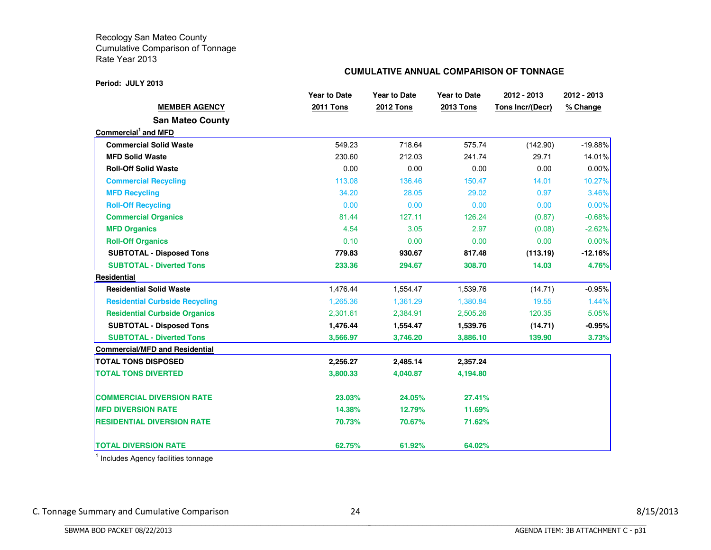#### **Period: JULY 2013**

#### **CUMULATIVE ANNUAL COMPARISON OF TONNAGE**

|                                       | <b>Year to Date</b> | <b>Year to Date</b> | <b>Year to Date</b> | 2012 - 2013      | 2012 - 2013 |
|---------------------------------------|---------------------|---------------------|---------------------|------------------|-------------|
| <b>MEMBER AGENCY</b>                  | <b>2011 Tons</b>    | <b>2012 Tons</b>    | <b>2013 Tons</b>    | Tons Incr/(Decr) | % Change    |
| <b>San Mateo County</b>               |                     |                     |                     |                  |             |
| Commercial <sup>1</sup> and MFD       |                     |                     |                     |                  |             |
| <b>Commercial Solid Waste</b>         | 549.23              | 718.64              | 575.74              | (142.90)         | $-19.88%$   |
| <b>MFD Solid Waste</b>                | 230.60              | 212.03              | 241.74              | 29.71            | 14.01%      |
| <b>Roll-Off Solid Waste</b>           | 0.00                | 0.00                | 0.00                | 0.00             | 0.00%       |
| <b>Commercial Recycling</b>           | 113.08              | 136.46              | 150.47              | 14.01            | 10.27%      |
| <b>MFD Recycling</b>                  | 34.20               | 28.05               | 29.02               | 0.97             | 3.46%       |
| <b>Roll-Off Recycling</b>             | 0.00                | 0.00                | 0.00                | 0.00             | 0.00%       |
| <b>Commercial Organics</b>            | 81.44               | 127.11              | 126.24              | (0.87)           | $-0.68%$    |
| <b>MFD Organics</b>                   | 4.54                | 3.05                | 2.97                | (0.08)           | $-2.62%$    |
| <b>Roll-Off Organics</b>              | 0.10                | 0.00                | 0.00                | 0.00             | 0.00%       |
| <b>SUBTOTAL - Disposed Tons</b>       | 779.83              | 930.67              | 817.48              | (113.19)         | $-12.16%$   |
| <b>SUBTOTAL - Diverted Tons</b>       | 233.36              | 294.67              | 308.70              | 14.03            | 4.76%       |
| Residential                           |                     |                     |                     |                  |             |
| <b>Residential Solid Waste</b>        | 1,476.44            | 1,554.47            | 1,539.76            | (14.71)          | $-0.95%$    |
| <b>Residential Curbside Recycling</b> | 1,265.36            | 1,361.29            | 1,380.84            | 19.55            | 1.44%       |
| <b>Residential Curbside Organics</b>  | 2,301.61            | 2,384.91            | 2,505.26            | 120.35           | 5.05%       |
| <b>SUBTOTAL - Disposed Tons</b>       | 1,476.44            | 1,554.47            | 1,539.76            | (14.71)          | $-0.95%$    |
| <b>SUBTOTAL - Diverted Tons</b>       | 3,566.97            | 3,746.20            | 3,886.10            | 139.90           | 3.73%       |
| <b>Commercial/MFD and Residential</b> |                     |                     |                     |                  |             |
| <b>TOTAL TONS DISPOSED</b>            | 2,256.27            | 2,485.14            | 2,357.24            |                  |             |
| <b>TOTAL TONS DIVERTED</b>            | 3,800.33            | 4,040.87            | 4,194.80            |                  |             |
| <b>COMMERCIAL DIVERSION RATE</b>      | 23.03%              | 24.05%              | 27.41%              |                  |             |
| <b>MFD DIVERSION RATE</b>             | 14.38%              | 12.79%              | 11.69%              |                  |             |
| <b>RESIDENTIAL DIVERSION RATE</b>     | 70.73%              | 70.67%              | 71.62%              |                  |             |
| <b>TOTAL DIVERSION RATE</b>           | 62.75%              | 61.92%              | 64.02%              |                  |             |

<sup>1</sup> Includes Agency facilities tonnage

BBBBBBBBBBBBBBBBBBBBBBBBBBBBBBBBBBBBBBBBBBBBBBBBBBBBBBBBBBBBBBBBBBBBBBBBBBBBBB

C. Tonnage Summary and Cumulative Comparison 24 24 3/15/2013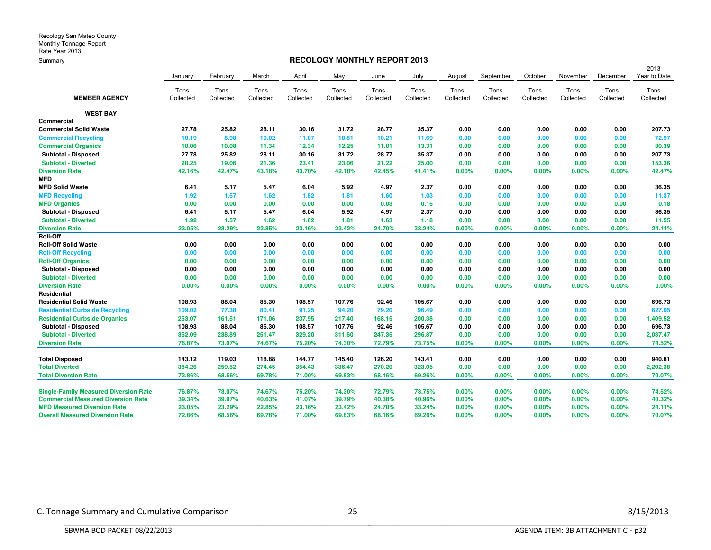#### **RECOLOGY MONTHLY REPORT 2013**

| <u>----------</u>                            |           |           |           |           |           |           |           | 2013      |           |           |           |           |              |
|----------------------------------------------|-----------|-----------|-----------|-----------|-----------|-----------|-----------|-----------|-----------|-----------|-----------|-----------|--------------|
|                                              | January   | February  | March     | April     | May       | June      | July      | August    | September | October   | November  | December  | Year to Date |
|                                              | Tons      | Tons      | Tons      | Tons      | Tons      | Tons      | Tons      | Tons      | Tons      | Tons      | Tons      | Tons      | Tons         |
| <b>MEMBER AGENCY</b>                         | Collected | Collected | Collected | Collected | Collected | Collected | Collected | Collected | Collected | Collected | Collected | Collected | Collected    |
| <b>WEST BAY</b>                              |           |           |           |           |           |           |           |           |           |           |           |           |              |
| Commercial                                   |           |           |           |           |           |           |           |           |           |           |           |           |              |
| <b>Commercial Solid Waste</b>                | 27.78     | 25.82     | 28.11     | 30.16     | 31.72     | 28.77     | 35.37     | 0.00      | 0.00      | 0.00      | 0.00      | 0.00      | 207.73       |
| <b>Commercial Recycling</b>                  | 10.19     | 8.98      | 10.02     | 11.07     | 10.81     | 10.21     | 11.69     | 0.00      | 0.00      | 0.00      | 0.00      | 0.00      | 72.97        |
| <b>Commercial Organics</b>                   | 10.06     | 10.08     | 11.34     | 12.34     | 12.25     | 11.01     | 13.31     | 0.00      | 0.00      | 0.00      | 0.00      | 0.00      | 80.39        |
| Subtotal - Disposed                          | 27.78     | 25.82     | 28.11     | 30.16     | 31.72     | 28.77     | 35.37     | 0.00      | 0.00      | 0.00      | 0.00      | 0.00      | 207.73       |
| <b>Subtotal - Diverted</b>                   | 20.25     | 19.06     | 21.36     | 23.41     | 23.06     | 21.22     | 25.00     | 0.00      | 0.00      | 0.00      | 0.00      | 0.00      | 153.36       |
| <b>Diversion Rate</b>                        | 42.16%    | 42.47%    | 43.18%    | 43.70%    | 42.10%    | 42.45%    | 41.41%    | 0.00%     | 0.00%     | 0.00%     | 0.00%     | 0.00%     | 42.47%       |
| <b>MFD</b>                                   |           |           |           |           |           |           |           |           |           |           |           |           |              |
| <b>MFD Solid Waste</b>                       | 6.41      | 5.17      | 5.47      | 6.04      | 5.92      | 4.97      | 2.37      | 0.00      | 0.00      | 0.00      | 0.00      | 0.00      | 36.35        |
| <b>MFD Recycling</b>                         | 1.92      | 1.57      | 1.62      | 1.82      | 1.81      | 1.60      | 1.03      | 0.00      | 0.00      | 0.00      | 0.00      | 0.00      | 11.37        |
| <b>MFD Organics</b>                          | 0.00      | 0.00      | 0.00      | 0.00      | 0.00      | 0.03      | 0.15      | 0.00      | 0.00      | 0.00      | 0.00      | 0.00      | 0.18         |
| Subtotal - Disposed                          | 6.41      | 5.17      | 5.47      | 6.04      | 5.92      | 4.97      | 2.37      | 0.00      | 0.00      | 0.00      | 0.00      | 0.00      | 36.35        |
| <b>Subtotal - Diverted</b>                   | 1.92      | 1.57      | 1.62      | 1.82      | 1.81      | 1.63      | 1.18      | 0.00      | 0.00      | 0.00      | 0.00      | 0.00      | 11.55        |
| <b>Diversion Rate</b>                        | 23.05%    | 23.29%    | 22.85%    | 23.16%    | 23.42%    | 24.70%    | 33.24%    | 0.00%     | 0.00%     | 0.00%     | 0.00%     | 0.00%     | 24.11%       |
| <b>Roll-Off</b>                              |           |           |           |           |           |           |           |           |           |           |           |           |              |
| <b>Roll-Off Solid Waste</b>                  | 0.00      | 0.00      | 0.00      | 0.00      | 0.00      | 0.00      | 0.00      | 0.00      | 0.00      | 0.00      | 0.00      | 0.00      | 0.00         |
| <b>Roll-Off Recycling</b>                    | 0.00      | 0.00      | 0.00      | 0.00      | 0.00      | 0.00      | 0.00      | 0.00      | 0.00      | 0.00      | 0.00      | 0.00      | 0.00         |
| <b>Roll-Off Organics</b>                     | 0.00      | 0.00      | 0.00      | 0.00      | 0.00      | 0.00      | 0.00      | 0.00      | 0.00      | 0.00      | 0.00      | 0.00      | 0.00         |
| Subtotal - Disposed                          | 0.00      | 0.00      | 0.00      | 0.00      | 0.00      | 0.00      | 0.00      | 0.00      | 0.00      | 0.00      | 0.00      | 0.00      | 0.00         |
| <b>Subtotal - Diverted</b>                   | 0.00      | 0.00      | 0.00      | 0.00      | 0.00      | 0.00      | 0.00      | 0.00      | 0.00      | 0.00      | 0.00      | 0.00      | 0.00         |
| <b>Diversion Rate</b>                        | 0.00%     | 0.00%     | 0.00%     | 0.00%     | 0.00%     | 0.00%     | 0.00%     | 0.00%     | 0.00%     | 0.00%     | 0.00%     | 0.00%     | 0.00%        |
| Residential                                  |           |           |           |           |           |           |           |           |           |           |           |           |              |
| <b>Residential Solid Waste</b>               | 108.93    | 88.04     | 85.30     | 108.57    | 107.76    | 92.46     | 105.67    | 0.00      | 0.00      | 0.00      | 0.00      | 0.00      | 696.73       |
| <b>Residential Curbside Recycling</b>        | 109.02    | 77.38     | 80.41     | 91.25     | 94.20     | 79.20     | 96.49     | 0.00      | 0.00      | 0.00      | 0.00      | 0.00      | 627.95       |
| <b>Residential Curbside Organics</b>         | 253.07    | 161.51    | 171.06    | 237.95    | 217.40    | 168.15    | 200.38    | 0.00      | 0.00      | 0.00      | 0.00      | 0.00      | 1,409.52     |
| Subtotal - Disposed                          | 108.93    | 88.04     | 85.30     | 108.57    | 107.76    | 92.46     | 105.67    | 0.00      | 0.00      | 0.00      | 0.00      | 0.00      | 696.73       |
| <b>Subtotal - Diverted</b>                   | 362.09    | 238.89    | 251.47    | 329.20    | 311.60    | 247.35    | 296.87    | 0.00      | 0.00      | 0.00      | 0.00      | 0.00      | 2,037.47     |
| <b>Diversion Rate</b>                        | 76.87%    | 73.07%    | 74.67%    | 75.20%    | 74.30%    | 72.79%    | 73.75%    | 0.00%     | 0.00%     | 0.00%     | 0.00%     | 0.00%     | 74.52%       |
| <b>Total Disposed</b>                        | 143.12    | 119.03    | 118.88    | 144.77    | 145.40    | 126.20    | 143.41    | 0.00      | 0.00      | 0.00      | 0.00      | 0.00      | 940.81       |
| <b>Total Diverted</b>                        | 384.26    | 259.52    | 274.45    | 354.43    | 336.47    | 270.20    | 323.05    | 0.00      | 0.00      | 0.00      | 0.00      | 0.00      | 2,202.38     |
| <b>Total Diversion Rate</b>                  | 72.86%    | 68.56%    | 69.78%    | 71.00%    | 69.83%    | 68.16%    | 69.26%    | 0.00%     | 0.00%     | 0.00%     | 0.00%     | 0.00%     | 70.07%       |
| <b>Single-Family Measured Diversion Rate</b> | 76.87%    | 73.07%    | 74.67%    | 75.20%    | 74.30%    | 72.79%    | 73.75%    | 0.00%     | 0.00%     | $0.00\%$  | 0.00%     | $0.00\%$  | 74.52%       |
| <b>Commercial Measured Diversion Rate</b>    | 39.34%    | 39.97%    | 40.63%    | 41.07%    | 39.79%    | 40.38%    | 40.96%    | 0.00%     | 0.00%     | 0.00%     | 0.00%     | 0.00%     | 40.32%       |
| <b>MFD Measured Diversion Rate</b>           | 23.05%    | 23.29%    | 22.85%    | 23.16%    | 23.42%    | 24.70%    | 33.24%    | 0.00%     | 0.00%     | 0.00%     | 0.00%     | 0.00%     | 24.11%       |
| <b>Overall Measured Diversion Rate</b>       | 72.86%    | 68.56%    | 69.78%    | 71.00%    | 69.83%    | 68.16%    | 69.26%    | 0.00%     | 0.00%     | 0.00%     | 0.00%     | 0.00%     | 70.07%       |
|                                              |           |           |           |           |           |           |           |           |           |           |           |           |              |

BBBBBBBBBBBBBBBBBBBBBBBBBBBBBBBBBBBBBBBBBBBBBBBBBBBBBBBBBBBBBBBBBBBBBBBBBBBBBB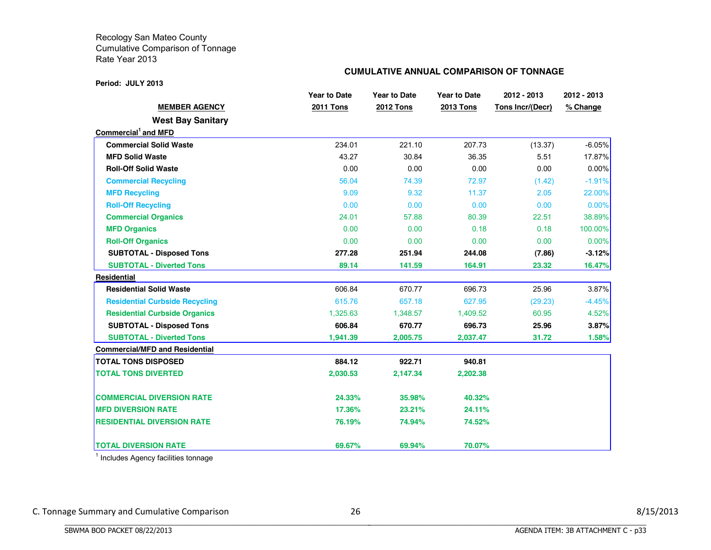#### **Period: JULY 2013**

#### **CUMULATIVE ANNUAL COMPARISON OF TONNAGE**

|                                       | <b>Year to Date</b> | <b>Year to Date</b> | <b>Year to Date</b> | 2012 - 2013      | 2012 - 2013 |
|---------------------------------------|---------------------|---------------------|---------------------|------------------|-------------|
| <b>MEMBER AGENCY</b>                  | <b>2011 Tons</b>    | <b>2012 Tons</b>    | <b>2013 Tons</b>    | Tons Incr/(Decr) | % Change    |
| <b>West Bay Sanitary</b>              |                     |                     |                     |                  |             |
| Commercial <sup>1</sup> and MFD       |                     |                     |                     |                  |             |
| <b>Commercial Solid Waste</b>         | 234.01              | 221.10              | 207.73              | (13.37)          | $-6.05%$    |
| <b>MFD Solid Waste</b>                | 43.27               | 30.84               | 36.35               | 5.51             | 17.87%      |
| <b>Roll-Off Solid Waste</b>           | 0.00                | 0.00                | 0.00                | 0.00             | $0.00\%$    |
| <b>Commercial Recycling</b>           | 56.04               | 74.39               | 72.97               | (1.42)           | $-1.91%$    |
| <b>MFD Recycling</b>                  | 9.09                | 9.32                | 11.37               | 2.05             | 22.00%      |
| <b>Roll-Off Recycling</b>             | 0.00                | 0.00                | 0.00                | 0.00             | 0.00%       |
| <b>Commercial Organics</b>            | 24.01               | 57.88               | 80.39               | 22.51            | 38.89%      |
| <b>MFD Organics</b>                   | 0.00                | 0.00                | 0.18                | 0.18             | 100.00%     |
| <b>Roll-Off Organics</b>              | 0.00                | 0.00                | 0.00                | 0.00             | $0.00\%$    |
| <b>SUBTOTAL - Disposed Tons</b>       | 277.28              | 251.94              | 244.08              | (7.86)           | -3.12%      |
| <b>SUBTOTAL - Diverted Tons</b>       | 89.14               | 141.59              | 164.91              | 23.32            | 16.47%      |
| <b>Residential</b>                    |                     |                     |                     |                  |             |
| <b>Residential Solid Waste</b>        | 606.84              | 670.77              | 696.73              | 25.96            | 3.87%       |
| <b>Residential Curbside Recycling</b> | 615.76              | 657.18              | 627.95              | (29.23)          | $-4.45%$    |
| <b>Residential Curbside Organics</b>  | 1,325.63            | 1,348.57            | 1,409.52            | 60.95            | 4.52%       |
| <b>SUBTOTAL - Disposed Tons</b>       | 606.84              | 670.77              | 696.73              | 25.96            | 3.87%       |
| <b>SUBTOTAL - Diverted Tons</b>       | 1,941.39            | 2,005.75            | 2,037.47            | 31.72            | 1.58%       |
| <b>Commercial/MFD and Residential</b> |                     |                     |                     |                  |             |
| <b>TOTAL TONS DISPOSED</b>            | 884.12              | 922.71              | 940.81              |                  |             |
| <b>TOTAL TONS DIVERTED</b>            | 2,030.53            | 2,147.34            | 2,202.38            |                  |             |
| <b>COMMERCIAL DIVERSION RATE</b>      | 24.33%              | 35.98%              | 40.32%              |                  |             |
| <b>MFD DIVERSION RATE</b>             | 17.36%              | 23.21%              | 24.11%              |                  |             |
| <b>RESIDENTIAL DIVERSION RATE</b>     | 76.19%              | 74.94%              | 74.52%              |                  |             |
| <b>TOTAL DIVERSION RATE</b>           | 69.67%              | 69.94%              | 70.07%              |                  |             |

<sup>1</sup> Includes Agency facilities tonnage

BBBBBBBBBBBBBBBBBBBBBBBBBBBBBBBBBBBBBBBBBBBBBBBBBBBBBBBBBBBBBBBBBBBBBBBBBBBBBB

C. Tonnage Summary and Cumulative Comparison 26 26 8/15/2013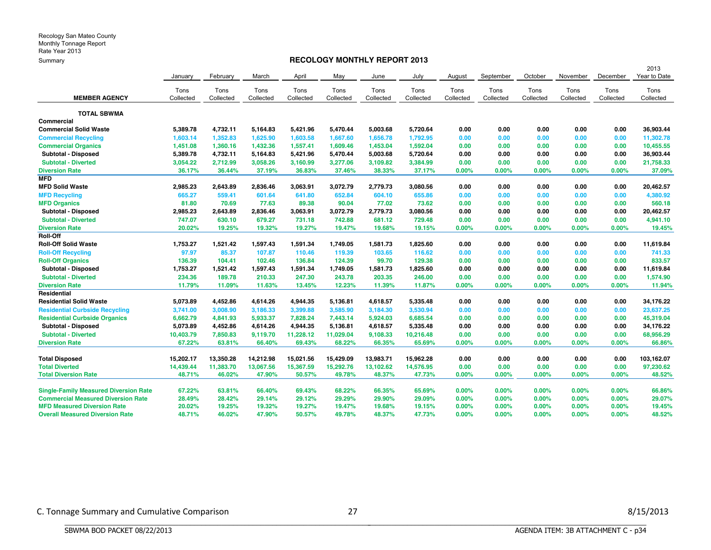#### **RECOLOGY MONTHLY REPORT 2013**

|                                              |           |           |           |           |           |           |           |           |           |           |           |           | 2013         |
|----------------------------------------------|-----------|-----------|-----------|-----------|-----------|-----------|-----------|-----------|-----------|-----------|-----------|-----------|--------------|
|                                              | January   | February  | March     | April     | May       | June      | July      | August    | September | October   | November  | December  | Year to Date |
|                                              | Tons      | Tons      | Tons      | Tons      | Tons      | Tons      | Tons      | Tons      | Tons      | Tons      | Tons      | Tons      | Tons         |
| <b>MEMBER AGENCY</b>                         | Collected | Collected | Collected | Collected | Collected | Collected | Collected | Collected | Collected | Collected | Collected | Collected | Collected    |
| <b>TOTAL SBWMA</b>                           |           |           |           |           |           |           |           |           |           |           |           |           |              |
| Commercial                                   |           |           |           |           |           |           |           |           |           |           |           |           |              |
| <b>Commercial Solid Waste</b>                | 5.389.78  | 4,732.11  | 5,164.83  | 5,421.96  | 5,470.44  | 5,003.68  | 5,720.64  | 0.00      | 0.00      | 0.00      | 0.00      | 0.00      | 36.903.44    |
| <b>Commercial Recycling</b>                  | 1,603.14  | 1,352.83  | 1,625.90  | 1,603.58  | 1,667.60  | 1,656.78  | 1,792.95  | 0.00      | 0.00      | 0.00      | 0.00      | 0.00      | 11,302.78    |
| <b>Commercial Organics</b>                   | 1,451.08  | 1.360.16  | 1,432.36  | 1,557.41  | 1.609.46  | 1,453.04  | 1,592.04  | 0.00      | 0.00      | 0.00      | 0.00      | 0.00      | 10,455.55    |
| Subtotal - Disposed                          | 5,389.78  | 4,732.11  | 5,164.83  | 5,421.96  | 5,470.44  | 5,003.68  | 5,720.64  | 0.00      | 0.00      | 0.00      | 0.00      | 0.00      | 36,903.44    |
| <b>Subtotal - Diverted</b>                   | 3,054.22  | 2,712.99  | 3,058.26  | 3,160.99  | 3,277.06  | 3,109.82  | 3,384.99  | 0.00      | 0.00      | 0.00      | 0.00      | 0.00      | 21,758.33    |
| <b>Diversion Rate</b>                        | 36.17%    | 36.44%    | 37.19%    | 36.83%    | 37.46%    | 38.33%    | 37.17%    | 0.00%     | 0.00%     | 0.00%     | 0.00%     | 0.00%     | 37.09%       |
| <b>MFD</b>                                   |           |           |           |           |           |           |           |           |           |           |           |           |              |
| <b>MFD Solid Waste</b>                       | 2.985.23  | 2,643.89  | 2,836.46  | 3,063.91  | 3,072.79  | 2,779.73  | 3,080.56  | 0.00      | 0.00      | 0.00      | 0.00      | 0.00      | 20,462.57    |
| <b>MFD Recycling</b>                         | 665.27    | 559.41    | 601.64    | 641.80    | 652.84    | 604.10    | 655.86    | 0.00      | 0.00      | 0.00      | 0.00      | 0.00      | 4,380.92     |
| <b>MFD Organics</b>                          | 81.80     | 70.69     | 77.63     | 89.38     | 90.04     | 77.02     | 73.62     | 0.00      | 0.00      | 0.00      | 0.00      | 0.00      | 560.18       |
| Subtotal - Disposed                          | 2,985.23  | 2,643.89  | 2,836.46  | 3,063.91  | 3,072.79  | 2,779.73  | 3,080.56  | 0.00      | 0.00      | 0.00      | 0.00      | 0.00      | 20,462.57    |
| <b>Subtotal - Diverted</b>                   | 747.07    | 630.10    | 679.27    | 731.18    | 742.88    | 681.12    | 729.48    | 0.00      | 0.00      | 0.00      | 0.00      | 0.00      | 4,941.10     |
| <b>Diversion Rate</b>                        | 20.02%    | 19.25%    | 19.32%    | 19.27%    | 19.47%    | 19.68%    | 19.15%    | 0.00%     | 0.00%     | 0.00%     | 0.00%     | 0.00%     | 19.45%       |
| Roll-Off                                     |           |           |           |           |           |           |           |           |           |           |           |           |              |
| <b>Roll-Off Solid Waste</b>                  | 1,753.27  | 1,521.42  | 1,597.43  | 1,591.34  | 1,749.05  | 1,581.73  | 1,825.60  | 0.00      | 0.00      | 0.00      | 0.00      | 0.00      | 11,619.84    |
| <b>Roll-Off Recycling</b>                    | 97.97     | 85.37     | 107.87    | 110.46    | 119.39    | 103.65    | 116.62    | 0.00      | 0.00      | 0.00      | 0.00      | 0.00      | 741.33       |
| <b>Roll-Off Organics</b>                     | 136.39    | 104.41    | 102.46    | 136.84    | 124.39    | 99.70     | 129.38    | 0.00      | 0.00      | 0.00      | 0.00      | 0.00      | 833.57       |
| Subtotal - Disposed                          | 1,753.27  | 1,521.42  | 1,597.43  | 1,591.34  | 1,749.05  | 1,581.73  | 1,825.60  | 0.00      | 0.00      | 0.00      | 0.00      | 0.00      | 11,619.84    |
| <b>Subtotal - Diverted</b>                   | 234.36    | 189.78    | 210.33    | 247.30    | 243.78    | 203.35    | 246.00    | 0.00      | 0.00      | 0.00      | 0.00      | 0.00      | 1,574.90     |
| <b>Diversion Rate</b>                        | 11.79%    | 11.09%    | 11.63%    | 13.45%    | 12.23%    | 11.39%    | 11.87%    | 0.00%     | 0.00%     | 0.00%     | 0.00%     | 0.00%     | 11.94%       |
| Residential                                  |           |           |           |           |           |           |           |           |           |           |           |           |              |
| <b>Residential Solid Waste</b>               | 5,073.89  | 4,452.86  | 4,614.26  | 4,944.35  | 5,136.81  | 4,618.57  | 5,335.48  | 0.00      | 0.00      | 0.00      | 0.00      | 0.00      | 34,176.22    |
| <b>Residential Curbside Recycling</b>        | 3,741.00  | 3,008.90  | 3,186.33  | 3,399.88  | 3,585.90  | 3,184.30  | 3,530.94  | 0.00      | 0.00      | 0.00      | 0.00      | 0.00      | 23,637.25    |
| <b>Residential Curbside Organics</b>         | 6,662.79  | 4,841.93  | 5,933.37  | 7,828.24  | 7,443.14  | 5,924.03  | 6,685.54  | 0.00      | 0.00      | 0.00      | 0.00      | 0.00      | 45,319.04    |
| Subtotal - Disposed                          | 5,073.89  | 4,452.86  | 4,614.26  | 4,944.35  | 5,136.81  | 4,618.57  | 5,335.48  | 0.00      | 0.00      | 0.00      | 0.00      | 0.00      | 34,176.22    |
| <b>Subtotal - Diverted</b>                   | 10,403.79 | 7,850.83  | 9,119.70  | 11,228.12 | 11,029.04 | 9,108.33  | 10,216.48 | 0.00      | 0.00      | 0.00      | 0.00      | 0.00      | 68,956.29    |
| <b>Diversion Rate</b>                        | 67.22%    | 63.81%    | 66.40%    | 69.43%    | 68.22%    | 66.35%    | 65.69%    | 0.00%     | 0.00%     | 0.00%     | 0.00%     | 0.00%     | 66.86%       |
|                                              |           |           |           |           |           |           |           |           |           |           |           |           |              |
| <b>Total Disposed</b>                        | 15,202.17 | 13,350.28 | 14,212.98 | 15,021.56 | 15,429.09 | 13,983.71 | 15,962.28 | 0.00      | 0.00      | 0.00      | 0.00      | 0.00      | 103,162.07   |
| <b>Total Diverted</b>                        | 14,439.44 | 11,383.70 | 13,067.56 | 15,367.59 | 15,292.76 | 13,102.62 | 14,576.95 | 0.00      | 0.00      | 0.00      | 0.00      | 0.00      | 97,230.62    |
| <b>Total Diversion Rate</b>                  | 48.71%    | 46.02%    | 47.90%    | 50.57%    | 49.78%    | 48.37%    | 47.73%    | 0.00%     | 0.00%     | 0.00%     | 0.00%     | 0.00%     | 48.52%       |
| <b>Single-Family Measured Diversion Rate</b> | 67.22%    | 63.81%    | 66.40%    | 69.43%    | 68.22%    | 66.35%    | 65.69%    | 0.00%     | 0.00%     | 0.00%     | 0.00%     | 0.00%     | 66.86%       |
| <b>Commercial Measured Diversion Rate</b>    | 28.49%    | 28.42%    | 29.14%    | 29.12%    | 29.29%    | 29.90%    | 29.09%    | 0.00%     | 0.00%     | 0.00%     | 0.00%     | 0.00%     | 29.07%       |
| <b>MFD Measured Diversion Rate</b>           | 20.02%    | 19.25%    | 19.32%    | 19.27%    | 19.47%    | 19.68%    | 19.15%    | 0.00%     | 0.00%     | 0.00%     | 0.00%     | 0.00%     | 19.45%       |
| <b>Overall Measured Diversion Rate</b>       | 48.71%    | 46.02%    | 47.90%    | 50.57%    | 49.78%    | 48.37%    | 47.73%    | 0.00%     | 0.00%     | 0.00%     | 0.00%     | 0.00%     | 48.52%       |

BBBBBBBBBBBBBBBBBBBBBBBBBBBBBBBBBBBBBBBBBBBBBBBBBBBBBBBBBBBBBBBBBBBBBBBBBBBBBB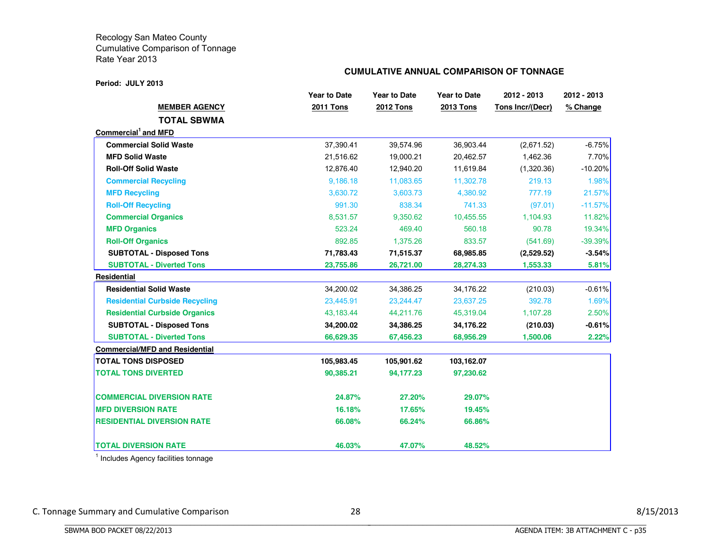#### **Period: JULY 2013**

#### **CUMULATIVE ANNUAL COMPARISON OF TONNAGE**

|                                       | <b>Year to Date</b> | <b>Year to Date</b> | <b>Year to Date</b> | 2012 - 2013      | 2012 - 2013 |
|---------------------------------------|---------------------|---------------------|---------------------|------------------|-------------|
| <b>MEMBER AGENCY</b>                  | <b>2011 Tons</b>    | <b>2012 Tons</b>    | <b>2013 Tons</b>    | Tons Incr/(Decr) | % Change    |
| <b>TOTAL SBWMA</b>                    |                     |                     |                     |                  |             |
| Commercial <sup>1</sup> and MFD       |                     |                     |                     |                  |             |
| <b>Commercial Solid Waste</b>         | 37,390.41           | 39,574.96           | 36,903.44           | (2,671.52)       | $-6.75%$    |
| <b>MFD Solid Waste</b>                | 21,516.62           | 19,000.21           | 20,462.57           | 1,462.36         | 7.70%       |
| <b>Roll-Off Solid Waste</b>           | 12,876.40           | 12,940.20           | 11,619.84           | (1,320.36)       | $-10.20%$   |
| <b>Commercial Recycling</b>           | 9,186.18            | 11,083.65           | 11,302.78           | 219.13           | 1.98%       |
| <b>MFD Recycling</b>                  | 3,630.72            | 3,603.73            | 4,380.92            | 777.19           | 21.57%      |
| <b>Roll-Off Recycling</b>             | 991.30              | 838.34              | 741.33              | (97.01)          | $-11.57%$   |
| <b>Commercial Organics</b>            | 8,531.57            | 9,350.62            | 10,455.55           | 1,104.93         | 11.82%      |
| <b>MFD Organics</b>                   | 523.24              | 469.40              | 560.18              | 90.78            | 19.34%      |
| <b>Roll-Off Organics</b>              | 892.85              | 1,375.26            | 833.57              | (541.69)         | $-39.39%$   |
| <b>SUBTOTAL - Disposed Tons</b>       | 71,783.43           | 71,515.37           | 68,985.85           | (2,529.52)       | $-3.54%$    |
| <b>SUBTOTAL - Diverted Tons</b>       | 23,755.86           | 26,721.00           | 28,274.33           | 1,553.33         | 5.81%       |
| <b>Residential</b>                    |                     |                     |                     |                  |             |
| <b>Residential Solid Waste</b>        | 34,200.02           | 34,386.25           | 34,176.22           | (210.03)         | $-0.61%$    |
| <b>Residential Curbside Recycling</b> | 23,445.91           | 23,244.47           | 23,637.25           | 392.78           | 1.69%       |
| <b>Residential Curbside Organics</b>  | 43,183.44           | 44,211.76           | 45,319.04           | 1,107.28         | 2.50%       |
| <b>SUBTOTAL - Disposed Tons</b>       | 34,200.02           | 34,386.25           | 34,176.22           | (210.03)         | $-0.61%$    |
| <b>SUBTOTAL - Diverted Tons</b>       | 66,629.35           | 67,456.23           | 68,956.29           | 1,500.06         | 2.22%       |
| <b>Commercial/MFD and Residential</b> |                     |                     |                     |                  |             |
| <b>TOTAL TONS DISPOSED</b>            | 105,983.45          | 105,901.62          | 103,162.07          |                  |             |
| <b>TOTAL TONS DIVERTED</b>            | 90,385.21           | 94,177.23           | 97,230.62           |                  |             |
| <b>COMMERCIAL DIVERSION RATE</b>      | 24.87%              | 27.20%              | 29.07%              |                  |             |
| <b>MFD DIVERSION RATE</b>             | 16.18%              | 17.65%              | 19.45%              |                  |             |
| <b>RESIDENTIAL DIVERSION RATE</b>     | 66.08%              | 66.24%              | 66.86%              |                  |             |
| <b>TOTAL DIVERSION RATE</b>           | 46.03%              | 47.07%              | 48.52%              |                  |             |

<sup>1</sup> Includes Agency facilities tonnage

BBBBBBBBBBBBBBBBBBBBBBBBBBBBBBBBBBBBBBBBBBBBBBBBBBBBBBBBBBBBBBBBBBBBBBBBBBBBBB

C. Tonnage Summary and Cumulative Comparison 28 28 8/15/2013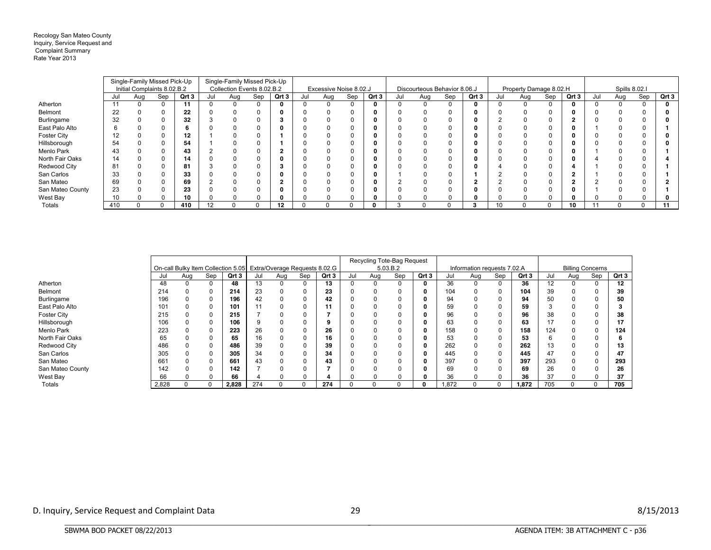#### Recology San Mateo County Inquiry, Service Request and Complaint Summary Rate Year 2013

|                    |     | Single-Family Missed Pick-Up |     |       |     | Single-Family Missed Pick-Up |     |       |     |                        |          |       |     |                              |     |       |     |                        |     |       |     |               |     |       |
|--------------------|-----|------------------------------|-----|-------|-----|------------------------------|-----|-------|-----|------------------------|----------|-------|-----|------------------------------|-----|-------|-----|------------------------|-----|-------|-----|---------------|-----|-------|
|                    |     | Initial Complaints 8.02.B.2  |     |       |     | Collection Events 8.02.B.2   |     |       |     | Excessive Noise 8.02.J |          |       |     | Discourteous Behavior 8.06.J |     |       |     | Property Damage 8.02.H |     |       |     | Spills 8.02.I |     |       |
|                    |     | Aug                          | Sep | Qrt 3 | Jul | Aug                          | Sep | Qrt 3 | Jul | Aug                    | Sep      | Qrt 3 | Jul | Aug                          | Sep | Qrt 3 | Jul | Aug                    | Sep | Qrt 3 | Jul | Aug           | Sep | Qrt 3 |
| Atherton           |     |                              |     |       |     |                              |     |       |     |                        | $\Omega$ |       |     |                              | 0   |       |     |                        |     |       |     |               |     |       |
| Belmont            | 22  |                              |     | 22    |     |                              |     |       |     |                        |          |       |     |                              |     |       |     |                        |     |       |     |               |     |       |
| Burlingame         | 32  |                              |     | 32    |     |                              |     |       |     |                        |          |       |     |                              |     |       |     |                        |     |       |     |               |     |       |
| East Palo Alto     |     |                              |     |       |     |                              |     |       |     |                        |          |       |     |                              |     |       |     |                        |     |       |     |               |     |       |
| <b>Foster City</b> | 12  |                              |     | 12    |     |                              |     |       |     |                        |          |       |     |                              |     |       |     |                        |     |       |     |               |     |       |
| Hillsborough       | 54  |                              |     | 54    |     |                              |     |       |     |                        |          |       |     |                              |     |       |     |                        |     |       |     |               |     |       |
| Menlo Park         | 43  |                              |     | 43    |     |                              |     |       |     |                        |          |       |     |                              |     |       |     |                        |     |       |     |               |     |       |
| North Fair Oaks    | 14  |                              |     | 14    |     |                              |     |       |     |                        |          |       |     |                              |     |       |     |                        |     |       |     |               |     |       |
| Redwood City       | 81  |                              |     | 81    |     |                              |     |       |     |                        |          |       |     |                              |     |       |     |                        |     |       |     |               |     |       |
| San Carlos         | 33  |                              |     | 33    |     |                              |     |       |     |                        |          |       |     |                              |     |       |     |                        |     |       |     |               |     |       |
| San Mateo          | 69  |                              |     | 69    |     |                              |     |       |     |                        |          |       |     |                              |     |       |     |                        |     |       |     |               |     |       |
| San Mateo County   | 23  |                              |     | 23    |     |                              |     |       |     |                        |          |       |     |                              |     |       |     |                        |     |       |     |               |     |       |
| West Bay           | 10  |                              |     | 10    |     |                              |     |       |     |                        |          |       |     |                              |     |       |     |                        |     |       |     |               |     |       |
| Totals             | 410 |                              |     | 410   | 12  |                              |     | 12    |     |                        |          |       |     |                              |     |       | 10  |                        |     | 10    |     |               |     |       |

|                    |       |     |          |       |     |                                                                  |     |       |          | Recycling Tote-Bag Request |     |       |                             |     |     |       |                         |     |          |       |  |
|--------------------|-------|-----|----------|-------|-----|------------------------------------------------------------------|-----|-------|----------|----------------------------|-----|-------|-----------------------------|-----|-----|-------|-------------------------|-----|----------|-------|--|
|                    |       |     |          |       |     | On-call Bulky Item Collection 5.05 Extra/Overage Requests 8.02.G |     |       | 5.03.B.2 |                            |     |       | Information requests 7.02.A |     |     |       | <b>Billing Concerns</b> |     |          |       |  |
|                    | Jul   | Aug | Sep      | Qrt 3 | Jul | Aug                                                              | Sep | Qrt 3 | Jul      | Aug                        | Sep | Qrt 3 | Jul                         | Aug | Sep | Qrt 3 | Jul                     | Aug | Sep      | Qrt 3 |  |
| Atherton           | 48    | 0   | 0        | 48    | 13  |                                                                  |     | 13    |          |                            | 0   |       | 36                          |     | 0   | 36    | 12                      | 0   | $\Omega$ | 12    |  |
| Belmont            | 214   |     | 0        | 214   | 23  |                                                                  |     | 23    |          |                            |     |       | 104                         |     | 0   | 104   | 39                      |     |          | 39    |  |
| Burlingame         | 196   |     |          | 196   | 42  |                                                                  |     | 42    |          |                            |     |       | 94                          |     | 0   | 94    | 50                      |     |          | 50    |  |
| East Palo Alto     | 101   |     |          | 101   |     |                                                                  |     | 11    |          |                            |     |       | 59                          |     | 0   | 59    |                         |     |          |       |  |
| <b>Foster City</b> | 215   |     |          | 215   |     |                                                                  |     |       |          |                            |     |       | 96                          |     | 0   | 96    | 38                      |     |          | 38    |  |
| Hillsborough       | 106   |     | 0        | 106   |     |                                                                  |     |       |          |                            |     |       | 63                          |     | 0   | 63    | 17                      |     | 0        |       |  |
| Menlo Park         | 223   |     | 0        | 223   | 26  |                                                                  |     | 26    |          |                            |     |       | 158                         |     | 0   | 158   | 124                     |     | $\Omega$ | 124   |  |
| North Fair Oaks    | 65    |     | 0        | 65    | 16  |                                                                  |     | 16    |          |                            | 0   |       | 53                          |     | 0   | 53    | 6                       |     |          |       |  |
| Redwood City       | 486   |     |          | 486   | 39  |                                                                  |     | 39    |          |                            |     |       | 262                         |     | 0   | 262   | 13                      |     |          | 13    |  |
| San Carlos         | 305   |     |          | 305   | 34  |                                                                  |     | 34    |          |                            |     |       | 445                         |     | 0   | 445   | 47                      |     |          | 47    |  |
| San Mateo          | 661   |     |          | 661   | 43  |                                                                  |     | 43    |          |                            |     |       | 397                         |     | 0   | 397   | 293                     |     | $\Omega$ | 293   |  |
| San Mateo County   | 142   |     |          | 142   |     |                                                                  |     |       |          |                            |     |       | 69                          |     | 0   | 69    | 26                      |     |          | 26    |  |
| West Bay           | 66    |     | 0        | 66    |     |                                                                  |     |       |          |                            | O   |       | 36                          |     | 0   | 36    | 37                      |     | 0        | 37    |  |
| Totals             | 2,828 |     | $\Omega$ | 2,828 | 274 |                                                                  |     | 274   |          |                            | 0   |       | 1,872                       |     | 0   | 1,872 | 705                     | 0   | 0        | 705   |  |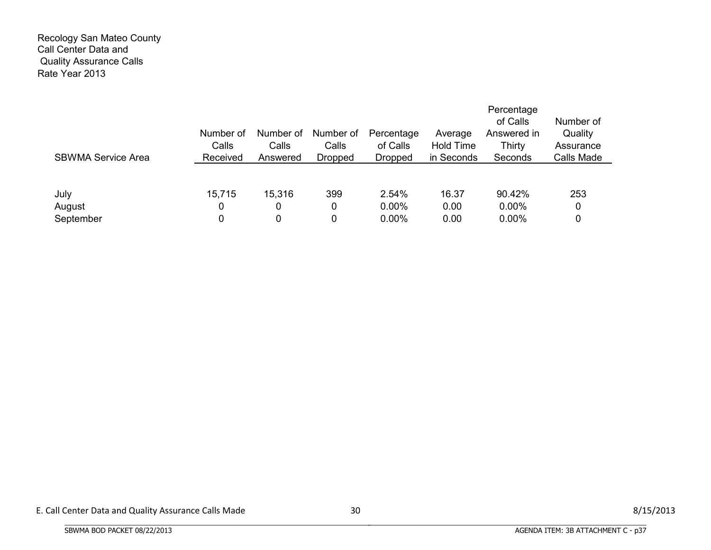#### Recology San Mateo County Call Center Data and Quality Assurance Calls Rate Year 2013

| <b>SBWMA Service Area</b> | Number of<br>Calls<br>Received | Number of<br>Calls<br>Answered | Number of<br>Calls<br><b>Dropped</b> | Percentage<br>of Calls<br><b>Dropped</b> | Average<br><b>Hold Time</b><br>in Seconds | Percentage<br>of Calls<br>Answered in<br>Thirty<br>Seconds | Number of<br>Quality<br>Assurance<br>Calls Made |
|---------------------------|--------------------------------|--------------------------------|--------------------------------------|------------------------------------------|-------------------------------------------|------------------------------------------------------------|-------------------------------------------------|
| July                      | 15,715                         | 15,316                         | 399                                  | 2.54%                                    | 16.37                                     | 90.42%                                                     | 253                                             |
| August                    | 0                              | 0                              | 0                                    | 0.00%                                    | 0.00                                      | $0.00\%$                                                   | 0                                               |
| September                 | 0                              | 0                              | $\mathbf{0}$                         | $0.00\%$                                 | 0.00                                      | $0.00\%$                                                   | 0                                               |

BBBBBBBBBBBBBBBBBBBBBBBBBBBBBBBBBBBBBBBBBBBBBBBBBBBBBBBBBBBBBBBBBBBBBBBBBBBBBB